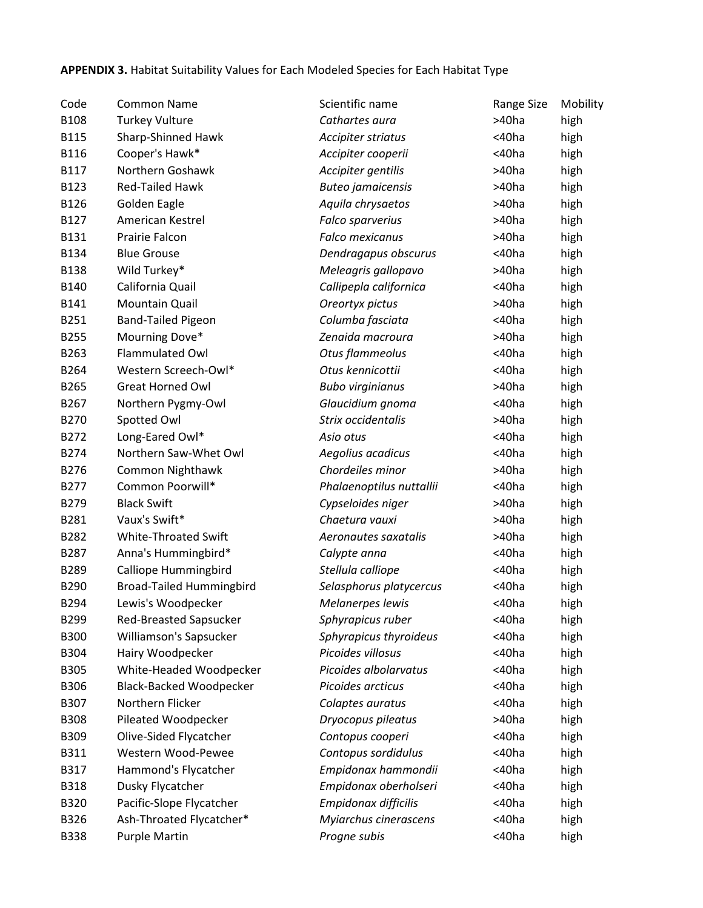## **APPENDIX 3.** Habitat Suitability Values for Each Modeled Species for Each Habitat Type

| Code        | <b>Common Name</b>              | Scientific name          | Range Size  | Mobility |
|-------------|---------------------------------|--------------------------|-------------|----------|
| B108        | <b>Turkey Vulture</b>           | Cathartes aura           | >40ha       | high     |
| <b>B115</b> | Sharp-Shinned Hawk              | Accipiter striatus       | <40ha       | high     |
| <b>B116</b> | Cooper's Hawk*                  | Accipiter cooperii       | <40ha       | high     |
| B117        | Northern Goshawk                | Accipiter gentilis       | >40ha       | high     |
| B123        | <b>Red-Tailed Hawk</b>          | <b>Buteo jamaicensis</b> | >40ha       | high     |
| B126        | Golden Eagle                    | Aquila chrysaetos        | $>40$ ha    | high     |
| B127        | American Kestrel                | Falco sparverius         | >40ha       | high     |
| B131        | Prairie Falcon                  | <b>Falco mexicanus</b>   | >40ha       | high     |
| B134        | <b>Blue Grouse</b>              | Dendragapus obscurus     | <40ha       | high     |
| <b>B138</b> | Wild Turkey*                    | Meleagris gallopavo      | >40ha       | high     |
| B140        | California Quail                | Callipepla californica   | <40ha       | high     |
| B141        | <b>Mountain Quail</b>           | Oreortyx pictus          | >40ha       | high     |
| B251        | <b>Band-Tailed Pigeon</b>       | Columba fasciata         | $<$ 40 $ha$ | high     |
| B255        | Mourning Dove*                  | Zenaida macroura         | >40ha       | high     |
| B263        | Flammulated Owl                 | Otus flammeolus          | <40ha       | high     |
| B264        | Western Screech-Owl*            | Otus kennicottii         | <40ha       | high     |
| B265        | <b>Great Horned Owl</b>         | <b>Bubo virginianus</b>  | >40ha       | high     |
| B267        | Northern Pygmy-Owl              | Glaucidium gnoma         | $<$ 40 $ha$ | high     |
| B270        | Spotted Owl                     | Strix occidentalis       | >40ha       | high     |
| B272        | Long-Eared Owl*                 | Asio otus                | <40ha       | high     |
| B274        | Northern Saw-Whet Owl           | Aegolius acadicus        | <40ha       | high     |
| B276        | Common Nighthawk                | Chordeiles minor         | >40ha       | high     |
| B277        | Common Poorwill*                | Phalaenoptilus nuttallii | <40ha       | high     |
| B279        | <b>Black Swift</b>              | Cypseloides niger        | >40ha       | high     |
| B281        | Vaux's Swift*                   | Chaetura vauxi           | >40ha       | high     |
| B282        | White-Throated Swift            | Aeronautes saxatalis     | >40ha       | high     |
| B287        | Anna's Hummingbird*             | Calypte anna             | $<$ 40 $ha$ | high     |
| B289        | <b>Calliope Hummingbird</b>     | Stellula calliope        | <40ha       | high     |
| B290        | <b>Broad-Tailed Hummingbird</b> | Selasphorus platycercus  | <40ha       | high     |
| B294        | Lewis's Woodpecker              | <b>Melanerpes lewis</b>  | <40ha       | high     |
| B299        | <b>Red-Breasted Sapsucker</b>   | Sphyrapicus ruber        | <40ha       | high     |
| <b>B300</b> | Williamson's Sapsucker          | Sphyrapicus thyroideus   | $<$ 40 $ha$ | high     |
| B304        | Hairy Woodpecker                | Picoides villosus        | $<$ 40 $ha$ | high     |
| <b>B305</b> | White-Headed Woodpecker         | Picoides albolarvatus    | <40ha       | high     |
| B306        | <b>Black-Backed Woodpecker</b>  | Picoides arcticus        | <40ha       | high     |
| B307        | Northern Flicker                | Colaptes auratus         | $<$ 40 $ha$ | high     |
| <b>B308</b> | Pileated Woodpecker             | Dryocopus pileatus       | >40ha       | high     |
| B309        | Olive-Sided Flycatcher          | Contopus cooperi         | <40ha       | high     |
| B311        | Western Wood-Pewee              | Contopus sordidulus      | <40ha       | high     |
| B317        | Hammond's Flycatcher            | Empidonax hammondii      | <40ha       | high     |
| <b>B318</b> | Dusky Flycatcher                | Empidonax oberholseri    | <40ha       | high     |
| B320        | Pacific-Slope Flycatcher        | Empidonax difficilis     | <40ha       | high     |
| B326        | Ash-Throated Flycatcher*        | Myiarchus cinerascens    | <40ha       | high     |
| <b>B338</b> | <b>Purple Martin</b>            | Progne subis             | <40ha       | high     |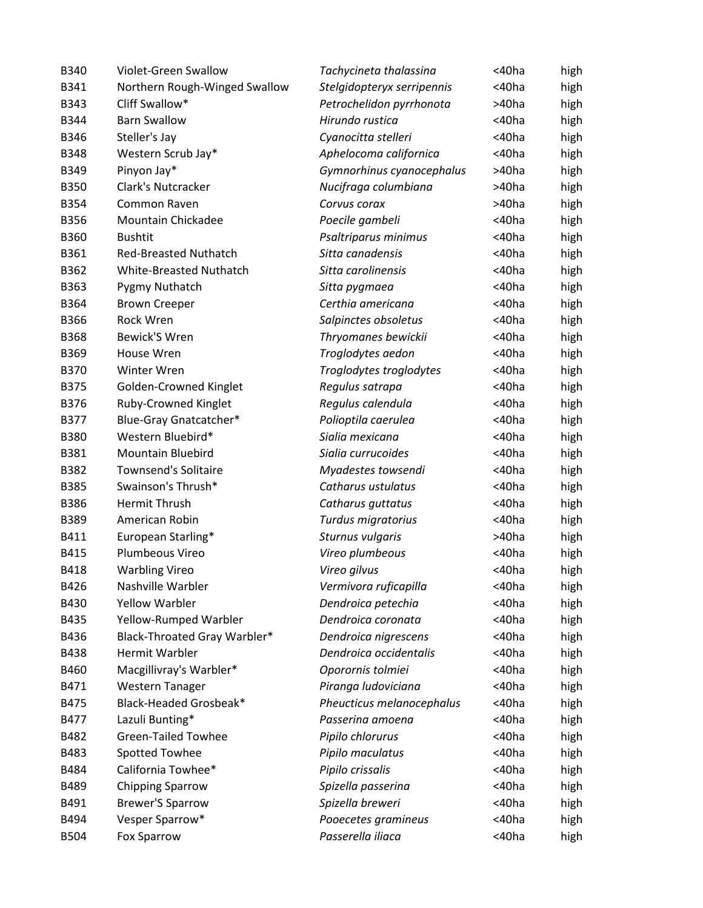| B340        | Violet-Green Swallow          | Tachycineta thalassina     | <40ha       | high |
|-------------|-------------------------------|----------------------------|-------------|------|
| B341        | Northern Rough-Winged Swallow | Stelgidopteryx serripennis | <40ha       | high |
| <b>B343</b> | Cliff Swallow*                | Petrochelidon pyrrhonota   | >40ha       | high |
| B344        | <b>Barn Swallow</b>           | Hirundo rustica            | <40ha       | high |
| <b>B346</b> | Steller's Jay                 | Cyanocitta stelleri        | <40ha       | high |
| <b>B348</b> | Western Scrub Jay*            | Aphelocoma californica     | <40ha       | high |
| B349        | Pinyon Jay*                   | Gymnorhinus cyanocephalus  | $>40$ ha    | high |
| <b>B350</b> | Clark's Nutcracker            | Nucifraga columbiana       | >40ha       | high |
| B354        | Common Raven                  | Corvus corax               | >40ha       | high |
| <b>B356</b> | Mountain Chickadee            | Poecile gambeli            | <40ha       | high |
| B360        | <b>Bushtit</b>                | Psaltriparus minimus       | <40ha       | high |
| B361        | <b>Red-Breasted Nuthatch</b>  | Sitta canadensis           | <40ha       | high |
| B362        | White-Breasted Nuthatch       | Sitta carolinensis         | <40ha       | high |
| B363        | Pygmy Nuthatch                | Sitta pygmaea              | <40ha       | high |
| B364        | <b>Brown Creeper</b>          | Certhia americana          | <40ha       | high |
| <b>B366</b> | Rock Wren                     | Salpinctes obsoletus       | <40ha       | high |
| <b>B368</b> | <b>Bewick'S Wren</b>          | Thryomanes bewickii        | <40ha       | high |
| B369        | House Wren                    | Troglodytes aedon          | <40ha       | high |
| <b>B370</b> | Winter Wren                   | Troglodytes troglodytes    | <40ha       | high |
| <b>B375</b> | <b>Golden-Crowned Kinglet</b> | Regulus satrapa            | <40ha       | high |
| <b>B376</b> | Ruby-Crowned Kinglet          | Regulus calendula          | <40ha       | high |
| <b>B377</b> | Blue-Gray Gnatcatcher*        | Polioptila caerulea        | <40ha       | high |
| <b>B380</b> | Western Bluebird*             | Sialia mexicana            | <40ha       | high |
| B381        | <b>Mountain Bluebird</b>      | Sialia currucoides         | <40ha       | high |
| B382        | <b>Townsend's Solitaire</b>   | Myadestes towsendi         | <40ha       | high |
| <b>B385</b> | Swainson's Thrush*            | Catharus ustulatus         | <40ha       | high |
| <b>B386</b> | Hermit Thrush                 | Catharus guttatus          | <40ha       | high |
| B389        | American Robin                | Turdus migratorius         | <40ha       | high |
| B411        | European Starling*            | Sturnus vulgaris           | >40ha       | high |
| B415        | Plumbeous Vireo               | Vireo plumbeous            | <40ha       | high |
| B418        | <b>Warbling Vireo</b>         | Vireo gilvus               | <40ha       | high |
| B426        | Nashville Warbler             | Vermivora ruficapilla      | <40ha       | high |
| B430        | <b>Yellow Warbler</b>         | Dendroica petechia         | <40ha       | high |
| B435        | Yellow-Rumped Warbler         | Dendroica coronata         | <40ha       | high |
| B436        | Black-Throated Gray Warbler*  | Dendroica nigrescens       | <40ha       | high |
| B438        | <b>Hermit Warbler</b>         | Dendroica occidentalis     | <40ha       | high |
| B460        | Macgillivray's Warbler*       | Oporornis tolmiei          | <40ha       | high |
| B471        | Western Tanager               | Piranga ludoviciana        | <40ha       | high |
| B475        | Black-Headed Grosbeak*        | Pheucticus melanocephalus  | <40ha       | high |
| B477        | Lazuli Bunting*               | Passerina amoena           | <40ha       | high |
| B482        | <b>Green-Tailed Towhee</b>    | Pipilo chlorurus           | $<$ 40 $ha$ | high |
| B483        | Spotted Towhee                | Pipilo maculatus           | <40ha       | high |
| B484        | California Towhee*            | Pipilo crissalis           | <40ha       | high |
| B489        | <b>Chipping Sparrow</b>       | Spizella passerina         | <40ha       | high |
| B491        | <b>Brewer'S Sparrow</b>       | Spizella breweri           | <40ha       | high |
| B494        | Vesper Sparrow*               | Pooecetes gramineus        | <40ha       | high |
| B504        | Fox Sparrow                   | Passerella iliaca          | <40ha       | high |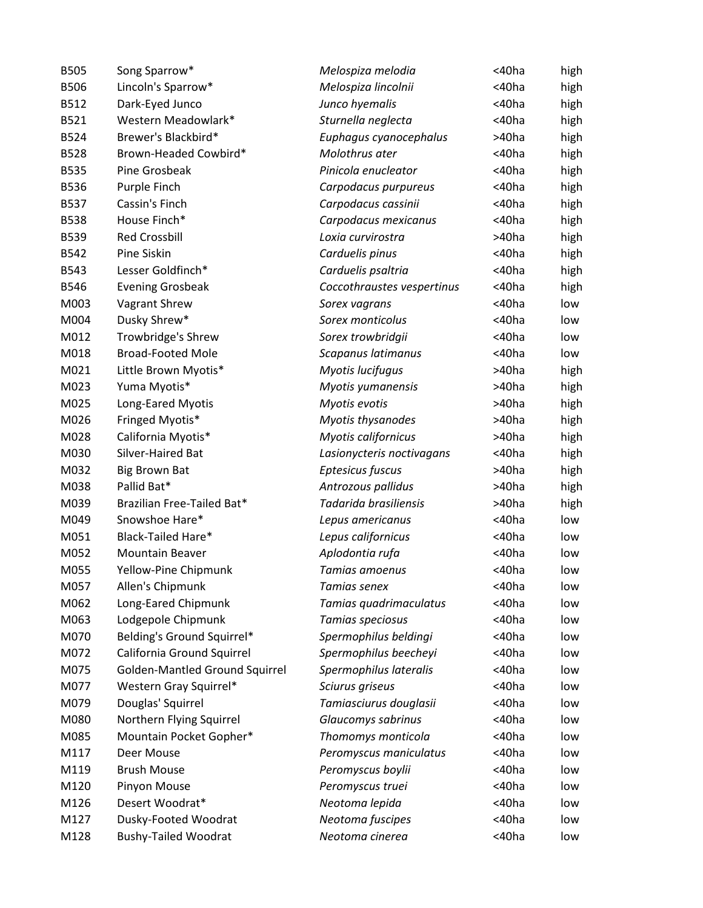| <b>B505</b> | Song Sparrow*                  | Melospiza melodia          | <40ha       | high |
|-------------|--------------------------------|----------------------------|-------------|------|
| <b>B506</b> | Lincoln's Sparrow*             | Melospiza lincolnii        | <40ha       | high |
| B512        | Dark-Eyed Junco                | Junco hyemalis             | <40ha       | high |
| B521        | Western Meadowlark*            | Sturnella neglecta         | <40ha       | high |
| B524        | Brewer's Blackbird*            | Euphagus cyanocephalus     | >40ha       | high |
| <b>B528</b> | Brown-Headed Cowbird*          | Molothrus ater             | $<$ 40 $ha$ | high |
| <b>B535</b> | Pine Grosbeak                  | Pinicola enucleator        | <40ha       | high |
| <b>B536</b> | Purple Finch                   | Carpodacus purpureus       | $<$ 40 $ha$ | high |
| <b>B537</b> | Cassin's Finch                 | Carpodacus cassinii        | <40ha       | high |
| <b>B538</b> | House Finch*                   | Carpodacus mexicanus       | <40ha       | high |
| B539        | <b>Red Crossbill</b>           | Loxia curvirostra          | >40ha       | high |
| <b>B542</b> | Pine Siskin                    | Carduelis pinus            | $<$ 40 $ha$ | high |
| <b>B543</b> | Lesser Goldfinch*              | Carduelis psaltria         | $<$ 40 $ha$ | high |
| <b>B546</b> | <b>Evening Grosbeak</b>        | Coccothraustes vespertinus | <40ha       | high |
| M003        | Vagrant Shrew                  | Sorex vagrans              | <40ha       | low  |
| M004        | Dusky Shrew*                   | Sorex monticolus           | $<$ 40 $ha$ | low  |
| M012        | Trowbridge's Shrew             | Sorex trowbridgii          | <40ha       | low  |
| M018        | <b>Broad-Footed Mole</b>       | Scapanus latimanus         | <40ha       | low  |
| M021        | Little Brown Myotis*           | Myotis lucifugus           | >40ha       | high |
| M023        | Yuma Myotis*                   | Myotis yumanensis          | >40ha       | high |
| M025        | Long-Eared Myotis              | Myotis evotis              | >40ha       | high |
| M026        | Fringed Myotis*                | Myotis thysanodes          | >40ha       | high |
| M028        | California Myotis*             | Myotis californicus        | >40ha       | high |
| M030        | Silver-Haired Bat              | Lasionycteris noctivagans  | <40ha       | high |
| M032        | <b>Big Brown Bat</b>           | Eptesicus fuscus           | >40ha       | high |
| M038        | Pallid Bat*                    | Antrozous pallidus         | >40ha       | high |
| M039        | Brazilian Free-Tailed Bat*     | Tadarida brasiliensis      | >40ha       | high |
| M049        | Snowshoe Hare*                 | Lepus americanus           | <40ha       | low  |
| M051        | <b>Black-Tailed Hare*</b>      | Lepus californicus         | <40ha       | low  |
| M052        | <b>Mountain Beaver</b>         | Aplodontia rufa            | <40ha       | low  |
| M055        | Yellow-Pine Chipmunk           | Tamias amoenus             | <40ha       | low  |
| M057        | Allen's Chipmunk               | Tamias senex               | <40ha       | low  |
| M062        | Long-Eared Chipmunk            | Tamias quadrimaculatus     | <40ha       | low  |
| M063        | Lodgepole Chipmunk             | Tamias speciosus           | <40ha       | low  |
| M070        | Belding's Ground Squirrel*     | Spermophilus beldingi      | <40ha       | low  |
| M072        | California Ground Squirrel     | Spermophilus beecheyi      | $<$ 40 $ha$ | low  |
| M075        | Golden-Mantled Ground Squirrel | Spermophilus lateralis     | <40ha       | low  |
| M077        | Western Gray Squirrel*         | Sciurus griseus            | <40ha       | low  |
| M079        | Douglas' Squirrel              | Tamiasciurus douglasii     | <40ha       | low  |
| M080        | Northern Flying Squirrel       | Glaucomys sabrinus         | <40ha       | low  |
| M085        | Mountain Pocket Gopher*        | Thomomys monticola         | <40ha       | low  |
| M117        | Deer Mouse                     | Peromyscus maniculatus     | <40ha       | low  |
| M119        | <b>Brush Mouse</b>             | Peromyscus boylii          | <40ha       | low  |
| M120        | Pinyon Mouse                   | Peromyscus truei           | <40ha       | low  |
| M126        | Desert Woodrat*                | Neotoma lepida             | <40ha       | low  |
| M127        | Dusky-Footed Woodrat           | Neotoma fuscipes           | <40ha       | low  |
| M128        | <b>Bushy-Tailed Woodrat</b>    | Neotoma cinerea            | <40ha       | low  |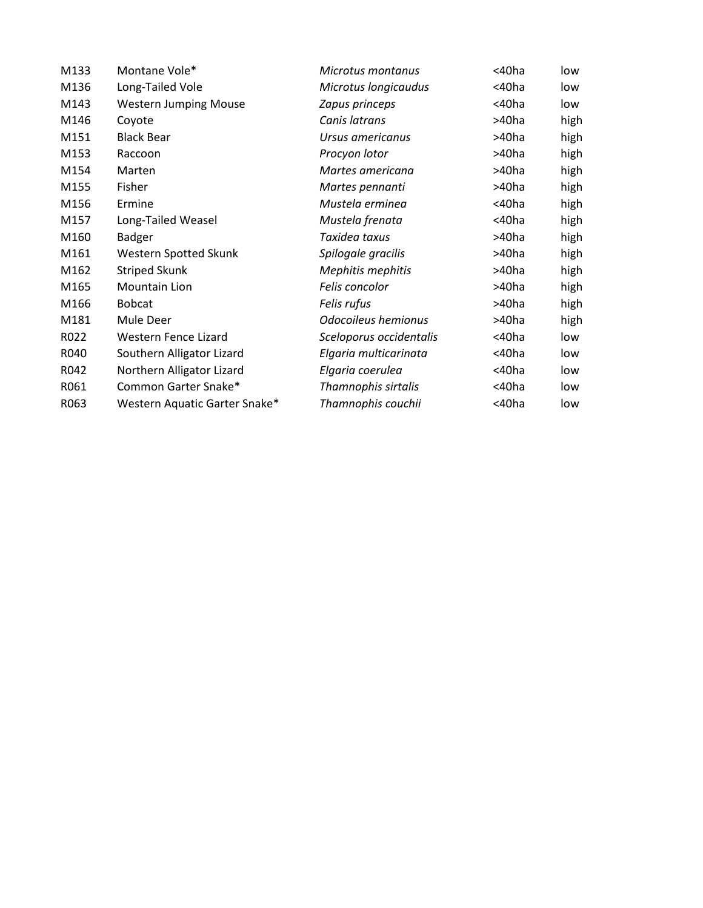| M133 | Montane Vole*                 | Microtus montanus       | <40ha | low  |
|------|-------------------------------|-------------------------|-------|------|
| M136 | Long-Tailed Vole              | Microtus longicaudus    | <40ha | low  |
| M143 | <b>Western Jumping Mouse</b>  | Zapus princeps          | <40ha | low  |
| M146 | Coyote                        | Canis latrans           | >40ha | high |
| M151 | <b>Black Bear</b>             | Ursus americanus        | >40ha | high |
| M153 | Raccoon                       | Procyon lotor           | >40ha | high |
| M154 | Marten                        | Martes americana        | >40ha | high |
| M155 | Fisher                        | Martes pennanti         | >40ha | high |
| M156 | Ermine                        | Mustela erminea         | <40ha | high |
| M157 | Long-Tailed Weasel            | Mustela frenata         | <40ha | high |
| M160 | <b>Badger</b>                 | Taxidea taxus           | >40ha | high |
| M161 | Western Spotted Skunk         | Spilogale gracilis      | >40ha | high |
| M162 | <b>Striped Skunk</b>          | Mephitis mephitis       | >40ha | high |
| M165 | Mountain Lion                 | Felis concolor          | >40ha | high |
| M166 | <b>Bobcat</b>                 | Felis rufus             | >40ha | high |
| M181 | Mule Deer                     | Odocoileus hemionus     | >40ha | high |
| R022 | Western Fence Lizard          | Sceloporus occidentalis | <40ha | low  |
| R040 | Southern Alligator Lizard     | Elgaria multicarinata   | <40ha | low  |
| R042 | Northern Alligator Lizard     | Elgaria coerulea        | <40ha | low  |
| R061 | Common Garter Snake*          | Thamnophis sirtalis     | <40ha | low  |
| R063 | Western Aquatic Garter Snake* | Thamnophis couchii      | <40ha | low  |
|      |                               |                         |       |      |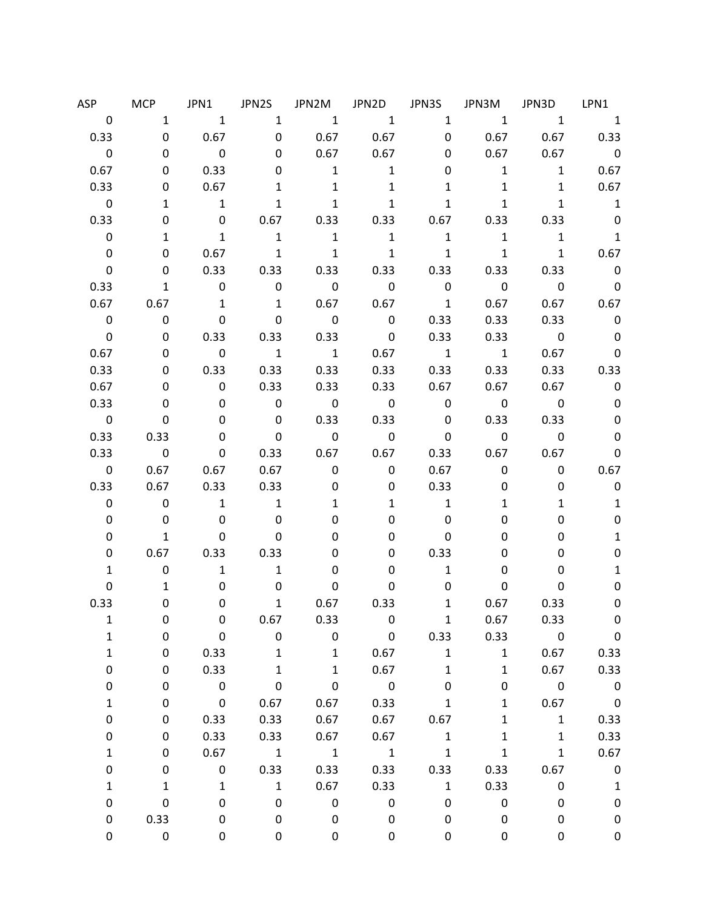| ASP                     | <b>MCP</b>              | JPN1                                     | JPN2S                      | JPN2M                    | JPN2D                    | JPN3S                   | JPN3M                    | JPN3D                    | LPN1                     |
|-------------------------|-------------------------|------------------------------------------|----------------------------|--------------------------|--------------------------|-------------------------|--------------------------|--------------------------|--------------------------|
| $\mathbf 0$             |                         | $\overline{1}$<br>$1 \quad \blacksquare$ | $\mathbf{1}$               | $\sim$ 1                 | $\overline{1}$           | 1                       | $\overline{\mathbf{1}}$  | $1 \quad$                | $\overline{1}$           |
| 0.33                    | $\mathbf 0$             | 0.67                                     | $\mathbf 0$                | $0.67$ 0.67              |                          |                         | $0 \qquad \qquad$        | 0.67 0.67 0.33           |                          |
| $\mathbf 0$             | 0                       | $\overline{\phantom{0}}$                 | 0                          | 0.67                     | 0.67                     | 0                       | 0.67                     |                          | $0.67$ 0                 |
| 0.67                    | 0                       | 0.33                                     | 0                          | $\overline{\phantom{a}}$ | $\mathbf{1}$             | 0                       | 1                        | $\mathbf{1}$             | 0.67                     |
| 0.33                    | 0                       | 0.67                                     | $\mathbf{1}$               | $\mathbf{1}$             | $\mathbf{1}$             | $\mathbf{1}$            | $\mathbf{1}$             | $\mathbf{1}$             | 0.67                     |
| $\overline{\mathbf{0}}$ | 1                       | $\overline{\phantom{a}}$                 | $\mathbf{1}$               | $\mathbf{1}$             | $\mathbf{1}$             | $\mathbf{1}$            | $\mathbf{1}$             | $\mathbf{1}$             | $\overline{\phantom{a}}$ |
| 0.33                    | 0                       | $\mathbf 0$                              | 0.67                       | 0.33                     | 0.33                     | 0.67                    | 0.33                     | 0.33                     | $\overline{\mathbf{0}}$  |
| 0                       | 1                       | $\mathbf{1}$                             | $\overline{\phantom{a}}$   | $\mathbf{1}$             | $\overline{\phantom{a}}$ | $\mathbf{1}$            | $\mathbf{1}$             | $\mathbf{1}$             | $\overline{\phantom{a}}$ |
| 0                       | 0                       | 0.67                                     | $\overline{1}$             | $\overline{\phantom{a}}$ | $\overline{1}$           | $\mathbf{1}$            | $\mathbf{1}$             | $\mathbf{1}$             | 0.67                     |
| 0                       | 0                       | 0.33                                     | 0.33                       | 0.33                     | 0.33                     | 0.33                    | 0.33                     | 0.33                     | $\overline{0}$           |
| 0.33                    | $\mathbf{1}$            | $\overline{\phantom{0}}$                 | $\mathbf 0$                | $\overline{\phantom{0}}$ | $\overline{\phantom{0}}$ | $\overline{\mathbf{0}}$ | $\overline{\phantom{0}}$ | $\overline{\mathbf{0}}$  | $\overline{\mathbf{0}}$  |
| 0.67                    | 0.67                    | $\mathbf{1}$                             | $\mathbf{1}$               | 0.67                     | 0.67                     | $\overline{1}$          | 0.67                     | 0.67                     | 0.67                     |
| 0                       | 0                       | $\mathbf 0$                              | 0                          | $\overline{\mathbf{0}}$  | $\overline{\phantom{0}}$ | 0.33                    | 0.33                     | 0.33                     | $\overline{\phantom{0}}$ |
| $\mathbf 0$             | 0                       | 0.33                                     | 0.33                       | 0.33                     | $\overline{\mathbf{0}}$  | 0.33                    | 0.33                     | $\overline{\mathbf{0}}$  | $\mathbf 0$              |
| 0.67                    | 0                       | $\overline{\phantom{0}}$                 | $\overline{\phantom{a}}$ 1 | $\overline{\phantom{a}}$ | 0.67                     | $\overline{\mathbf{1}}$ | $\overline{1}$           | 0.67                     | $\mathbf 0$              |
| 0.33                    | 0                       | 0.33                                     | 0.33                       | 0.33                     | 0.33                     | 0.33                    | 0.33                     | 0.33                     | 0.33                     |
| 0.67                    | 0                       | $\mathbf 0$                              | 0.33                       | 0.33                     | 0.33                     | 0.67                    | 0.67                     | 0.67                     | $\mathbf 0$              |
| 0.33                    | 0                       | 0                                        | $\overline{\mathbf{0}}$    | $\overline{\phantom{0}}$ | $\overline{\mathbf{0}}$  | $\overline{\mathbf{0}}$ | $\overline{\mathbf{0}}$  | $\overline{\phantom{0}}$ | $\pmb{0}$                |
| $\overline{\mathbf{0}}$ | 0                       | 0                                        | $\overline{\phantom{0}}$   | 0.33                     | 0.33                     | $\overline{\mathbf{0}}$ | 0.33                     | 0.33                     | 0                        |
| 0.33                    | 0.33                    | 0                                        | $\overline{\phantom{0}}$   | $\overline{\phantom{0}}$ | $\overline{\phantom{0}}$ | $\overline{\mathbf{0}}$ | $\overline{\mathbf{0}}$  | $\mathbf 0$              | 0                        |
| 0.33                    | $\overline{\mathbf{0}}$ | $\mathbf 0$                              | 0.33                       | 0.67                     | 0.67                     | 0.33                    | 0.67                     | 0.67                     | 0                        |
| 0                       | 0.67                    | 0.67                                     | 0.67                       | $\mathbf 0$              | $\mathbf 0$              | 0.67                    | 0                        | $\mathbf 0$              | 0.67                     |
| 0.33                    | 0.67                    | 0.33                                     | 0.33                       | 0                        | 0                        | 0.33                    | 0                        | 0                        | $\pmb{0}$                |
| 0                       | 0                       | $\mathbf{1}$                             | $\overline{\phantom{a}}$   | 1                        | $\mathbf{1}$             | $\mathbf{1}$            | 1                        | 1                        | $\mathbf{1}$             |
| 0                       | 0                       | $\mathbf 0$                              | 0                          | 0                        | 0                        | $\mathbf{0}$            | 0                        | 0                        | 0                        |
| 0                       | $\mathbf{1}$            | 0                                        | 0                          | 0                        | 0                        | 0                       | 0                        | 0                        | $\mathbf{1}$             |
| 0                       | 0.67                    | 0.33                                     | 0.33                       | 0                        | 0                        | 0.33                    | 0                        | 0                        | 0                        |
| 1                       | $\mathbf 0$             | $\mathbf{1}$                             | $\mathbf{1}$               | 0                        | 0                        | $\mathbf{1}$            | 0                        | 0                        | 1                        |
| 0                       | 1                       | 0                                        | 0                          | 0                        | 0                        | 0                       | 0                        | 0                        | 0                        |
| 0.33                    | 0                       | 0                                        | $\mathbf{1}$               | 0.67                     | 0.33                     | 1                       | 0.67                     | 0.33                     | 0                        |
| 1                       | 0                       | 0                                        | 0.67                       | 0.33                     | $\overline{\phantom{0}}$ | $\mathbf{1}$            | 0.67                     | 0.33                     | 0                        |
| 1                       | 0                       | $\mathbf 0$                              | $\mathbf 0$                | $\mathbf 0$              | $\overline{\mathbf{0}}$  | 0.33                    | 0.33                     | $\overline{\mathbf{0}}$  | $\overline{\mathbf{0}}$  |
| $\mathbf{1}$            | 0                       | 0.33                                     | $\mathbf{1}$               | $\overline{\mathbf{1}}$  | 0.67                     | $\mathbf{1}$            | $\mathbf{1}$             | 0.67                     | 0.33                     |
| 0                       | 0                       | 0.33                                     | $\mathbf{1}$               | $\mathbf{1}$             | 0.67                     | $\mathbf{1}$            | $\mathbf{1}$             | 0.67                     | 0.33                     |
| 0                       | 0                       | $\overline{\mathbf{0}}$                  | $\pmb{0}$                  | $\mathbf 0$              | $\overline{\mathbf{0}}$  | $\mathbf 0$             | 0                        | $\overline{\mathbf{0}}$  | $\overline{\mathbf{0}}$  |
| 1                       | 0                       | $\mathbf 0$                              | 0.67                       | 0.67                     | 0.33                     | $\mathbf{1}$            | $\mathbf{1}$             | 0.67                     | $\overline{\mathbf{0}}$  |
| 0                       | 0                       | 0.33                                     | 0.33                       | 0.67                     | 0.67                     | 0.67                    | $\mathbf{1}$             | $\mathbf{1}$             | 0.33                     |
| 0                       | 0                       | 0.33                                     | 0.33                       | 0.67                     | 0.67                     | $\mathbf{1}$            | $\mathbf{1}$             | $\mathbf{1}$             | 0.33                     |
| 1                       | 0                       | 0.67                                     | $\overline{\phantom{a}}$   | $\overline{\phantom{a}}$ | $\overline{\phantom{a}}$ | $\mathbf{1}$            | $\mathbf{1}$             | $\mathbf{1}$             | 0.67                     |
| 0                       | 0                       | $\mathbf 0$                              | 0.33                       | 0.33                     | 0.33                     | 0.33                    | 0.33                     | 0.67                     | $\overline{\mathbf{0}}$  |
| 1                       | $\mathbf{1}$            | $\mathbf{1}$                             | $\mathbf{1}$               | 0.67                     | 0.33                     | $\mathbf{1}$            | 0.33                     | 0                        | $\mathbf{1}$             |
| 0                       | $\pmb{0}$               | $\pmb{0}$                                | $\mathbf 0$                | $\mathbf 0$              | $\mathbf 0$              | $\mathbf 0$             | $\pmb{0}$                | 0                        | $\pmb{0}$                |
| 0                       | 0.33                    | 0                                        | 0                          | $\mathbf 0$              | 0                        | 0                       | 0                        | 0                        | 0                        |
| 0                       | 0                       | 0                                        | 0                          | 0                        | 0                        | 0                       | 0                        | 0                        | 0                        |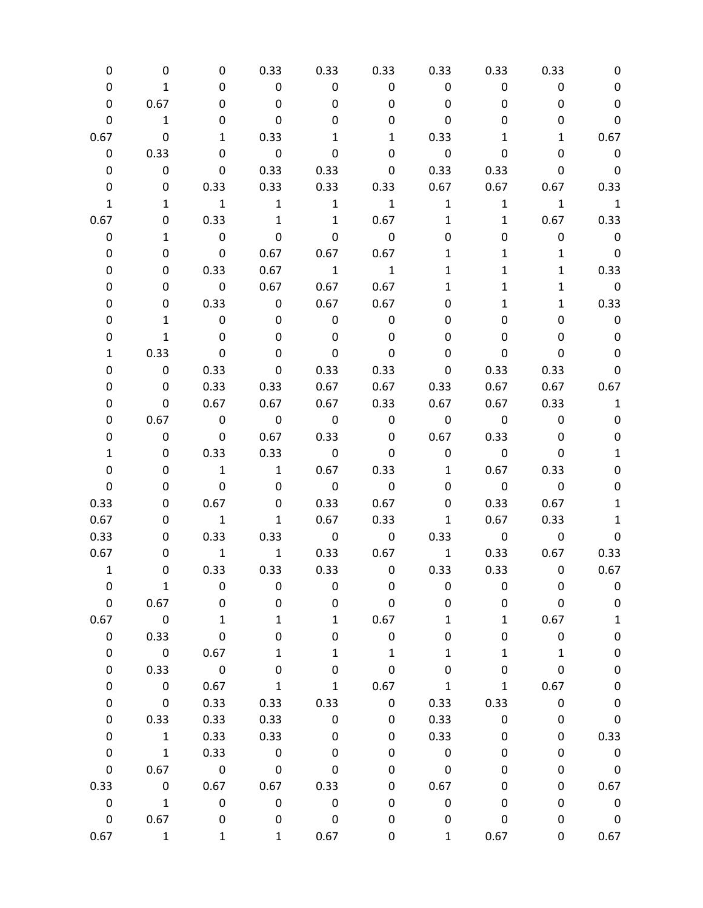| 0            | 0                        | 0                        | 0.33                    | 0.33                    | 0.33                     | 0.33                     | 0.33                    | 0.33                     | 0                          |
|--------------|--------------------------|--------------------------|-------------------------|-------------------------|--------------------------|--------------------------|-------------------------|--------------------------|----------------------------|
| 0            | $\mathbf{1}$             | 0                        | $\overline{\mathbf{0}}$ | $\mathbf 0$             | $\mathbf 0$              | $\overline{\mathbf{0}}$  | 0                       | 0                        | 0                          |
| 0            | 0.67                     | 0                        | 0                       | 0                       | 0                        | $\mathbf 0$              | 0                       | 0                        | $\pmb{0}$                  |
| 0            | $\mathbf{1}$             | 0                        | 0                       | 0                       | 0                        | 0                        | 0                       | 0                        | $\mathbf 0$                |
| 0.67         | $\mathbf 0$              | $\mathbf{1}$             | 0.33                    | 1                       | $\mathbf{1}$             | 0.33                     | 1                       | $\mathbf{1}$             | 0.67                       |
| 0            | 0.33                     | $\mathbf 0$              | $\overline{\mathbf{0}}$ | $\mathbf 0$             | 0                        | $\overline{\phantom{0}}$ | 0                       | 0                        | $\overline{\phantom{0}}$   |
| 0            | $\mathbf 0$              | $\mathbf{0}$             | 0.33                    | 0.33                    |                          | $0\qquad 0.33$           | 0.33                    | 0                        | $\overline{\phantom{0}}$   |
| $\pmb{0}$    | 0                        | 0.33                     | 0.33                    |                         | 0.33 0.33                | 0.67                     | 0.67                    |                          | $0.67$ 0.33                |
| $\mathbf{1}$ | $\mathbf{1}$             | $\overline{\phantom{a}}$ | 1                       | $\overline{1}$          | $\overline{1}$           | $\mathbf{1}$             |                         | $1 \quad 1$              | $\overline{\phantom{a}}$   |
| 0.67         | 0                        | 0.33                     | 1                       | $\overline{1}$          | 0.67                     | $\mathbf{1}$             | $\mathbf{1}$            |                          | 0.67 0.33                  |
| 0            | $\mathbf{1}$             | $\overline{\mathbf{0}}$  | $\mathbf 0$             | $\mathbf 0$             | $\overline{\phantom{0}}$ | 0                        | 0                       | $\mathbf 0$              | $\overline{\phantom{0}}$   |
| 0            | 0                        | $\overline{\mathbf{0}}$  | 0.67                    |                         | $0.67$ 0.67              | 1                        | $\mathbf{1}$            | $\mathbf{1}$             | $\overline{\phantom{0}}$ 0 |
| 0            | 0                        | 0.33                     | 0.67                    | $\overline{1}$          | $\overline{\phantom{a}}$ | $\mathbf{1}$             | 1                       | $\mathbf{1}$             | 0.33                       |
| 0            | 0                        | $\overline{\mathbf{0}}$  | 0.67                    | 0.67                    | 0.67                     | 1                        | 1                       | $\mathbf{1}$             | $\overline{\phantom{0}}$ 0 |
| 0            | 0                        | 0.33                     | $\overline{\mathbf{0}}$ |                         | $0.67$ 0.67              | 0                        | $\mathbf{1}$            | $\mathbf{1}$             | 0.33                       |
| 0            | $\mathbf{1}$             | $\overline{\phantom{0}}$ | 0                       | $\mathsf{O}$            | $\mathbf 0$              | 0                        | 0                       | 0                        | $\mathbf 0$                |
| 0            | $\mathbf{1}$             | $\overline{\phantom{0}}$ | 0                       | $\mathbf 0$             | 0                        | 0                        | 0                       | 0                        | $\mathbf 0$                |
| 1            | 0.33                     | $\overline{\mathbf{0}}$  | 0                       | $\mathbf 0$             | 0                        | 0                        | 0                       | 0                        | $\pmb{0}$                  |
| 0            | $\mathbf 0$              | 0.33                     | 0                       | 0.33                    | 0.33                     | 0                        | 0.33                    | 0.33                     | $\pmb{0}$                  |
| 0            | 0                        | 0.33                     | 0.33                    | 0.67                    | 0.67                     | 0.33                     | 0.67                    |                          | $0.67$ 0.67                |
| 0            | 0                        | 0.67                     | 0.67                    |                         | 0.67 0.33 0.67           |                          | 0.67                    | 0.33                     | $\mathbf{1}$               |
| 0            | 0.67                     | $\overline{\mathbf{0}}$  | $\overline{\mathbf{0}}$ | $\overline{0}$          | $\overline{\mathbf{0}}$  | $\overline{\mathbf{0}}$  | $\overline{\mathbf{0}}$ | $\overline{\phantom{0}}$ | $\pmb{0}$                  |
| 0            | $\mathbf 0$              | $\overline{\mathbf{0}}$  | 0.67                    | 0.33                    | $\mathbf{0}$             | 0.67                     | 0.33                    | 0                        | 0                          |
| 1            | 0                        | 0.33                     | 0.33                    | $\overline{\mathbf{0}}$ | $\pmb{0}$                | $\overline{\phantom{0}}$ | $\overline{\mathbf{0}}$ | 0                        | $\mathbf 1$                |
| 0            | 0                        | $\overline{1}$           | $\overline{1}$          |                         | $0.67$ 0.33              | $\mathbf{1}$             | 0.67                    | 0.33                     | 0                          |
| 0            | 0                        | $\overline{\mathbf{0}}$  | $\mathbf 0$             | $\overline{\mathbf{0}}$ | $\overline{\mathbf{0}}$  | 0                        | $\overline{\mathbf{0}}$ | $\overline{\phantom{0}}$ | 0                          |
| 0.33         | 0                        | 0.67                     | $\mathbf 0$             | 0.33                    | 0.67                     | 0                        | 0.33                    | 0.67                     | $\mathbf{1}$               |
| 0.67         | 0                        | $\overline{\mathbf{1}}$  | $\mathbf{1}$            | 0.67                    | 0.33                     | $\mathbf{1}$             | 0.67                    | 0.33                     | $\mathbf{1}$               |
| 0.33         | 0                        | 0.33                     | 0.33                    | $\overline{\mathbf{0}}$ |                          | $0\qquad 0.33$           | $\overline{\mathbf{0}}$ | $\overline{\phantom{0}}$ | $\pmb{0}$                  |
| 0.67         | 0                        | $\overline{\mathbf{1}}$  | $\overline{1}$          |                         | 0.33 0.67 1              |                          |                         | 0.33 0.67                | 0.33                       |
| $\mathbf{1}$ | 0                        | 0.33                     | 0.33                    |                         | $0.33$ 0                 | 0.33                     |                         | $0.33$ 0                 | 0.67                       |
| 0            | $\mathbf{1}$             | 0                        | 0                       | 0                       | 0                        | 0                        | 0                       | 0                        | 0                          |
| 0            | 0.67                     | 0                        | 0                       | 0                       | 0                        | 0                        | 0                       | $\pmb{0}$                | $\pmb{0}$                  |
| 0.67         | $\overline{\mathbf{0}}$  | $\mathbf{1}$             | $\mathbf{1}$            | $\mathbf{1}$            | 0.67                     | 1                        | $\mathbf{1}$            | 0.67                     | $\mathbf 1$                |
| 0            | 0.33                     | $\pmb{0}$                | 0                       | 0                       | 0                        | 0                        | 0                       | $\pmb{0}$                | $\pmb{0}$                  |
| $\pmb{0}$    | $\overline{\mathbf{0}}$  | 0.67                     | $\mathbf{1}$            | 1                       | $\mathbf{1}$             | 1                        | $\mathbf 1$             | $\mathbf{1}$             | $\pmb{0}$                  |
| 0            | 0.33                     | $\overline{\mathbf{0}}$  | 0                       | 0                       | $\pmb{0}$                | 0                        | 0                       | 0                        | $\pmb{0}$                  |
| 0            | $\overline{\phantom{0}}$ | 0.67                     | $\mathbf{1}$            | $\mathbf{1}$            | 0.67                     | $\mathbf{1}$             | $\mathbf{1}$            | 0.67                     | $\pmb{0}$                  |
| 0            | $\overline{\mathbf{0}}$  | 0.33                     | 0.33                    | 0.33                    | $\mathsf 0$              | 0.33                     | 0.33                    | $\pmb{0}$                | $\pmb{0}$                  |
| 0            | 0.33                     | 0.33                     | 0.33                    | $\mathsf{O}\xspace$     | 0                        | 0.33                     | $\mathbf 0$             | 0                        | $\pmb{0}$                  |
| 0            | $\overline{\phantom{a}}$ | 0.33                     | 0.33                    | $\pmb{0}$               | 0                        | 0.33                     | $\pmb{0}$               | $\pmb{0}$                | 0.33                       |
| 0            | $\overline{\phantom{a}}$ | 0.33                     | $\overline{\mathbf{0}}$ | 0                       | 0                        | $\pmb{0}$                | 0                       | 0                        | $\mathbf 0$                |
| $\mathbf 0$  | 0.67                     | $\overline{\phantom{0}}$ | $\overline{\mathbf{0}}$ | $\pmb{0}$               | 0                        | $\pmb{0}$                | 0                       | 0                        | $\overline{\phantom{0}}$   |
| 0.33         | $\overline{\mathbf{0}}$  | 0.67                     | 0.67                    | 0.33                    | 0                        | 0.67                     | 0                       | 0                        | 0.67                       |
| $\mathbf 0$  | $\overline{1}$           | $\mathbf 0$              | $\mathsf{O}$            | $\pmb{0}$               | 0                        | $\pmb{0}$                | 0                       | 0                        | $\overline{\mathbf{0}}$    |
| $\mathsf 0$  | 0.67                     | $\overline{\mathbf{0}}$  | 0                       | $\mathsf 0$             | 0                        | $\mathbf 0$              | $\pmb{0}$               | 0                        | $\overline{\mathbf{0}}$    |
| 0.67         | $\mathbf{1}$             | $\mathbf{1}$             | $\mathbf{1}$            | 0.67                    | 0                        | $\mathbf{1}$             | 0.67                    | 0                        | 0.67                       |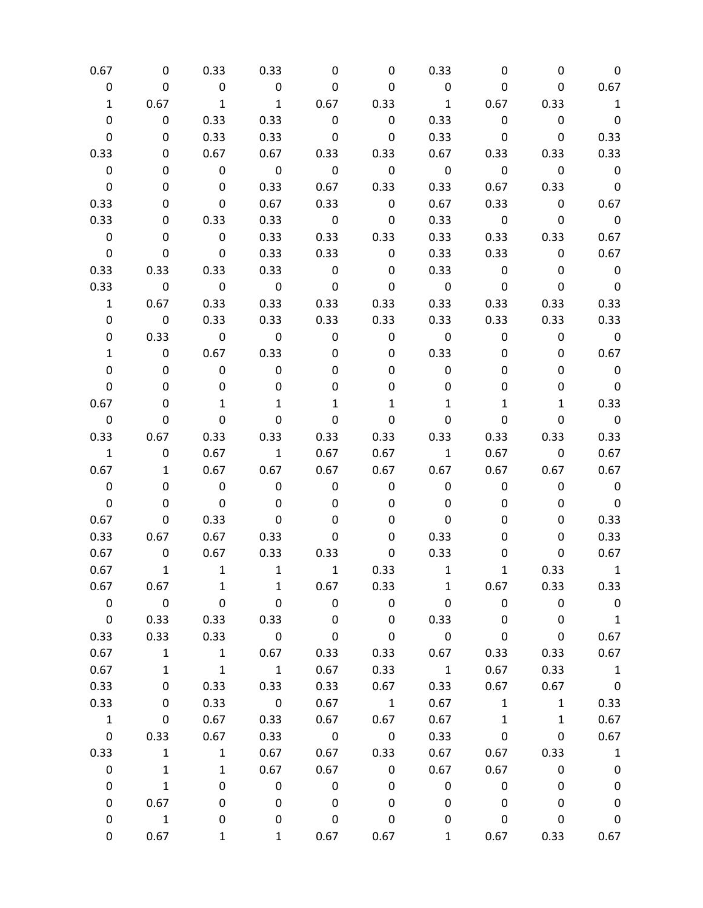| 0.67                    | 0                        | 0.33                     | 0.33                     | 0                        | 0                        | 0.33                    | 0                        | 0                        | 0                        |
|-------------------------|--------------------------|--------------------------|--------------------------|--------------------------|--------------------------|-------------------------|--------------------------|--------------------------|--------------------------|
| 0                       | $\mathbf 0$              | $\overline{\mathbf{0}}$  | $\overline{\mathbf{0}}$  | 0                        | 0                        | $\mathbf 0$             | 0                        | 0                        | 0.67                     |
| $\mathbf{1}$            | 0.67                     | $\overline{1}$           | $\overline{1}$           | 0.67                     | 0.33                     | $\overline{1}$          | 0.67                     | 0.33                     | $\mathbf{1}$             |
| 0                       | $\pmb{0}$                | 0.33                     | 0.33                     | $\mathbf 0$              | $\mathbf 0$              | 0.33                    | $\mathbf 0$              | $\mathbf 0$              | $\overline{\mathbf{0}}$  |
| 0                       | 0                        | 0.33                     | 0.33                     | $\mathbf 0$              | $\mathbf 0$              | 0.33                    | $\mathbf 0$              | $\mathbf 0$              | 0.33                     |
| 0.33                    | 0                        | 0.67                     | 0.67                     | 0.33                     | 0.33                     | 0.67                    | 0.33                     | 0.33                     | 0.33                     |
| 0                       | 0                        | $\overline{\phantom{0}}$ | $\overline{\mathbf{0}}$  | $\overline{\mathbf{0}}$  | $\overline{\mathbf{0}}$  | $\overline{\mathbf{0}}$ | $\mathbf 0$              | $\overline{\mathbf{0}}$  | $\overline{\phantom{0}}$ |
| $\mathbf 0$             | 0                        | $\overline{\mathbf{0}}$  | 0.33                     | 0.67                     | 0.33                     | 0.33                    | 0.67                     | 0.33                     | $\overline{\phantom{0}}$ |
| 0.33                    | 0                        | $\overline{\phantom{0}}$ | 0.67                     | 0.33                     | $\mathbf 0$              | 0.67                    | 0.33                     | $\overline{\phantom{0}}$ | 0.67                     |
| 0.33                    | 0                        | 0.33                     | 0.33                     | $\overline{\mathbf{0}}$  | $\mathbf 0$              | 0.33                    | $\overline{\mathbf{0}}$  | $\mathbf 0$              | $\overline{\mathbf{0}}$  |
| $\pmb{0}$               | 0                        | $\overline{\mathbf{0}}$  | 0.33                     | 0.33                     | 0.33                     | 0.33                    | 0.33                     | 0.33                     | 0.67                     |
| $\mathbf 0$             | 0                        | $\overline{\mathbf{0}}$  | 0.33                     | 0.33                     | $\mathbf 0$              | 0.33                    | 0.33                     | $\overline{\mathbf{0}}$  | 0.67                     |
| 0.33                    | 0.33                     | 0.33                     | 0.33                     | $\overline{\phantom{0}}$ | 0                        | 0.33                    | $\overline{\phantom{0}}$ | 0                        | $\overline{\phantom{0}}$ |
| 0.33                    | $\overline{\phantom{0}}$ | $\overline{\mathbf{0}}$  | $\overline{\mathbf{0}}$  | $\mathbf 0$              | 0                        | $\overline{\mathbf{0}}$ | $\mathbf 0$              | 0                        | $\overline{\mathbf{0}}$  |
| $\mathbf{1}$            | 0.67                     | 0.33                     | 0.33                     | 0.33                     | 0.33                     | 0.33                    | 0.33                     | 0.33                     | 0.33                     |
| 0                       | $\mathbf 0$              | 0.33                     | 0.33                     | 0.33                     | 0.33                     | 0.33                    | 0.33                     | 0.33                     | 0.33                     |
| 0                       | 0.33                     | $\overline{\mathbf{0}}$  | $\overline{\mathbf{0}}$  | $\mathbf 0$              | $\mathbf 0$              | $\overline{\mathbf{0}}$ | $\mathbf 0$              | $\mathbf 0$              | $\overline{\mathbf{0}}$  |
| $\mathbf{1}$            | $\mathbf 0$              | 0.67                     | 0.33                     | 0                        | 0                        | 0.33                    | 0                        | 0                        | 0.67                     |
| 0                       | 0                        | $\mathbf 0$              | $\overline{\mathbf{0}}$  | 0                        | 0                        | 0                       | 0                        | 0                        | $\overline{\phantom{0}}$ |
| 0                       | 0                        | 0                        | 0                        | 0                        | 0                        | 0                       | 0                        | 0                        | $\overline{\mathbf{0}}$  |
| 0.67                    | 0                        | $\mathbf{1}$             | $\mathbf{1}$             | 1                        | 1                        | 1                       | 1                        | $\mathbf{1}$             | 0.33                     |
| $\overline{\mathbf{0}}$ | 0                        | $\mathbf 0$              | 0                        | $\pmb{0}$                | $\mathbf 0$              | $\mathbf 0$             | $\pmb{0}$                | 0                        | $\overline{\mathbf{0}}$  |
| 0.33                    | 0.67                     | 0.33                     | 0.33                     | 0.33                     | 0.33                     | 0.33                    | 0.33                     | 0.33                     | 0.33                     |
| $\mathbf{1}$            | $\mathbf 0$              | 0.67                     | $\overline{\phantom{a}}$ | 0.67                     | 0.67                     | $\mathbf{1}$            | 0.67                     | $\overline{\phantom{0}}$ | 0.67                     |
| 0.67                    | $\mathbf{1}$             | 0.67                     | 0.67                     | 0.67                     | 0.67                     | 0.67                    | 0.67                     | 0.67                     | 0.67                     |
| $\mathbf 0$             | 0                        | $\overline{\mathbf{0}}$  | $\overline{\mathbf{0}}$  | $\mathbf 0$              | 0                        | $\mathbf 0$             | 0                        | 0                        | $\overline{\phantom{0}}$ |
| $\mathbf 0$             | 0                        | $\overline{\mathbf{0}}$  | 0                        | 0                        | 0                        | 0                       | 0                        | 0                        | $\overline{\phantom{0}}$ |
| 0.67                    | 0                        | 0.33                     | 0                        | 0                        | 0                        | 0                       | 0                        | 0                        | 0.33                     |
| 0.33                    | 0.67                     | 0.67                     | 0.33                     | 0                        | 0                        | 0.33                    | 0                        | 0                        | 0.33                     |
| 0.67                    | $\mathbf 0$              | 0.67                     | 0.33                     | 0.33                     | 0                        | 0.33                    | 0                        | 0                        | 0.67                     |
| 0.67                    | $\overline{\mathbf{1}}$  | $\overline{\mathbf{1}}$  | $\overline{\mathbf{1}}$  | $\overline{1}$           | 0.33                     | $\mathbf{1}$            | $\mathbf{1}$             | 0.33                     | $\overline{\phantom{a}}$ |
| 0.67                    | 0.67                     | $\mathbf{1}$             | $\mathbf{1}$             | 0.67                     | 0.33                     | 1                       | 0.67                     | 0.33                     | 0.33                     |
| $\pmb{0}$               | $\overline{\mathbf{0}}$  | $\mathbf 0$              | 0                        | $\mathbf 0$              | $\mathbf 0$              | 0                       | $\mathbf 0$              | 0                        | $\mathbf 0$              |
| $\overline{\mathbf{0}}$ | 0.33                     | 0.33                     | 0.33                     | $\mathbf 0$              | 0                        | 0.33                    | $\pmb{0}$                | $\pmb{0}$                | $\overline{\mathbf{1}}$  |
| 0.33                    | 0.33                     | 0.33                     | $\overline{\mathbf{0}}$  | 0                        | 0                        | $\pmb{0}$               | $\pmb{0}$                | $\pmb{0}$                | 0.67                     |
| 0.67                    | $\mathbf 1$              | $\overline{\phantom{a}}$ | 0.67                     | 0.33                     | 0.33                     | 0.67                    | 0.33                     | 0.33                     | 0.67                     |
| 0.67                    | $\mathbf{1}$             | $\mathbf{1}$             | $\mathbf{1}$             | 0.67                     | 0.33                     | $\mathbf 1$             | 0.67                     | 0.33                     | $\mathbf{1}$             |
| 0.33                    | 0                        | 0.33                     | 0.33                     | 0.33                     | 0.67                     | 0.33                    | 0.67                     | 0.67                     | $\overline{\mathbf{0}}$  |
| 0.33                    | 0                        | 0.33                     | $\overline{\mathbf{0}}$  | 0.67                     | $\overline{\phantom{a}}$ | 0.67                    | $\mathbf{1}$             | $\mathbf{1}$             | 0.33                     |
| $\mathbf{1}$            | 0                        | 0.67                     | 0.33                     | 0.67                     | 0.67                     | 0.67                    | $\mathbf{1}$             | $\mathbf{1}$             | 0.67                     |
| $\pmb{0}$               | 0.33                     | 0.67                     | 0.33                     | $\overline{\mathbf{0}}$  | $\overline{\mathbf{0}}$  | 0.33                    | $\pmb{0}$                | 0                        | 0.67                     |
| 0.33                    | $\mathbf{1}$             | $1\,$                    | 0.67                     | 0.67                     | 0.33                     | 0.67                    | 0.67                     | 0.33                     | $\mathbf{1}$             |
| 0                       | $\mathbf{1}$             | $\mathbf{1}$             | 0.67                     | 0.67                     | $\mathbf 0$              | 0.67                    | 0.67                     | $\pmb{0}$                | $\pmb{0}$                |
| 0                       | $\mathbf{1}$             | 0                        | $\mathbf 0$              | $\pmb{0}$                | 0                        | 0                       | 0                        | 0                        | 0                        |
| 0                       | 0.67                     | 0                        | 0                        | 0                        | 0                        | 0                       | 0                        | 0                        | $\pmb{0}$                |
| 0                       | $\mathbf 1$              | 0                        | 0                        | $\pmb{0}$                | $\mathbf 0$              | 0                       | $\pmb{0}$                | 0                        | $\pmb{0}$                |
| 0                       | 0.67                     | $\mathbf{1}$             | 1                        | 0.67                     | 0.67                     | 1                       | 0.67                     | 0.33                     | 0.67                     |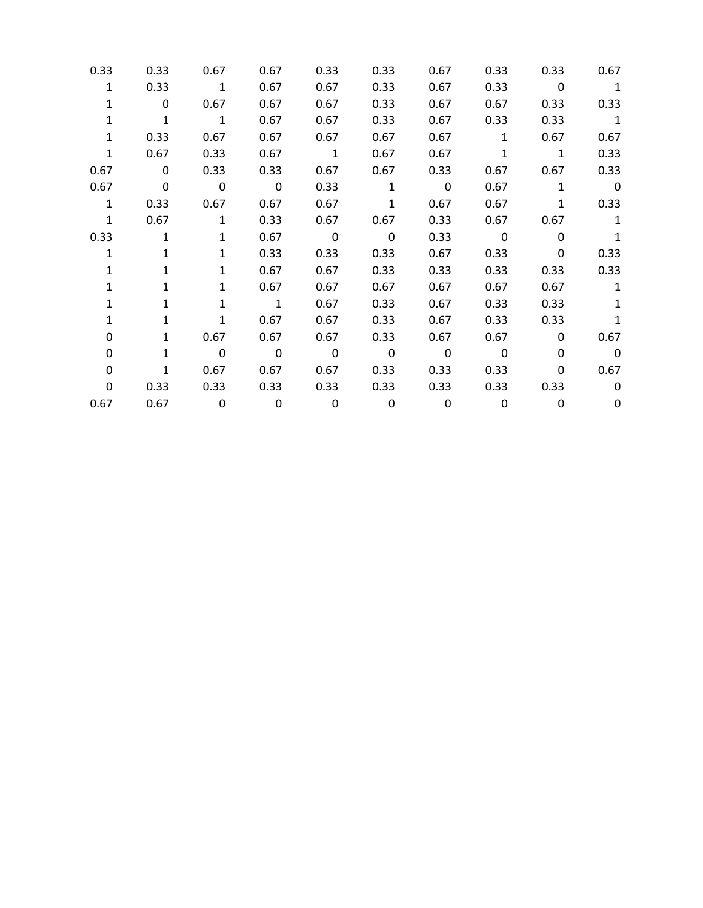| 0.33         | 0.33                    | 0.67                    | 0.67                    | 0.33                    | 0.33                     | 0.67                     | 0.33                    | 0.33                    | 0.67                     |
|--------------|-------------------------|-------------------------|-------------------------|-------------------------|--------------------------|--------------------------|-------------------------|-------------------------|--------------------------|
| $\mathbf{1}$ | 0.33                    | $\overline{1}$          | 0.67                    | 0.67                    | 0.33                     | 0.67                     | 0.33                    | $\overline{\mathbf{0}}$ | $\overline{\phantom{a}}$ |
| $\mathbf{1}$ | $\mathbf{0}$            | 0.67                    | 0.67                    | 0.67                    | 0.33                     | 0.67                     | 0.67                    | 0.33                    | 0.33                     |
| 1            | $\mathbf{1}$            | $\mathbf{1}$            | 0.67                    | 0.67                    | 0.33                     | 0.67                     | 0.33                    | 0.33                    | $\mathbf{1}$             |
| $\mathbf{1}$ | 0.33                    | 0.67                    | 0.67                    | 0.67                    | 0.67                     | 0.67                     | $\mathbf{1}$            | 0.67                    | 0.67                     |
| $\mathbf{1}$ | 0.67                    | 0.33                    | 0.67                    | $\overline{\mathbf{1}}$ | 0.67                     | 0.67                     | $\mathbf{1}$            | $\overline{1}$          | 0.33                     |
| 0.67         | $\overline{\mathbf{0}}$ | 0.33                    | 0.33                    | 0.67                    | 0.67                     | 0.33                     | 0.67                    | 0.67                    | 0.33                     |
| 0.67         | $\overline{\mathbf{0}}$ | $\overline{\mathbf{0}}$ | $\overline{\mathbf{0}}$ | 0.33                    | $\mathbf{1}$             | $\overline{\phantom{0}}$ | 0.67                    | 1                       | $\overline{\phantom{0}}$ |
| $\mathbf{1}$ | 0.33                    | 0.67                    | 0.67                    | 0.67                    | $\mathbf{1}$             | 0.67                     | 0.67                    | $\mathbf{1}$            | 0.33                     |
| $\mathbf{1}$ | 0.67                    | $\mathbf{1}$            | 0.33                    | 0.67                    | 0.67                     | 0.33                     | 0.67                    | 0.67                    | $\mathbf{1}$             |
| 0.33         | $\mathbf{1}$            | $\mathbf{1}$            | 0.67                    | $\overline{\mathbf{0}}$ | $\overline{\mathbf{0}}$  | 0.33                     | $\overline{\mathbf{0}}$ | $\mathbf 0$             | $\mathbf{1}$             |
| $\mathbf{1}$ | $\mathbf{1}$            | $\mathbf{1}$            | 0.33                    | 0.33                    | 0.33                     | 0.67                     | 0.33                    | $\mathbf{0}$            | 0.33                     |
| 1            | $\mathbf{1}$            | $\mathbf{1}$            | 0.67                    | 0.67                    | 0.33                     | 0.33                     | 0.33                    | 0.33                    | 0.33                     |
| 1            | $\mathbf{1}$            | $\mathbf{1}$            | 0.67                    | 0.67                    | 0.67                     | 0.67                     | 0.67                    | 0.67                    | $\mathbf{1}$             |
| 1            | $\mathbf{1}$            | $\mathbf{1}$            | $\overline{\mathbf{1}}$ | 0.67                    | 0.33                     | 0.67                     | 0.33                    | 0.33                    | $\mathbf{1}$             |
| 1            | $\mathbf{1}$            | $\mathbf{1}$            | 0.67                    | 0.67                    | 0.33                     | 0.67                     | 0.33                    | 0.33                    | 1                        |
| 0            | $\mathbf{1}$            | 0.67                    | 0.67                    | 0.67                    | 0.33                     | 0.67                     | 0.67                    | $\mathbf{0}$            | 0.67                     |
| 0            | $\mathbf{1}$            | $\mathbf 0$             | $\overline{\mathbf{0}}$ | $\overline{\mathbf{0}}$ | $\overline{\phantom{0}}$ | $\mathbf 0$              | 0                       | 0                       | $\overline{\mathbf{0}}$  |
| 0            | $\mathbf{1}$            | 0.67                    | 0.67                    | 0.67                    | 0.33                     | 0.33                     | 0.33                    | 0                       | 0.67                     |
| 0            | 0.33                    | 0.33                    | 0.33                    | 0.33                    | 0.33                     | 0.33                     | 0.33                    | 0.33                    | 0                        |
| 0.67         | 0.67                    | $\overline{\mathbf{0}}$ | $\overline{\mathbf{0}}$ | $\mathsf 0$             | $\mathbf 0$              | 0                        | 0                       | $\mathbf{0}$            | 0                        |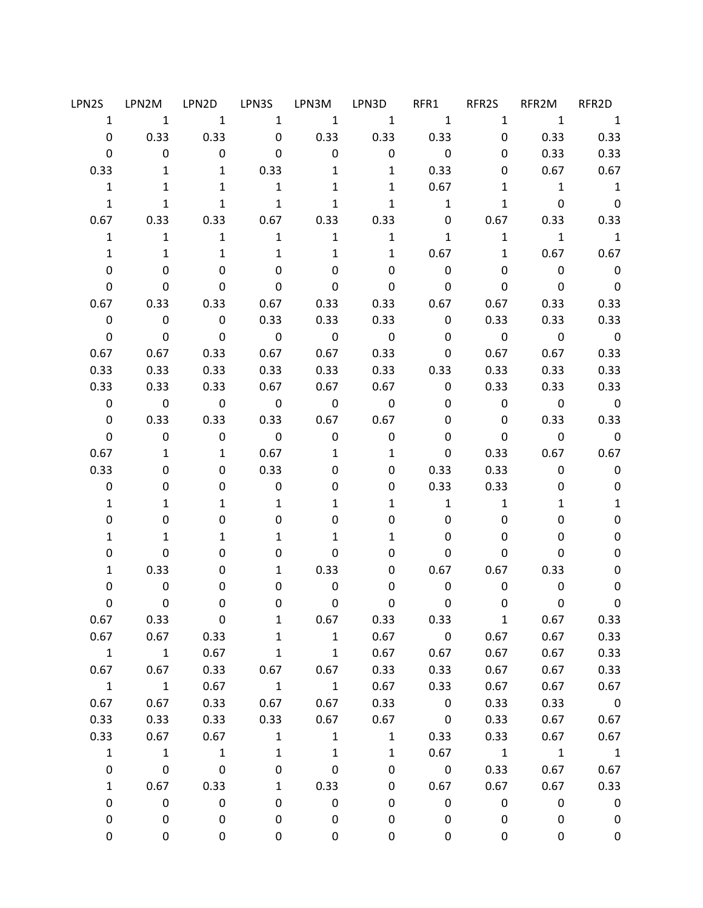|              | LPN2S LPN2M LPN2D LPN3S LPN3M LPN3D                             |                          |                                 |                         |                            | RFR1                                         | RFR2S          | RFR2M                                              | RFR2D                      |
|--------------|-----------------------------------------------------------------|--------------------------|---------------------------------|-------------------------|----------------------------|----------------------------------------------|----------------|----------------------------------------------------|----------------------------|
|              | $\begin{matrix} 1 & 1 & 1 & 1 & 1 & 1 & 1 & 1 & 1 \end{matrix}$ |                          |                                 |                         |                            |                                              |                | $\overline{\mathbf{1}}$                            | $\overline{\phantom{a}}$   |
| $\mathbf 0$  |                                                                 |                          |                                 |                         | 0.33 0.33 0 0.33 0.33 0.33 |                                              |                | $0$ 0.33  0.33                                     |                            |
| $\mathbf 0$  |                                                                 | $\overline{0}$           | 0<br>$\overline{\phantom{0}}$   | $\overline{\mathbf{0}}$ |                            | $0 \qquad \qquad$<br>$\overline{\mathbf{0}}$ |                | 0.33<br>$0 \qquad \qquad$                          | 0.33                       |
| 0.33         | 1                                                               |                          | 1 0.33                          | $\mathbf{1}$            | $\overline{\phantom{a}}$   | 0.33                                         | 0              | 0.67                                               | 0.67                       |
| $\mathbf{1}$ | $\mathbf{1}$                                                    | $\mathbf{1}$             | $\overline{\phantom{a}}$        | $\mathbf{1}$            |                            | 1 0.67                                       | 1              | $\overline{1}$                                     | $\overline{\phantom{a}}$ 1 |
| $\mathbf{1}$ | $\mathbf{1}$                                                    | 1                        | $\overline{1}$                  | $\mathbf{1}$            | $\mathbf{1}$               | $\overline{\mathbf{1}}$                      | 1              | $\overline{\mathbf{0}}$                            | $\overline{\mathbf{0}}$    |
|              | 0.67 0.33 0.33 0.67 0.33 0.33                                   |                          |                                 |                         |                            | $\overline{0}$                               | 0.67           |                                                    | 0.33 0.33                  |
| $\mathbf{1}$ | $\mathbf{1}$                                                    |                          | $1 \qquad \qquad 1$             | 1                       | $\mathbf{1}$               | $\overline{1}$                               |                | $1 \qquad 1 \qquad 1$                              |                            |
| $\mathbf{1}$ | $\mathbf{1}$                                                    | $\mathbf{1}$             | $\mathbf{1}$                    | $\mathbf{1}$            |                            | 1 0.67                                       |                | 1 0.67                                             | 0.67                       |
| 0            | $\mathbf 0$                                                     | 0                        | $\mathbf 0$                     | $\mathbf 0$             | $\mathbf 0$                | $\overline{\mathbf{0}}$                      | $\mathbf{0}$   | $\overline{\phantom{0}}$                           | $\overline{\phantom{0}}$   |
| 0            | $\mathbf 0$                                                     | $\mathbf 0$              | $\mathbf 0$                     | $\overline{\mathbf{0}}$ | $\overline{\phantom{0}}$   | $\overline{\phantom{0}}$                     | $\mathbf{0}$   | $\overline{\phantom{0}}$                           | $\overline{\mathbf{0}}$    |
|              | $0.67$ 0.33                                                     |                          |                                 |                         | 0.33 0.67 0.33 0.33        | 0.67                                         | 0.67           | 0.33                                               | 0.33                       |
| $\mathbf 0$  | $\overline{\mathbf{0}}$                                         | $\overline{\phantom{0}}$ | 0.33                            | 0.33                    | 0.33                       | $\overline{\mathbf{0}}$                      | 0.33           | 0.33                                               | 0.33                       |
| $\mathbf 0$  | $\overline{\mathbf{0}}$                                         | $\overline{\mathbf{0}}$  | $\overline{\mathbf{0}}$         | $\overline{\mathbf{0}}$ | $\overline{\mathbf{0}}$    | $\overline{\mathbf{0}}$                      | $\overline{0}$ | $\overline{\mathbf{0}}$                            | $\overline{\phantom{0}}$   |
| 0.67         | 0.67                                                            |                          |                                 |                         | 0.33 0.67 0.67 0.33        | $\mathbf 0$                                  | 0.67           | 0.67                                               | 0.33                       |
| 0.33         | 0.33                                                            |                          | $0.33$ 0.33                     |                         | $0.33$ $0.33$ $0.33$       |                                              | 0.33           | 0.33                                               | 0.33                       |
| 0.33         | 0.33                                                            | 0.33                     | 0.67                            | 0.67                    |                            | $0.67$ 0                                     | 0.33           | 0.33                                               | 0.33                       |
| $\mathbf 0$  | $\overline{\mathbf{0}}$                                         |                          | $\overline{0}$ 0                | $\overline{0}$          | $\overline{\mathbf{0}}$    | $\mathbf 0$                                  |                | $\begin{matrix}0&0&0\end{matrix}$                  |                            |
| $\mathbf{0}$ |                                                                 | 0.33 0.33 0.33 0.67 0.67 |                                 |                         |                            | $\mathbf 0$                                  |                | $0\qquad 0.33$                                     | 0.33                       |
| $\mathsf{O}$ | $\overline{\mathbf{0}}$                                         |                          | $\begin{matrix}0&0\end{matrix}$ | $\overline{\mathbf{0}}$ | $\overline{\mathbf{0}}$    | $\mathbf 0$                                  |                | $\begin{array}{ccc} & & 0 & \quad & 0 \end{array}$ |                            |
| 0.67         | 1                                                               | 1                        | 0.67                            | $\mathbf{1}$            | $\overline{\mathbf{1}}$    | $\mathbf{0}$                                 | 0.33           | 0.67                                               | 0.67                       |
| 0.33         | 0                                                               | 0                        | 0.33                            | 0                       | 0                          | 0.33                                         |                | 0.33                                               | $0\qquad \qquad 0$         |
| $\mathbf 0$  | 0                                                               | 0                        | $\overline{\mathbf{0}}$         | 0                       | 0                          | 0.33                                         | 0.33           | 0                                                  | $\mathbf 0$                |
| $\mathbf{1}$ | $\mathbf{1}$                                                    | $\mathbf{1}$             | $\mathbf{1}$                    | $\mathbf{1}$            | $\mathbf{1}$               | 1                                            | $\overline{1}$ | $\mathbf{1}$                                       | $\mathbf{1}$               |
| 0            | 0                                                               | 0                        | 0                               | 0                       | 0                          | $\mathbf 0$                                  | 0              | 0                                                  | $\pmb{0}$                  |
| $\mathbf{1}$ | $\mathbf{1}$                                                    | $\mathbf{1}$             | $\mathbf{1}$                    | $\mathbf{1}$            | $\mathbf{1}$               | $\mathbf 0$                                  | 0              | 0                                                  | 0                          |
| 0            | 0                                                               | 0                        | 0                               | 0                       | 0                          | $\mathbf 0$                                  | 0              | 0                                                  | $\mathbf 0$                |
| $\mathbf{1}$ | 0.33                                                            | 0                        | $\mathbf{1}$                    | 0.33                    | $\mathbf 0$                |                                              | $0.67$ 0.67    | 0.33                                               | $\pmb{0}$                  |
| 0            | $\mathbf 0$                                                     | 0                        | 0                               | $\overline{\mathbf{0}}$ | 0                          | $\overline{0}$                               | $\mathbf{0}$   | $\mathbf 0$                                        | 0                          |
| 0            | $\mathbf 0$                                                     | 0                        | 0                               | $\overline{\mathbf{0}}$ | 0                          | $\overline{\mathbf{0}}$                      | $\overline{0}$ | 0                                                  | 0                          |
| 0.67         | 0.33                                                            | 0                        | 1                               | 0.67                    | 0.33                       | 0.33                                         | $\mathbf{1}$   | 0.67                                               | 0.33                       |
| 0.67         | 0.67                                                            | 0.33                     | $\mathbf{1}$                    | $\mathbf{1}$            | 0.67                       | $\mathbf 0$                                  | 0.67           | 0.67                                               | 0.33                       |
| $\mathbf{1}$ | $\mathbf{1}$                                                    | 0.67                     | $\mathbf{1}$                    | $\mathbf{1}$            | 0.67                       | 0.67                                         | 0.67           | 0.67                                               | 0.33                       |
| 0.67         | 0.67                                                            | 0.33                     | 0.67                            | 0.67                    | 0.33                       | 0.33                                         | 0.67           | 0.67                                               | 0.33                       |
| $\mathbf{1}$ | $\overline{1}$                                                  | 0.67                     | $\mathbf 1$                     | $\mathbf 1$             | 0.67                       | 0.33                                         | 0.67           | 0.67                                               | 0.67                       |
| 0.67         | 0.67                                                            | 0.33                     | 0.67                            | 0.67                    | 0.33                       | $\mathbf 0$                                  | 0.33           | 0.33                                               | $\overline{\mathbf{0}}$    |
| 0.33         | 0.33                                                            | 0.33                     | 0.33                            | 0.67                    | 0.67                       | $\overline{\mathbf{0}}$                      | 0.33           | 0.67                                               | 0.67                       |
| 0.33         | 0.67                                                            | 0.67                     | $\mathbf{1}$                    | $\mathbf{1}$            | $\mathbf{1}$               | 0.33                                         | 0.33           | 0.67                                               | 0.67                       |
| $\mathbf{1}$ | $\mathbf{1}$                                                    | $\mathbf{1}$             | $\mathbf{1}$                    | $\mathbf{1}$            | $\mathbf 1$                | 0.67                                         | $\mathbf{1}$   | $\mathbf 1$                                        | $\overline{\mathbf{1}}$    |
| $\pmb{0}$    | $\mathbf 0$                                                     | $\pmb{0}$                | 0                               | $\pmb{0}$               | $\pmb{0}$                  | $\overline{\mathbf{0}}$                      | 0.33           | 0.67                                               | 0.67                       |
| $\mathbf{1}$ | 0.67                                                            | 0.33                     | $\mathbf{1}$                    | 0.33                    | 0                          | 0.67                                         | 0.67           | 0.67                                               | 0.33                       |
| 0            | $\pmb{0}$                                                       | $\pmb{0}$                | 0                               | 0                       | 0                          | $\pmb{0}$                                    | $\pmb{0}$      | 0                                                  | $\mathbf 0$                |
| 0            | 0                                                               | 0                        | 0                               | 0                       | 0                          | 0                                            | 0              | 0                                                  | $\mathbf 0$                |
| 0            | 0                                                               | 0                        | 0                               | 0                       | 0                          | 0                                            | 0              | 0                                                  | $\pmb{0}$                  |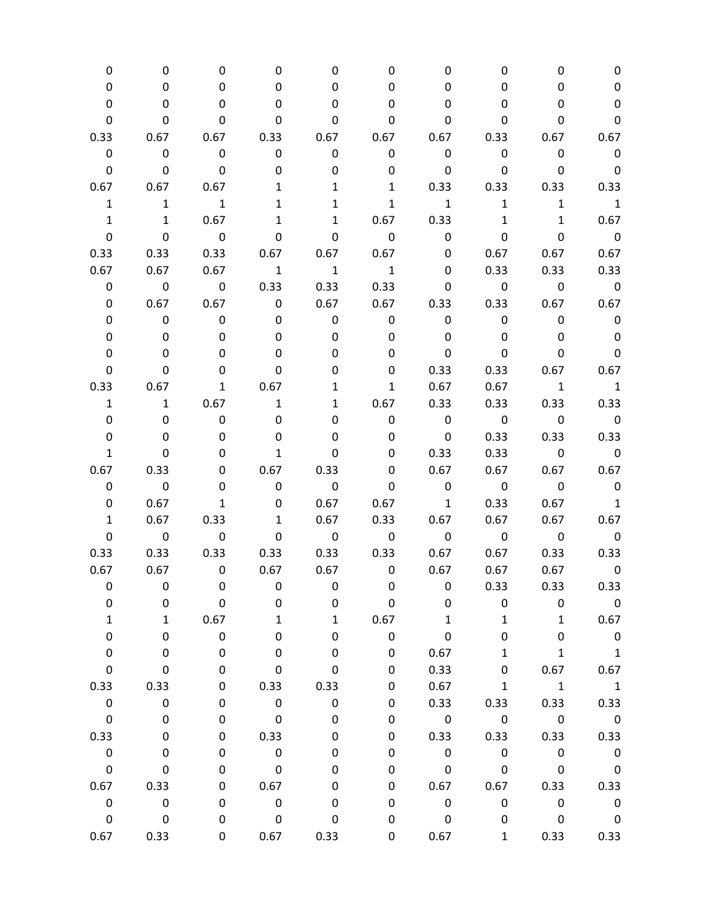| 0            | 0                        | 0                        | 0                        | 0                        | 0                        | 0                               | 0                                                  | 0                          | 0                          |
|--------------|--------------------------|--------------------------|--------------------------|--------------------------|--------------------------|---------------------------------|----------------------------------------------------|----------------------------|----------------------------|
| 0            | 0                        | 0                        | 0                        | 0                        | 0                        | 0                               | 0                                                  | 0                          | 0                          |
| 0            | 0                        | 0                        | 0                        | 0                        | 0                        | 0                               | 0                                                  | 0                          | $\pmb{0}$                  |
| 0            | 0                        | 0                        | 0                        | 0                        | 0                        | 0                               | 0                                                  | 0                          | $\pmb{0}$                  |
| 0.33         | 0.67                     | 0.67                     | 0.33                     | 0.67                     | 0.67                     | 0.67                            | 0.33                                               |                            | $0.67$ 0.67                |
| $\mathbf 0$  | $\overline{\mathbf{0}}$  | $\overline{\mathbf{0}}$  | $\mathsf{O}$             | $\mathsf{O}$             | $\mathbf 0$              | $\overline{\mathbf{0}}$         | $\overline{\phantom{0}}$                           | $\overline{\phantom{0}}$   | $\overline{\mathbf{0}}$    |
| $\mathbf 0$  | $\mathbf 0$              | $\overline{\mathbf{0}}$  | 0                        | 0                        | 0                        | $\overline{\phantom{0}}$        | $\mathbf 0$                                        | $\overline{\mathbf{0}}$    | $\overline{\phantom{0}}$   |
| 0.67         | 0.67                     | 0.67                     | 1                        | $\mathbf{1}$             | $\mathbf{1}$             | 0.33                            |                                                    | 0.33 0.33 0.33             |                            |
| $\mathbf{1}$ | $\mathbf{1}$             | $\overline{\phantom{1}}$ | 1                        | 1                        | $\mathbf{1}$             | $\mathbf{1}$                    | $\mathbf{1}$                                       | 1                          | $\overline{\phantom{0}}$ 1 |
| $\mathbf{1}$ | $\mathbf{1}$             | 0.67                     | $\mathbf{1}$             | $\mathbf{1}$             | 0.67                     | 0.33                            | $\mathbf{1}$                                       | $\mathbf{1}$               | 0.67                       |
| 0            | $\mathbf 0$              | $\overline{\phantom{0}}$ | 0                        | 0                        | $\overline{\mathbf{0}}$  | $\overline{\mathbf{0}}$         | 0                                                  | $\mathbf 0$                | $\overline{\phantom{0}}$   |
| 0.33         | 0.33                     | 0.33                     | 0.67                     |                          | $0.67$ 0.67              | $\mathbf 0$                     | 0.67                                               |                            | $0.67$ 0.67                |
| 0.67         | 0.67                     | 0.67                     | $\overline{\phantom{a}}$ | $\overline{\mathbf{1}}$  | $\overline{1}$           | 0                               | 0.33                                               | 0.33                       | 0.33                       |
| 0            | $\overline{\mathbf{0}}$  | $\overline{\mathbf{0}}$  | 0.33                     | 0.33                     | 0.33                     | 0                               | $\begin{array}{ccc} & & 0 & \quad & 0 \end{array}$ |                            | $\overline{\phantom{0}}$   |
| 0            | 0.67                     | 0.67                     | $\overline{\mathbf{0}}$  | 0.67                     | 0.67                     |                                 | 0.33 0.33                                          |                            | $0.67$ 0.67                |
| 0            | $\mathbf 0$              | $\overline{\mathbf{0}}$  | 0                        | 0                        | 0                        | $\mathbf 0$                     | $\mathbf 0$                                        | 0                          | $\mathbf 0$                |
| 0            | $\mathbf 0$              | $\mathbf 0$              | 0                        | 0                        | 0                        | 0                               | $\mathbf 0$                                        | $\mathbf{0}$               | $\mathbf 0$                |
| 0            | 0                        | 0                        | 0                        | 0                        | 0                        | 0                               | 0                                                  | 0                          | $\pmb{0}$                  |
| 0            | 0                        | 0                        | 0                        | 0                        | 0                        | 0.33                            | 0.33                                               |                            | $0.67$ 0.67                |
| 0.33         | 0.67                     | 1                        | 0.67                     | $\mathbf{1}$             | $\mathbf{1}$             | 0.67                            | 0.67                                               | $\overline{1}$             | $\overline{\phantom{a}}$   |
| $\mathbf{1}$ | $\mathbf{1}$             | 0.67                     | $\mathbf{1}$             |                          | 1 0.67                   | 0.33                            | 0.33                                               | $0.33$ 0.33                |                            |
| 0            | $\mathbf 0$              | $\overline{\mathbf{0}}$  | 0                        | 0                        | $\mathbf 0$              | $\overline{\mathbf{0}}$         | $\overline{\mathbf{0}}$                            | $\overline{\phantom{0}}$   | $\overline{\phantom{0}}$ 0 |
| 0            | 0                        | 0                        | 0                        | 0                        | 0                        | $\overline{\phantom{0}}$        | 0.33                                               |                            | 0.33 0.33                  |
| $\mathbf{1}$ | 0                        | 0                        | $\mathbf{1}$             | 0                        | 0                        | 0.33                            |                                                    | $0.33$ 0                   | $\overline{\phantom{0}}$   |
| 0.67         | 0.33                     | 0                        | 0.67                     | 0.33                     | 0                        | 0.67                            |                                                    | $0.67$ 0.67 0.67           |                            |
| 0            | $\overline{\phantom{0}}$ | 0                        | 0                        | $\overline{\phantom{0}}$ | 0                        | $\begin{matrix}0&0\end{matrix}$ |                                                    | $\overline{\mathbf{0}}$    | $\overline{\phantom{0}}$   |
| 0            | 0.67                     | $\mathbf{1}$             | 0                        | 0.67                     | 0.67                     | $\overline{1}$                  | 0.33                                               | 0.67                       | $\overline{\phantom{a}}$   |
| $\mathbf{1}$ | 0.67                     | 0.33                     | $\mathbf{1}$             | 0.67                     | 0.33                     | 0.67                            | 0.67                                               | 0.67                       | 0.67                       |
| 0            | $\overline{\mathbf{0}}$  | $\overline{\phantom{0}}$ | $\mathbf 0$              | $\overline{\mathbf{0}}$  | $\overline{\phantom{0}}$ | $\overline{\mathbf{0}}$         | $\overline{\mathbf{0}}$                            | $\overline{\mathbf{0}}$    | $\overline{\mathbf{0}}$    |
| 0.33         | 0.33                     | 0.33                     | 0.33                     |                          | 0.33 0.33                | 0.67                            | 0.67                                               |                            | 0.33 0.33                  |
| 0.67         | 0.67                     | $\overline{\mathbf{0}}$  | 0.67                     |                          | $0.67$ 0                 | 0.67                            | 0.67                                               | 0.67                       | $\overline{\mathbf{0}}$    |
| 0            | 0                        | 0                        | 0                        | 0                        | 0                        | 0                               | 0.33                                               | 0.33                       | 0.33                       |
| 0            | 0                        | $\pmb{0}$                | 0                        | 0                        | 0                        | 0                               | $\mathbf 0$                                        | $\mathbf 0$                | $\overline{\mathbf{0}}$    |
| $\mathbf{1}$ | $\mathbf{1}$             | 0.67                     | $\mathbf{1}$             | $\mathbf{1}$             | 0.67                     | $\mathbf{1}$                    | $\mathbf{1}$                                       | $\mathbf{1}$               | 0.67                       |
| 0            | 0                        | $\boldsymbol{0}$         | 0                        | 0                        | $\pmb{0}$                | 0                               | 0                                                  | 0                          | $\overline{\mathbf{0}}$    |
| 0            | $\mathbf 0$              | $\pmb{0}$                | 0                        | 0                        | 0                        | 0.67                            | $\mathbf{1}$                                       | $\mathbf{1}$               | $\overline{\phantom{a}}$   |
| $\mathbf 0$  | 0                        | $\mathbf 0$              | 0                        | 0                        | 0                        | 0.33                            | 0                                                  | 0.67                       | 0.67                       |
| 0.33         | 0.33                     | 0                        | 0.33                     | 0.33                     | 0                        | 0.67                            | $\mathbf{1}$                                       | $\overline{\phantom{a}}$ 1 | $\overline{\phantom{a}}$ 1 |
| $\mathsf 0$  | $\mathbf 0$              | $\mathbf 0$              | $\overline{\mathbf{0}}$  | $\pmb{0}$                | 0                        | 0.33                            | 0.33                                               | 0.33                       | 0.33                       |
| $\mathsf 0$  | $\pmb{0}$                | $\pmb{0}$                | 0                        | 0                        | 0                        | $\overline{\mathbf{0}}$         | $\overline{\mathbf{0}}$                            | $\overline{\phantom{0}}$   | $\overline{\phantom{0}}$   |
| 0.33         | $\pmb{0}$                | 0                        | 0.33                     | 0                        | 0                        | 0.33                            | 0.33                                               | 0.33                       | 0.33                       |
| $\pmb{0}$    | 0                        | 0                        | $\mathsf 0$              | 0                        | 0                        | $\pmb{0}$                       | $\mathsf{O}\xspace$                                | $\pmb{0}$                  | $\mathbf 0$                |
| $\mathbf 0$  | 0                        | 0                        | $\mathbf 0$              | 0                        | 0                        | $\mathbf 0$                     | $\mathsf 0$                                        | $\pmb{0}$                  | $\overline{\phantom{0}}$   |
| 0.67         | 0.33                     | 0                        | 0.67                     | 0                        | 0                        | 0.67                            | 0.67                                               | 0.33                       | 0.33                       |
| $\mathsf 0$  | $\overline{\mathbf{0}}$  | 0                        | $\overline{\mathbf{0}}$  | 0                        | 0                        | $\pmb{0}$                       | $\mathbf 0$                                        | $\mathsf 0$                | $\overline{\phantom{0}}$   |
| $\mathsf 0$  | $\mathsf 0$              | $\pmb{0}$                | $\mathbf 0$              | 0                        | 0                        | $\pmb{0}$                       | 0                                                  | $\pmb{0}$                  | $\overline{\mathbf{0}}$    |
| 0.67         | 0.33                     | 0                        | 0.67                     | 0.33                     | 0                        | 0.67                            | $\mathbf{1}$                                       | 0.33                       | 0.33                       |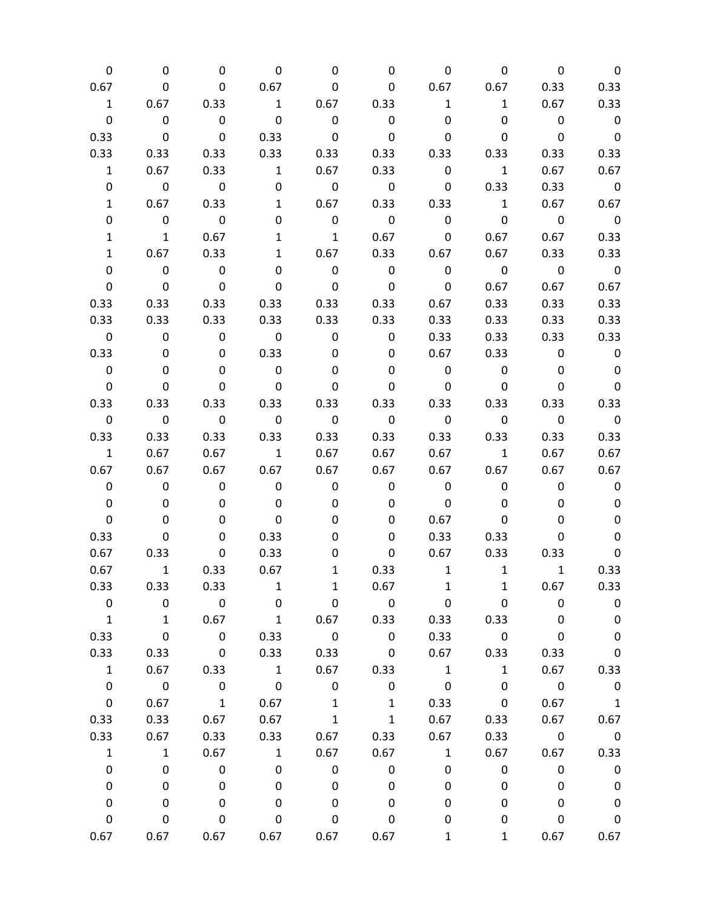| 0                       | 0                        | 0                        | 0                                                                                                                                                                                                                                                                                                                                                                                                                                                                               | 0                        | 0                        | 0                                            | 0                       | 0                        | $\overline{0}$             |
|-------------------------|--------------------------|--------------------------|---------------------------------------------------------------------------------------------------------------------------------------------------------------------------------------------------------------------------------------------------------------------------------------------------------------------------------------------------------------------------------------------------------------------------------------------------------------------------------|--------------------------|--------------------------|----------------------------------------------|-------------------------|--------------------------|----------------------------|
| 0.67                    | $\mathsf{O}$             | $\overline{\phantom{0}}$ | 0.67                                                                                                                                                                                                                                                                                                                                                                                                                                                                            | 0                        |                          | $0 \t 0.67 \t 0.67$                          |                         | 0.33                     | 0.33                       |
| $\mathbf{1}$            | 0.67                     | 0.33                     | $\overline{1}$                                                                                                                                                                                                                                                                                                                                                                                                                                                                  | $0.67$ 0.33              |                          | $\mathbf{1}$                                 | $\overline{1}$          | 0.67                     | 0.33                       |
| 0                       | $\mathbf 0$              | $\overline{\mathbf{0}}$  | $\overline{\mathbf{0}}$                                                                                                                                                                                                                                                                                                                                                                                                                                                         | $\overline{\mathbf{0}}$  | $\overline{\phantom{0}}$ | 0                                            | 0                       | $\overline{\phantom{0}}$ | $\overline{\phantom{0}}$   |
| 0.33                    | $\overline{\mathbf{0}}$  | $\overline{0}$           | 0.33                                                                                                                                                                                                                                                                                                                                                                                                                                                                            | $\mathbf 0$              | $\overline{\mathbf{0}}$  | 0                                            | 0                       | $\overline{\mathbf{0}}$  | $\overline{\phantom{0}}$   |
| 0.33                    | 0.33                     | 0.33                     | 0.33                                                                                                                                                                                                                                                                                                                                                                                                                                                                            | 0.33                     | 0.33                     | 0.33                                         | 0.33                    | 0.33                     | 0.33                       |
| $\mathbf{1}$            | 0.67                     | 0.33                     | $\overline{\phantom{a}}$ $\overline{\phantom{a}}$ $\overline{\phantom{a}}$ $\overline{\phantom{a}}$ $\overline{\phantom{a}}$ $\overline{\phantom{a}}$ $\overline{\phantom{a}}$ $\overline{\phantom{a}}$ $\overline{\phantom{a}}$ $\overline{\phantom{a}}$ $\overline{\phantom{a}}$ $\overline{\phantom{a}}$ $\overline{\phantom{a}}$ $\overline{\phantom{a}}$ $\overline{\phantom{a}}$ $\overline{\phantom{a}}$ $\overline{\phantom{a}}$ $\overline{\phantom{a}}$ $\overline{\$ | 0.67                     | 0.33                     | $\begin{array}{ccc} & & 0 & & 1 \end{array}$ |                         | 0.67                     | 0.67                       |
| 0                       | $\overline{\mathbf{0}}$  | $\overline{\mathbf{0}}$  | $\mathbf 0$                                                                                                                                                                                                                                                                                                                                                                                                                                                                     | $\overline{\mathbf{0}}$  | $\overline{\mathbf{0}}$  |                                              | $0\qquad 0.33$          | 0.33                     | $\overline{\phantom{0}}$   |
| $\mathbf{1}$            | 0.67                     | 0.33                     | $1 \quad$                                                                                                                                                                                                                                                                                                                                                                                                                                                                       | 0.67                     | 0.33                     | 0.33                                         | $\overline{1}$          | 0.67                     | 0.67                       |
| 0                       | $\overline{\mathbf{0}}$  | $\overline{\phantom{0}}$ | 0                                                                                                                                                                                                                                                                                                                                                                                                                                                                               | $\overline{\phantom{0}}$ | $\overline{\phantom{0}}$ | $\overline{\phantom{0}}$                     | $\mathbf 0$             | $\overline{\mathbf{0}}$  | $\overline{\phantom{0}}$ 0 |
| 1                       | $\overline{\phantom{a}}$ | 0.67                     | 1                                                                                                                                                                                                                                                                                                                                                                                                                                                                               | $\overline{\mathbf{1}}$  | 0.67                     | $\overline{\phantom{0}}$                     | 0.67                    | 0.67                     | 0.33                       |
| $\mathbf{1}$            | 0.67                     | 0.33                     | 1                                                                                                                                                                                                                                                                                                                                                                                                                                                                               | 0.67                     | 0.33                     | 0.67                                         | 0.67                    | 0.33                     | 0.33                       |
| $\mathbf 0$             | $\overline{\mathbf{0}}$  | $\overline{\mathbf{0}}$  | $\mathbf 0$                                                                                                                                                                                                                                                                                                                                                                                                                                                                     | $\overline{\mathbf{0}}$  | $\overline{\phantom{0}}$ | $\overline{\mathbf{0}}$                      | $\overline{\mathbf{0}}$ | $\overline{\mathbf{0}}$  | $\overline{\mathbf{0}}$    |
| 0                       | $\overline{\mathbf{0}}$  | $\overline{\mathbf{0}}$  | 0                                                                                                                                                                                                                                                                                                                                                                                                                                                                               | $\overline{\mathbf{0}}$  | $\overline{\phantom{0}}$ | 0                                            | 0.67                    | 0.67                     | 0.67                       |
| 0.33                    | 0.33                     | 0.33                     | 0.33                                                                                                                                                                                                                                                                                                                                                                                                                                                                            | 0.33                     | 0.33                     | 0.67                                         | 0.33                    | 0.33                     | 0.33                       |
| 0.33                    | 0.33                     | 0.33                     |                                                                                                                                                                                                                                                                                                                                                                                                                                                                                 |                          | 0.33 0.33 0.33           | 0.33                                         | 0.33                    | 0.33                     | 0.33                       |
| $\overline{\mathbf{0}}$ | $\overline{\phantom{0}}$ | $\overline{\mathbf{0}}$  | $\overline{\mathbf{0}}$                                                                                                                                                                                                                                                                                                                                                                                                                                                         | $\overline{\mathbf{0}}$  | $\overline{0}$           | 0.33                                         |                         | $0.33$ 0.33              | 0.33                       |
| 0.33                    | $\mathbf 0$              | $\mathbf{0}$             | 0.33                                                                                                                                                                                                                                                                                                                                                                                                                                                                            | $\mathbf 0$              | $\mathbf{0}$             | 0.67                                         | 0.33                    | $\overline{\phantom{0}}$ | $\overline{\phantom{0}}$   |
| $\overline{\mathbf{0}}$ | 0                        | 0                        | $\overline{\mathbf{0}}$                                                                                                                                                                                                                                                                                                                                                                                                                                                         | 0                        | 0                        | $\overline{\mathbf{0}}$                      | $\overline{\mathbf{0}}$ | 0                        | $\overline{\phantom{0}}$   |
| $\mathbf 0$             | $\mathbf 0$              | $\mathbf 0$              | $\overline{\mathbf{0}}$                                                                                                                                                                                                                                                                                                                                                                                                                                                         | 0                        | 0                        | $\overline{\mathbf{0}}$                      | $\overline{\mathbf{0}}$ | 0                        | $\mathbf 0$                |
| 0.33                    | 0.33                     | 0.33                     | 0.33                                                                                                                                                                                                                                                                                                                                                                                                                                                                            | 0.33                     | 0.33                     |                                              |                         | 0.33 0.33 0.33           | 0.33                       |
| $\overline{\mathbf{0}}$ | $\overline{\phantom{0}}$ | $\overline{\mathbf{0}}$  | $\overline{\mathbf{0}}$                                                                                                                                                                                                                                                                                                                                                                                                                                                         | $\overline{\mathbf{0}}$  | $\overline{\mathbf{0}}$  | $\overline{\mathbf{0}}$                      | $\overline{\mathbf{0}}$ | $\overline{\mathbf{0}}$  | $\overline{\mathbf{0}}$    |
| 0.33                    | 0.33                     | 0.33                     | 0.33                                                                                                                                                                                                                                                                                                                                                                                                                                                                            | 0.33                     | 0.33                     | 0.33                                         | 0.33                    | 0.33                     | 0.33                       |
| $\overline{1}$          | 0.67                     | 0.67                     | $\overline{1}$                                                                                                                                                                                                                                                                                                                                                                                                                                                                  | 0.67                     | 0.67                     | 0.67                                         | $\overline{1}$          | 0.67                     | 0.67                       |
| 0.67                    | 0.67                     | 0.67                     | 0.67                                                                                                                                                                                                                                                                                                                                                                                                                                                                            | 0.67                     |                          | $0.67$ 0.67                                  | 0.67                    | 0.67                     | 0.67                       |
| $\mathbf 0$             | $\overline{\phantom{0}}$ | $\overline{\phantom{0}}$ | $\overline{\phantom{0}}$                                                                                                                                                                                                                                                                                                                                                                                                                                                        | $\mathsf{O}$             | 0                        | $\overline{\phantom{0}}$                     | 0                       | $\overline{\mathbf{0}}$  | $\overline{\phantom{0}}$   |
| $\mathbf 0$             | $\mathbf 0$              | $\mathbf 0$              | $\mathbf 0$                                                                                                                                                                                                                                                                                                                                                                                                                                                                     | 0                        | 0                        | $\overline{\phantom{0}}$                     | 0                       | 0                        | $\mathbf 0$                |
| $\mathbf{0}$            | 0                        | 0                        | 0                                                                                                                                                                                                                                                                                                                                                                                                                                                                               | 0                        | 0                        | 0.67                                         | 0                       | 0                        | 0                          |
| 0.33                    | 0                        | 0                        | 0.33                                                                                                                                                                                                                                                                                                                                                                                                                                                                            | 0                        | 0                        | 0.33                                         | 0.33                    | 0                        | $\pmb{0}$                  |
| 0.67                    | 0.33                     | $\mathbf 0$              | 0.33                                                                                                                                                                                                                                                                                                                                                                                                                                                                            | 0                        |                          | $0$ 0.67 0.33 0.33                           |                         |                          | 0                          |
| 0.67                    | $\overline{\mathbf{1}}$  | 0.33                     | 0.67                                                                                                                                                                                                                                                                                                                                                                                                                                                                            | $1 \quad \blacksquare$   | 0.33                     | $1 \qquad 1 \qquad 1$                        |                         |                          | 0.33                       |
| 0.33                    | 0.33                     | 0.33                     | $\mathbf{1}$                                                                                                                                                                                                                                                                                                                                                                                                                                                                    | $\mathbf{1}$             | 0.67                     | $\mathbf{1}$                                 | 1                       | 0.67                     | 0.33                       |
| $\mathsf 0$             | $\mathbf 0$              | $\overline{\phantom{0}}$ | 0                                                                                                                                                                                                                                                                                                                                                                                                                                                                               | 0                        | $\overline{\mathbf{0}}$  | $\pmb{0}$                                    | 0                       | $\mathbf 0$              | $\pmb{0}$                  |
| $\overline{1}$          | $\mathbf{1}$             | 0.67                     | $\mathbf{1}$                                                                                                                                                                                                                                                                                                                                                                                                                                                                    | 0.67                     | 0.33                     | 0.33                                         | 0.33                    | 0                        | $\pmb{0}$                  |
| 0.33                    | $\mathbf 0$              | $\overline{\mathbf{0}}$  | 0.33                                                                                                                                                                                                                                                                                                                                                                                                                                                                            | $\overline{\mathbf{0}}$  | $\pmb{0}$                | 0.33                                         | $\mathbf 0$             | $\pmb{0}$                | $\pmb{0}$                  |
| 0.33                    | 0.33                     | $\overline{\mathbf{0}}$  | 0.33                                                                                                                                                                                                                                                                                                                                                                                                                                                                            | 0.33                     | $\mathbf 0$              | 0.67                                         | 0.33                    | 0.33                     | $\pmb{0}$                  |
| $\mathbf 1$             | 0.67                     | 0.33                     | $\overline{\phantom{a}}$                                                                                                                                                                                                                                                                                                                                                                                                                                                        | 0.67                     | 0.33                     | $\mathbf{1}$                                 | $\mathbf{1}$            | 0.67                     | 0.33                       |
| $\pmb{0}$               | $\overline{\mathbf{0}}$  | $\overline{\mathbf{0}}$  | $\overline{\mathbf{0}}$                                                                                                                                                                                                                                                                                                                                                                                                                                                         | $\mathsf 0$              | $\pmb{0}$                | $\pmb{0}$                                    | $\mathbf 0$             | $\mathbf 0$              | $\pmb{0}$                  |
| $\mathbf 0$             | 0.67                     | $\overline{\mathbf{1}}$  | 0.67                                                                                                                                                                                                                                                                                                                                                                                                                                                                            | $\mathbf{1}$             | $\mathbf{1}$             | 0.33                                         | $\pmb{0}$               | 0.67                     | $\mathbf{1}$               |
| 0.33                    | 0.33                     | 0.67                     | 0.67                                                                                                                                                                                                                                                                                                                                                                                                                                                                            | $\mathbf{1}$             | $\mathbf 1$              | 0.67                                         | 0.33                    | 0.67                     | 0.67                       |
| 0.33                    | 0.67                     | 0.33                     | 0.33                                                                                                                                                                                                                                                                                                                                                                                                                                                                            | 0.67                     | 0.33                     | 0.67                                         | 0.33                    | $\overline{\phantom{0}}$ | $\overline{\mathbf{0}}$    |
| $\mathbf{1}$            | $\mathbf{1}$             | 0.67                     | $\mathbf{1}$                                                                                                                                                                                                                                                                                                                                                                                                                                                                    | 0.67                     | 0.67                     | $\mathbf{1}$                                 | 0.67                    | 0.67                     | 0.33                       |
| 0                       | 0                        | $\mathbf 0$              | 0                                                                                                                                                                                                                                                                                                                                                                                                                                                                               | $\pmb{0}$                | $\pmb{0}$                | 0                                            | 0                       | $\pmb{0}$                | $\pmb{0}$                  |
| 0                       | 0                        | 0                        | 0                                                                                                                                                                                                                                                                                                                                                                                                                                                                               | 0                        | 0                        | 0                                            | 0                       | 0                        | 0                          |
| $\mathbf 0$             | 0                        | 0                        | 0                                                                                                                                                                                                                                                                                                                                                                                                                                                                               | 0                        | 0                        | 0                                            | 0                       | 0                        | $\pmb{0}$                  |
| $\mathbf 0$             | 0                        | $\pmb{0}$                | 0                                                                                                                                                                                                                                                                                                                                                                                                                                                                               | 0                        | $\mathbf 0$              | 0                                            | 0                       | 0                        | $\pmb{0}$                  |
| 0.67                    | 0.67                     | 0.67                     | 0.67                                                                                                                                                                                                                                                                                                                                                                                                                                                                            | 0.67                     | 0.67                     | 1                                            | 1                       | 0.67                     | 0.67                       |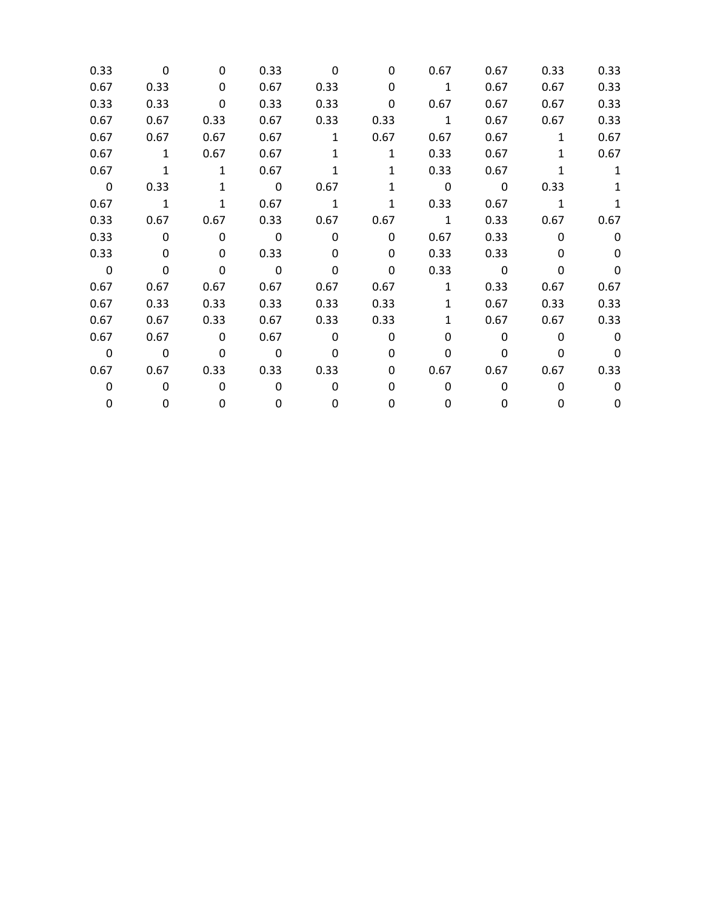| 0.33        | $\Omega$       | 0            | 0.33                    | $\Omega$     | 0            | 0.67         | 0.67 | 0.33         | 0.33         |
|-------------|----------------|--------------|-------------------------|--------------|--------------|--------------|------|--------------|--------------|
| 0.67        | 0.33           | 0            | 0.67                    | 0.33         | 0            | $\mathbf{1}$ | 0.67 | 0.67         | 0.33         |
| 0.33        | 0.33           | 0            | 0.33                    | 0.33         | 0            | 0.67         | 0.67 | 0.67         | 0.33         |
| 0.67        | 0.67           | 0.33         | 0.67                    | 0.33         | 0.33         | $\mathbf{1}$ | 0.67 | 0.67         | 0.33         |
| 0.67        | 0.67           | 0.67         | 0.67                    | $\mathbf{1}$ | 0.67         | 0.67         | 0.67 | $\mathbf{1}$ | 0.67         |
| 0.67        | $\mathbf{1}$   | 0.67         | 0.67                    | $\mathbf{1}$ | $\mathbf{1}$ | 0.33         | 0.67 | $\mathbf{1}$ | 0.67         |
| 0.67        | $\mathbf{1}$   | $\mathbf{1}$ | 0.67                    | 1            | 1            | 0.33         | 0.67 | 1            | $\mathbf{1}$ |
| $\mathbf 0$ | 0.33           | $\mathbf{1}$ | $\overline{\mathbf{0}}$ | 0.67         | 1            | 0            | 0    | 0.33         |              |
| 0.67        | $\overline{1}$ | $\mathbf{1}$ | 0.67                    | $\mathbf{1}$ | $\mathbf{1}$ | 0.33         | 0.67 | $\mathbf{1}$ |              |
| 0.33        | 0.67           | 0.67         | 0.33                    | 0.67         | 0.67         | $\mathbf{1}$ | 0.33 | 0.67         | 0.67         |
| 0.33        | $\mathbf 0$    | $\mathbf 0$  | $\overline{\mathbf{0}}$ | $\mathbf{0}$ | $\mathbf{0}$ | 0.67         | 0.33 | $\mathbf{0}$ | $\Omega$     |
| 0.33        | $\Omega$       | 0            | 0.33                    | 0            | $\Omega$     | 0.33         | 0.33 | 0            | <sup>0</sup> |
| $\mathbf 0$ | 0              | $\mathbf{0}$ | $\mathbf 0$             | 0            | 0            | 0.33         | 0    | 0            | 0            |
| 0.67        | 0.67           | 0.67         | 0.67                    | 0.67         | 0.67         | $\mathbf{1}$ | 0.33 | 0.67         | 0.67         |
| 0.67        | 0.33           | 0.33         | 0.33                    | 0.33         | 0.33         | $\mathbf{1}$ | 0.67 | 0.33         | 0.33         |
| 0.67        | 0.67           | 0.33         | 0.67                    | 0.33         | 0.33         | $\mathbf{1}$ | 0.67 | 0.67         | 0.33         |
| 0.67        | 0.67           | $\mathbf 0$  | 0.67                    | $\Omega$     | 0            | 0            | 0    | 0            | $\Omega$     |
| $\mathbf 0$ | $\mathbf 0$    | $\mathbf{0}$ | $\mathbf 0$             | $\Omega$     | 0            | 0            | 0    | 0            | $\Omega$     |
| 0.67        | 0.67           | 0.33         | 0.33                    | 0.33         | 0            | 0.67         | 0.67 | 0.67         | 0.33         |
| 0           | 0              | 0            | $\Omega$                | 0            | 0            | 0            | 0    | 0            | 0            |
| 0           | 0              | 0            | 0                       | 0            | 0            | 0            | 0    | 0            | 0            |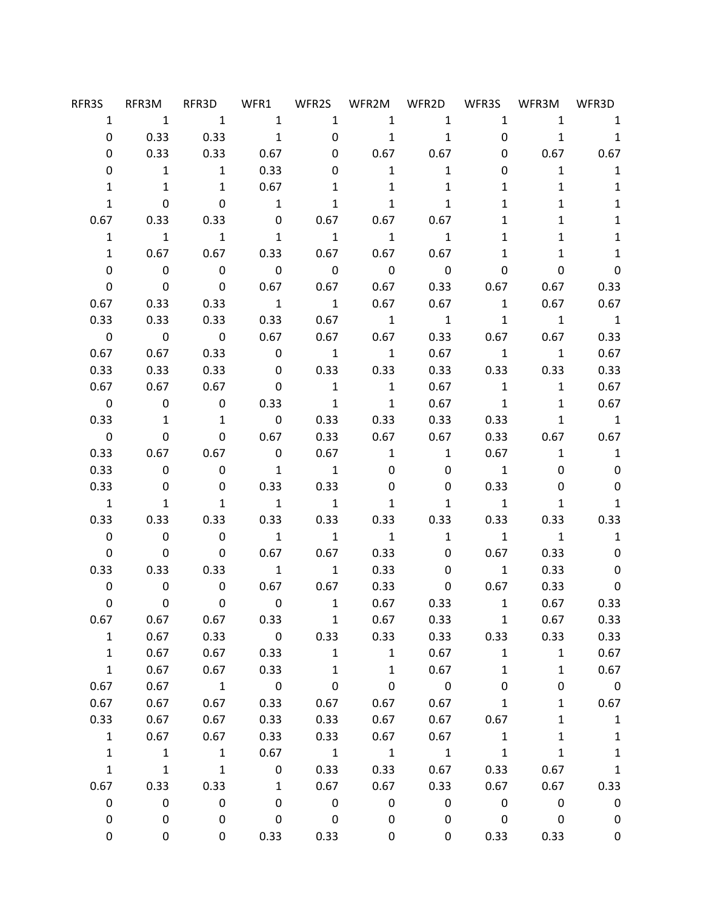| RFR3S                   |                                                             | RFR3M RFR3D WFR1 WFR2S WFR2M WFR2D WFR3S WFR3M WFR3D |                          |                         |                             |                            |                                     |                                                                                                                         |                                                    |
|-------------------------|-------------------------------------------------------------|------------------------------------------------------|--------------------------|-------------------------|-----------------------------|----------------------------|-------------------------------------|-------------------------------------------------------------------------------------------------------------------------|----------------------------------------------------|
|                         | $\begin{matrix} 1 & 1 & 1 & 1 & 1 & 1 & 1 & 1 \end{matrix}$ |                                                      |                          |                         |                             |                            |                                     | $1 \quad$                                                                                                               | $1 \quad 1$                                        |
| 0                       |                                                             | $0.33$ $0.33$ 1                                      |                          | $\overline{\mathbf{0}}$ | $\overline{\phantom{a}}$    | $\overline{\mathbf{1}}$    | $\mathbf{0}$                        |                                                                                                                         | $1 \quad 1$                                        |
| 0                       | 0.33                                                        | $0.33$ 0.67                                          |                          | 0                       |                             | $0.67$ 0.67                |                                     | $0 \qquad \qquad$                                                                                                       | $0.67$ 0.67                                        |
| 0                       |                                                             | 1 1 0.33                                             |                          | 0                       | $\mathbf{1}$                | $\overline{\phantom{a}}$ 1 | 0                                   |                                                                                                                         | $\begin{matrix} 1 & \hspace{1.5cm} 1 \end{matrix}$ |
| $\mathbf{1}$            | 1                                                           |                                                      | $1$ 0.67                 | $\mathbf{1}$            | $\mathbf{1}$                | 1                          | $1 \quad$                           | $\mathbf{1}$                                                                                                            | $\mathbf{1}$                                       |
| $\mathbf{1}$            | $\mathbf{0}$                                                | $\begin{array}{ccc} & & 0 & & 1 \end{array}$         |                          | $\mathbf{1}$            | $\mathbf{1}$                | $\mathbf{1}$               | $\mathbf{1}$                        | 1                                                                                                                       | $\mathbf{1}$                                       |
| 0.67                    | $0.33$ $0.33$                                               |                                                      |                          |                         | $0$ 0.67 0.67 0.67          |                            | $1 \quad$                           | 1                                                                                                                       | $\mathbf{1}$                                       |
| $\mathbf{1}$            | $\overline{1}$                                              | $\overline{1}$                                       | $\overline{\phantom{a}}$ |                         | $\overline{\phantom{a}}$ 1  | $\overline{1}$             | $\mathbf{1}$                        | 1                                                                                                                       | $\mathbf{1}$                                       |
| $\mathbf{1}$            |                                                             | 0.67  0.67  0.33  0.67  0.67  0.67                   |                          |                         |                             |                            | $\mathbf{1}$                        | $\mathbf{1}$                                                                                                            | $\mathbf{1}$                                       |
| 0                       | $\overline{\mathbf{0}}$                                     | $\overline{\mathbf{0}}$                              | $\overline{\mathbf{0}}$  | $\overline{\mathbf{0}}$ | $\overline{0}$              | $\overline{\mathbf{0}}$    | $\mathbf{0}$                        | $\mathbf 0$                                                                                                             | $\mathbf 0$                                        |
| 0                       | $\overline{\mathbf{0}}$                                     | $\overline{\mathbf{0}}$                              |                          |                         | $0.67$ 0.67 0.67            |                            | 0.33 0.67                           |                                                                                                                         | $0.67$ 0.33                                        |
| 0.67                    |                                                             | 0.33 0.33                                            | $\overline{1}$           | $\overline{1}$          | 0.67                        | 0.67                       | $\overline{1}$                      |                                                                                                                         | $0.67$ 0.67                                        |
| 0.33                    | 0.33                                                        | 0.33                                                 | $0.33$ 0.67              |                         | $\overline{\phantom{a}}$    |                            | $\mathbf 1$                         | $\begin{matrix} 1 \end{matrix} \qquad \qquad \begin{matrix} 1 \end{matrix} \qquad \qquad \begin{matrix} 1 \end{matrix}$ |                                                    |
| $\overline{\mathbf{0}}$ | $\overline{\mathbf{0}}$                                     |                                                      |                          |                         | $0$ 0.67 0.67 0.67          |                            |                                     | 0.33 0.67 0.67                                                                                                          | 0.33                                               |
| 0.67                    |                                                             | 0.67 0.33 0 1 1                                      |                          |                         |                             |                            |                                     | $0.67$ 1 1                                                                                                              | 0.67                                               |
| 0.33                    | 0.33                                                        | $0.33$ 0                                             |                          |                         | $0.33$ $0.33$               |                            |                                     | 0.33 0.33 0.33                                                                                                          | 0.33                                               |
| 0.67                    |                                                             | $0.67$ 0.67 0                                        |                          | $\overline{\mathbf{1}}$ | $\overline{\phantom{a}}$    | 0.67                       | $\overline{1}$                      |                                                                                                                         | 0.67<br>$1 \quad \blacksquare$                     |
| $\overline{0}$          |                                                             | $0 \qquad 0 \qquad 0.33$                             |                          | $\overline{1}$          | $\overline{\phantom{a}}$    | 0.67                       | $\overline{\mathbf{1}}$             |                                                                                                                         | 1 0.67                                             |
| 0.33                    | $\overline{1}$                                              |                                                      | $1 \qquad \qquad 0$      |                         | $0.33$ $0.33$               | 0.33                       |                                     | 0.33                                                                                                                    | $\begin{matrix} 1 & 1 \end{matrix}$                |
| $\overline{\mathbf{0}}$ |                                                             | 0 0 0.67 0.33 0.67 0.67                              |                          |                         |                             |                            |                                     | 0.33 0.67 0.67                                                                                                          |                                                    |
| 0.33                    |                                                             | $0.67$ 0.67 0                                        |                          | 0.67                    | $\overline{\mathbf{1}}$     | $\overline{\mathbf{1}}$    | 0.67                                | $\mathbf{1}$                                                                                                            | $\overline{\phantom{a}}$                           |
| 0.33                    | $\overline{\mathbf{0}}$                                     | $\overline{\mathbf{0}}$                              | $\overline{1}$           |                         | 0                           |                            | $0 \qquad \qquad$<br>$\overline{1}$ | 0                                                                                                                       | 0                                                  |
| 0.33                    | $\mathbf 0$                                                 | $\overline{\mathbf{0}}$                              | 0.33                     | 0.33                    | 0                           | $\mathbf 0$                | 0.33                                | 0                                                                                                                       | $\mathbf 0$                                        |
| $\overline{\mathbf{1}}$ | 1                                                           | $\overline{1}$                                       | $\overline{1}$           | $\overline{\mathbf{1}}$ | $\mathbf{1}$                | 1                          | $\overline{\mathbf{1}}$             | $\mathbf{1}$                                                                                                            | $\mathbf{1}$                                       |
| 0.33                    |                                                             | $0.33$ $0.33$ $0.33$                                 |                          |                         | $0.33$ $0.33$ $0.33$ $0.33$ |                            |                                     |                                                                                                                         | 0.33 0.33                                          |
| $\overline{\mathbf{0}}$ | $\overline{\mathbf{0}}$                                     | $\overline{\mathbf{0}}$                              | $\overline{1}$           | $\overline{1}$          | $\overline{\mathbf{1}}$     | $\overline{1}$             | $\overline{\mathbf{1}}$             | $\overline{\phantom{a}}$                                                                                                | $\overline{\phantom{a}}$                           |
| $\mathbf{0}$            | $\overline{\mathbf{0}}$                                     | 0                                                    | 0.67                     |                         | $0.67$ 0.33                 |                            | $\mathbf{0}$<br>0.67                | 0.33                                                                                                                    | $\mathbf 0$                                        |
|                         | 0.33 0.33 0.33 1 1 0.33                                     |                                                      |                          |                         |                             |                            | $0 \qquad \qquad 1$                 | 0.33                                                                                                                    | $\mathbf 0$                                        |
| 0                       | $\mathbf 0$                                                 |                                                      |                          |                         | $0$ 0.67 0.67 0.33          |                            | $0\qquad 0.67$                      | 0.33                                                                                                                    | 0                                                  |
| 0                       | $\mathbf{0}$                                                |                                                      |                          |                         | 0 0 1 0.67 0.33 1           |                            |                                     |                                                                                                                         | $0.67$ 0.33                                        |
| 0.67                    | 0.67                                                        | 0.67                                                 | 0.33                     | $\mathbf{1}$            | 0.67                        | 0.33                       | $\mathbf{1}$                        | 0.67                                                                                                                    | 0.33                                               |
| $\mathbf{1}$            | 0.67                                                        | 0.33                                                 | $\mathbf 0$              | 0.33                    | 0.33                        | 0.33                       | 0.33                                | 0.33                                                                                                                    | 0.33                                               |
| $\mathbf{1}$            | 0.67                                                        | 0.67                                                 | 0.33                     | $\mathbf{1}$            | $\mathbf{1}$                | 0.67                       | $\mathbf{1}$                        | $\mathbf{1}$                                                                                                            | 0.67                                               |
| $\mathbf{1}$            | 0.67                                                        | 0.67                                                 | 0.33                     | $\mathbf{1}$            | $\mathbf{1}$                | 0.67                       | $\mathbf{1}$                        | $\mathbf{1}$                                                                                                            | 0.67                                               |
| 0.67                    | 0.67                                                        | $\mathbf 1$                                          | $\mathsf{O}\xspace$      | $\pmb{0}$               | $\mathbf 0$                 | $\overline{\mathbf{0}}$    | 0                                   | 0                                                                                                                       | $\overline{\phantom{0}}$                           |
| 0.67                    | 0.67                                                        | 0.67                                                 | 0.33                     | 0.67                    | 0.67                        | 0.67                       | $\mathbf{1}$                        | 1                                                                                                                       | 0.67                                               |
| 0.33                    | 0.67                                                        | 0.67                                                 | 0.33                     | 0.33                    | 0.67                        | 0.67                       | 0.67                                | 1                                                                                                                       | $\mathbf{1}$                                       |
| $\mathbf{1}$            | 0.67                                                        | 0.67                                                 | 0.33                     | 0.33                    | 0.67                        | 0.67                       | $\mathbf{1}$                        | $\mathbf 1$                                                                                                             | $\mathbf{1}$                                       |
| $\mathbf{1}$            | $\mathbf{1}$                                                | $\mathbf{1}$                                         | 0.67                     | $\mathbf{1}$            | $\mathbf{1}$                | $\mathbf{1}$               | $\mathbf 1$                         | $\mathbf 1$                                                                                                             | $\mathbf{1}$                                       |
| $\mathbf{1}$            | $\mathbf{1}$                                                | $\mathbf 1$                                          | 0                        | 0.33                    | 0.33                        | 0.67                       | 0.33                                | 0.67                                                                                                                    | $\mathbf{1}$                                       |
| 0.67                    | 0.33                                                        | 0.33                                                 | $\mathbf{1}$             | 0.67                    | 0.67                        | 0.33                       | 0.67                                | 0.67                                                                                                                    | 0.33                                               |
| 0                       | 0                                                           | 0                                                    | 0                        | $\mathbf 0$             | $\pmb{0}$                   | $\pmb{0}$                  | $\boldsymbol{0}$                    | $\pmb{0}$                                                                                                               | $\pmb{0}$                                          |
| 0                       | 0                                                           | 0                                                    | 0                        | 0                       | 0                           | $\mathbf 0$                | 0                                   | 0                                                                                                                       | 0                                                  |
| 0                       | 0                                                           | 0                                                    | 0.33                     | 0.33                    | 0                           | 0                          | 0.33                                | 0.33                                                                                                                    | 0                                                  |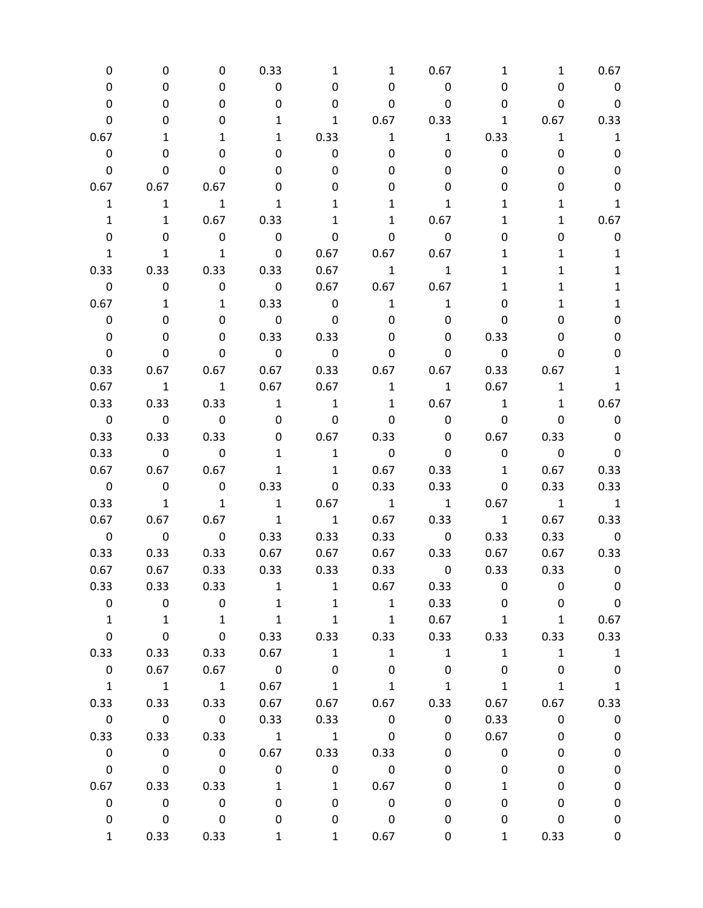| 0                       | 0                        | 0                        | 0.33                     | 1                        | 1                       | 0.67                    | 1                        | 1                        | 0.67                     |
|-------------------------|--------------------------|--------------------------|--------------------------|--------------------------|-------------------------|-------------------------|--------------------------|--------------------------|--------------------------|
| 0                       | 0                        | 0                        | $\mathbf 0$              | 0                        | 0                       | $\mathbf 0$             | 0                        | 0                        | $\mathbf 0$              |
| 0                       | 0                        | 0                        | 0                        | 0                        | 0                       | $\mathbf 0$             | 0                        | 0                        | $\mathbf 0$              |
| 0                       | 0                        | 0                        | $\mathbf{1}$             | $\mathbf{1}$             | 0.67                    | 0.33                    | $\mathbf{1}$             | 0.67                     | 0.33                     |
| 0.67                    | 1                        | 1                        | $\mathbf{1}$             | 0.33                     | $\mathbf{1}$            | $\mathbf{1}$            | 0.33                     | $\mathbf{1}$             | $\mathbf{1}$             |
| $\mathbf 0$             | 0                        | 0                        | 0                        | 0                        | 0                       | 0                       | 0                        | 0                        | 0                        |
| 0                       | 0                        | $\mathbf{0}$             | 0                        | 0                        | 0                       | 0                       | 0                        | 0                        | 0                        |
| 0.67                    | 0.67                     | 0.67                     | 0                        | 0                        | 0                       | 0                       | 0                        | 0                        | 0                        |
| $\mathbf{1}$            | $\mathbf{1}$             | $\mathbf{1}$             | 1                        | 1                        | 1                       | 1                       | 1                        | 1                        | $\mathbf 1$              |
| $\mathbf{1}$            | $\mathbf{1}$             | 0.67                     | 0.33                     | 1                        | $\mathbf{1}$            | 0.67                    | 1                        | $\mathbf{1}$             | 0.67                     |
| 0                       | 0                        | $\mathbf 0$              | $\mathbf 0$              | 0                        | 0                       | $\pmb{0}$               | 0                        | 0                        | 0                        |
| $\mathbf{1}$            | $\mathbf{1}$             | $\overline{\phantom{a}}$ | $\overline{\mathbf{0}}$  | 0.67                     | 0.67                    | 0.67                    | 1                        | 1                        | $\mathbf{1}$             |
| 0.33                    | 0.33                     | 0.33                     | 0.33                     | 0.67                     | $\mathbf{1}$            | $\mathbf{1}$            | 1                        | 1                        | $\mathbf{1}$             |
| 0                       | $\pmb{0}$                | $\mathbf 0$              | $\overline{\mathbf{0}}$  | 0.67                     | 0.67                    | 0.67                    | 1                        | 1                        | $\mathbf{1}$             |
| 0.67                    | $\mathbf{1}$             | $\mathbf{1}$             | 0.33                     | $\overline{\mathbf{0}}$  | $\mathbf{1}$            | $\mathbf{1}$            | 0                        | 1                        | $\mathbf{1}$             |
| 0                       | 0                        | 0                        | $\overline{\mathbf{0}}$  | $\mathbf 0$              | 0                       | 0                       | 0                        | 0                        | 0                        |
| $\mathbf 0$             | 0                        | 0                        | 0.33                     | 0.33                     | 0                       | 0                       | 0.33                     | 0                        | 0                        |
| 0                       | 0                        | 0                        | $\overline{\mathbf{0}}$  | $\overline{\phantom{0}}$ | 0                       | 0                       | $\overline{\phantom{0}}$ | 0                        | 0                        |
| 0.33                    | 0.67                     | 0.67                     | 0.67                     | 0.33                     | 0.67                    | 0.67                    | 0.33                     | 0.67                     | $\mathbf 1$              |
| 0.67                    | $\mathbf{1}$             | $\overline{\mathbf{1}}$  | 0.67                     | 0.67                     | $\mathbf{1}$            | $\mathbf{1}$            | 0.67                     | $\mathbf{1}$             | $\mathbf{1}$             |
| 0.33                    | 0.33                     | 0.33                     | $\mathbf{1}$             | $\mathbf{1}$             | $\mathbf{1}$            | 0.67                    | $\overline{\phantom{a}}$ | $\mathbf{1}$             | 0.67                     |
| $\overline{\mathbf{0}}$ | $\overline{\mathbf{0}}$  | $\overline{\phantom{0}}$ | $\mathbf 0$              | $\overline{\mathbf{0}}$  | $\mathbf 0$             | $\mathbf 0$             | $\mathbf 0$              | 0                        | $\mathbf 0$              |
| 0.33                    | 0.33                     | 0.33                     | 0                        | 0.67                     | 0.33                    | 0                       | 0.67                     | 0.33                     | $\mathbf 0$              |
| 0.33                    | $\overline{\phantom{0}}$ | $\mathbf 0$              | $\mathbf{1}$             | $\mathbf{1}$             | $\mathbf 0$             | 0                       | $\boldsymbol{0}$         | $\overline{\phantom{0}}$ | $\mathbf 0$              |
| 0.67                    | 0.67                     | 0.67                     | $\mathbf{1}$             | $\mathbf{1}$             | 0.67                    | 0.33                    | $\mathbf{1}$             | 0.67                     | 0.33                     |
| $\overline{\mathbf{0}}$ | $\overline{\phantom{0}}$ | $\overline{\mathbf{0}}$  | 0.33                     | 0                        | 0.33                    | 0.33                    | 0                        | 0.33                     | 0.33                     |
| 0.33                    | $\overline{\mathbf{1}}$  | $\overline{\mathbf{1}}$  | $\overline{\phantom{a}}$ | 0.67                     | $\overline{\mathbf{1}}$ | $\overline{1}$          | 0.67                     | $\overline{1}$           | $\overline{1}$           |
| 0.67                    | 0.67                     | 0.67                     | $\mathbf{1}$             | $\mathbf{1}$             | 0.67                    | 0.33                    | $\overline{\phantom{a}}$ | 0.67                     | 0.33                     |
| $\mathsf{O}\xspace$     | $\overline{\phantom{0}}$ | $\overline{\phantom{0}}$ | 0.33                     | 0.33                     | 0.33                    | $\overline{\mathbf{0}}$ | 0.33                     | 0.33                     | $\overline{\phantom{0}}$ |
| 0.33                    | 0.33                     | 0.33                     | 0.67                     | 0.67                     | 0.67                    | 0.33                    | 0.67                     | 0.67                     | 0.33                     |
| 0.67                    | 0.67                     | 0.33                     | 0.33                     | 0.33                     | 0.33                    | $\mathbf 0$             | 0.33                     | 0.33                     | $\overline{\mathbf{0}}$  |
| 0.33                    | 0.33                     | 0.33                     | 1                        | 1                        | 0.67                    | 0.33                    | 0                        | 0                        | 0                        |
| 0                       | $\mathsf 0$              | $\mathbf 0$              | $\mathbf{1}$             | $\mathbf{1}$             | $\mathbf{1}$            | 0.33                    | 0                        | 0                        | $\boldsymbol{0}$         |
| $\mathbf{1}$            | $\mathbf{1}$             | $\mathbf{1}$             | $\mathbf{1}$             | $\mathbf{1}$             | $\mathbf{1}$            | 0.67                    | $\mathbf{1}$             | $\mathbf{1}$             | 0.67                     |
| $\pmb{0}$               | 0                        | $\mathbf 0$              | 0.33                     | 0.33                     | 0.33                    | 0.33                    | 0.33                     | 0.33                     | 0.33                     |
| 0.33                    | 0.33                     | 0.33                     | 0.67                     | $\mathbf{1}$             | $1\,$                   | $\mathbf{1}$            | $\mathbf{1}$             | $\mathbf 1$              | $\mathbf{1}$             |
| $\pmb{0}$               | 0.67                     | 0.67                     | $\overline{\mathbf{0}}$  | 0                        | 0                       | 0                       | 0                        | 0                        | $\boldsymbol{0}$         |
| $\mathbf{1}$            | $\mathbf{1}$             | $\overline{\phantom{a}}$ | 0.67                     | $\mathbf{1}$             | $\mathbf{1}$            | $\mathbf{1}$            | $\mathbf 1$              | $\mathbf{1}$             | $\mathbf 1$              |
| 0.33                    | 0.33                     | 0.33                     | 0.67                     | 0.67                     | 0.67                    | 0.33                    | 0.67                     | 0.67                     | 0.33                     |
| $\pmb{0}$               | $\overline{\phantom{0}}$ | $\overline{\mathbf{0}}$  | 0.33                     | 0.33                     | $\mathbf 0$             | 0                       | 0.33                     | 0                        | $\pmb{0}$                |
| 0.33                    | 0.33                     | 0.33                     | $\overline{\phantom{a}}$ | $\mathbf{1}$             | $\pmb{0}$               | 0                       | 0.67                     | 0                        | $\pmb{0}$                |
| $\pmb{0}$               | $\pmb{0}$                | $\pmb{0}$                | 0.67                     | 0.33                     | 0.33                    | 0                       | 0                        | 0                        | $\pmb{0}$                |
| $\mathbf 0$             | $\mathbf 0$              | $\mathsf{O}\xspace$      | $\pmb{0}$                | 0                        | $\pmb{0}$               | 0                       | 0                        | 0                        | $\pmb{0}$                |
| 0.67                    | 0.33                     | 0.33                     | $\mathbf{1}$             | $\mathbf{1}$             | 0.67                    | 0                       | 1                        | 0                        | $\pmb{0}$                |
| $\pmb{0}$               | $\mathbf 0$              | $\boldsymbol{0}$         | 0                        | 0                        | $\pmb{0}$               | 0                       | 0                        | 0                        | $\pmb{0}$                |
| 0                       | $\mathbf 0$              | $\mathbf 0$              | 0                        | 0                        | $\pmb{0}$               | 0                       | 0                        | 0                        | $\pmb{0}$                |
| $\mathbf{1}$            | 0.33                     | 0.33                     | 1                        | 1                        | 0.67                    | 0                       | $\mathbf{1}$             | 0.33                     | 0                        |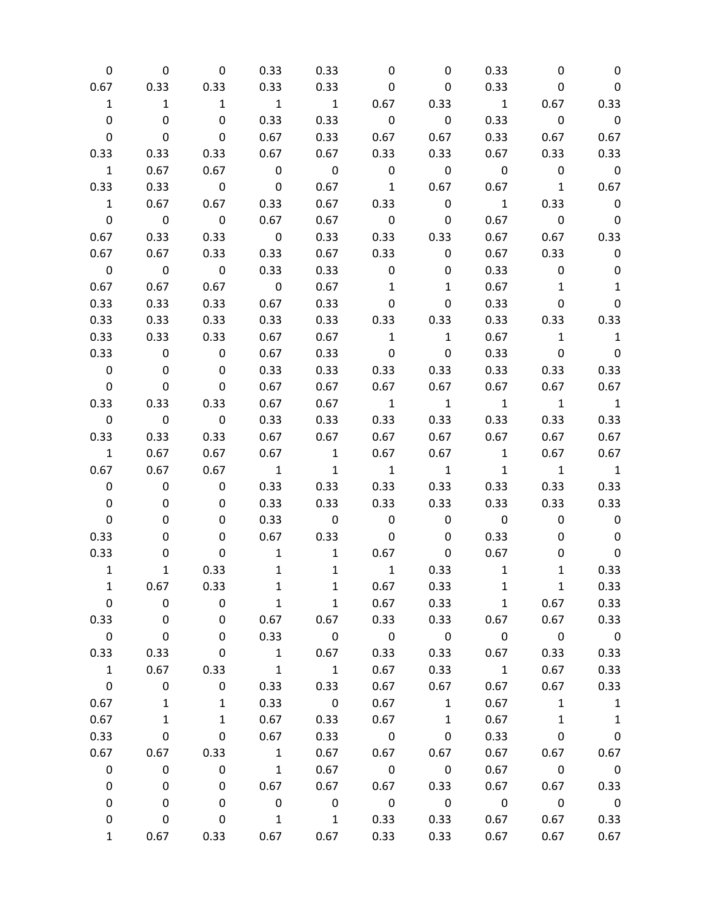| 0                        | 0                        | $\mathbf 0$             | 0.33                     | 0.33                     | 0                        | 0                       | 0.33                     | 0                        | 0                        |
|--------------------------|--------------------------|-------------------------|--------------------------|--------------------------|--------------------------|-------------------------|--------------------------|--------------------------|--------------------------|
| 0.67                     | 0.33                     | 0.33                    | 0.33                     | 0.33                     | 0                        | 0                       | 0.33                     | 0                        | 0                        |
| $\mathbf{1}$             | $\mathbf{1}$             | $\mathbf{1}$            | $\overline{\mathbf{1}}$  | $\overline{1}$           | 0.67                     | 0.33                    | $\overline{1}$           | 0.67                     | 0.33                     |
| 0                        | 0                        | $\mathbf 0$             | 0.33                     | 0.33                     | $\mathbf 0$              | 0                       | 0.33                     | $\overline{\mathbf{0}}$  | $\overline{\phantom{0}}$ |
| 0                        | $\mathbf 0$              | $\mathbf 0$             | 0.67                     | 0.33                     | 0.67                     | 0.67                    | 0.33                     | 0.67                     | 0.67                     |
| 0.33                     | 0.33                     | 0.33                    | 0.67                     | 0.67                     | 0.33                     | 0.33                    | 0.67                     | 0.33                     | 0.33                     |
| $\mathbf{1}$             | 0.67                     | 0.67                    | $\overline{\mathbf{0}}$  | $\overline{\mathbf{0}}$  | $\mathbf 0$              | $\overline{\mathbf{0}}$ | $\overline{\mathbf{0}}$  | $\overline{0}$           | $\overline{\phantom{0}}$ |
| 0.33                     | 0.33                     | $\overline{\mathbf{0}}$ | $\overline{\mathbf{0}}$  | 0.67                     | $\overline{1}$           | 0.67                    | 0.67                     | $\overline{\mathbf{1}}$  | 0.67                     |
| $\mathbf{1}$             | 0.67                     | 0.67                    | 0.33                     | 0.67                     | 0.33                     | $\mathbf 0$             | $\mathbf{1}$             | 0.33                     | $\overline{\mathbf{0}}$  |
| $\mathbf 0$              | $\overline{\mathbf{0}}$  | $\overline{\mathbf{0}}$ | 0.67                     | 0.67                     | $\overline{\mathbf{0}}$  | $\mathbf 0$             | 0.67                     | $\overline{\mathbf{0}}$  | $\overline{\phantom{0}}$ |
| 0.67                     | 0.33                     | 0.33                    | $\overline{\mathbf{0}}$  | 0.33                     | 0.33                     | 0.33                    | 0.67                     | 0.67                     | 0.33                     |
| 0.67                     | 0.67                     | 0.33                    | 0.33                     | 0.67                     | 0.33                     | $\mathbf 0$             | 0.67                     | 0.33                     | 0                        |
| $\overline{\mathbf{0}}$  | $\overline{\mathbf{0}}$  | $\overline{\mathbf{0}}$ | 0.33                     | 0.33                     | 0                        | 0                       | 0.33                     | $\mathbf 0$              | 0                        |
| 0.67                     | 0.67                     | 0.67                    | $\overline{\mathbf{0}}$  | 0.67                     | $\mathbf{1}$             | $\mathbf{1}$            | 0.67                     | $\mathbf{1}$             | $\mathbf{1}$             |
| 0.33                     | 0.33                     | 0.33                    | 0.67                     | 0.33                     | $\mathbf 0$              | $\pmb{0}$               | 0.33                     | 0                        | 0                        |
| 0.33                     | 0.33                     | 0.33                    | 0.33                     | 0.33                     | 0.33                     | 0.33                    | 0.33                     | 0.33                     | 0.33                     |
| 0.33                     | 0.33                     | 0.33                    | 0.67                     | 0.67                     | $\overline{\phantom{a}}$ | $\mathbf{1}$            | 0.67                     | $\overline{\phantom{a}}$ | $\mathbf{1}$             |
| 0.33                     | 0                        | $\mathbf 0$             | 0.67                     | 0.33                     | $\overline{\phantom{0}}$ | 0                       | 0.33                     | $\overline{\mathbf{0}}$  | $\overline{\phantom{0}}$ |
| $\mathbf 0$              | 0                        | $\mathbf 0$             | 0.33                     | 0.33                     | 0.33                     | 0.33                    | 0.33                     | 0.33                     | 0.33                     |
| $\mathbf 0$              | $\mathbf 0$              | $\mathbf 0$             | 0.67                     | 0.67                     | 0.67                     | 0.67                    | 0.67                     | 0.67                     | 0.67                     |
| 0.33                     | 0.33                     | 0.33                    | 0.67                     | 0.67                     | $\overline{1}$           | $\overline{1}$          | $\overline{1}$           | $\overline{1}$           | $\overline{1}$           |
| $\overline{\mathbf{0}}$  | $\overline{\phantom{0}}$ | $\overline{\mathbf{0}}$ | 0.33                     | 0.33                     | 0.33                     | 0.33                    | 0.33                     | 0.33                     | 0.33                     |
| 0.33                     | 0.33                     | 0.33                    | 0.67                     | 0.67                     | 0.67                     | 0.67                    | 0.67                     | 0.67                     | 0.67                     |
| $\mathbf{1}$             | 0.67                     | 0.67                    | 0.67                     | $\overline{\phantom{a}}$ | 0.67                     | 0.67                    | $\overline{\phantom{a}}$ | 0.67                     | 0.67                     |
| 0.67                     | 0.67                     | 0.67                    | $\overline{\phantom{a}}$ | $\mathbf{1}$             | $\overline{\mathbf{1}}$  | $\overline{\mathbf{1}}$ | $\overline{\mathbf{1}}$  | $\overline{\phantom{a}}$ | $\overline{1}$           |
| 0                        | 0                        | $\mathbf 0$             | 0.33                     | 0.33                     | 0.33                     | 0.33                    | 0.33                     | 0.33                     | 0.33                     |
| $\mathbf 0$              | 0                        | $\mathbf 0$             | 0.33                     | 0.33                     | 0.33                     | 0.33                    | 0.33                     | 0.33                     | 0.33                     |
| 0                        | 0                        | 0                       | 0.33                     | $\overline{\mathbf{0}}$  | $\mathbf 0$              | 0                       | $\overline{\mathbf{0}}$  | 0                        | $\overline{\mathbf{0}}$  |
| 0.33                     | 0                        | 0                       | 0.67                     | 0.33                     | $\mathbf 0$              | 0                       | 0.33                     | 0                        | $\overline{\phantom{0}}$ |
| 0.33                     | 0                        | 0                       | $\mathbf{1}$             | $\mathbf{1}$             | 0.67                     | 0                       | 0.67                     | 0                        | 0                        |
| $\mathbf{1}$             | $\mathbf{1}$             | 0.33                    | $\mathbf{1}$             | 1                        | $\overline{1}$           | 0.33                    | $\overline{\phantom{a}}$ | $\mathbf{1}$             | 0.33                     |
| $\mathbf{1}$             | 0.67                     | 0.33                    | $\mathbf{1}$             | $\mathbf{1}$             | 0.67                     | 0.33                    | $\mathbf{1}$             | $\mathbf{1}$             | 0.33                     |
| $\mathbf 0$              | $\mathbf 0$              | $\mathbf 0$             | $\mathbf{1}$             | $\mathbf{1}$             | 0.67                     | 0.33                    | $\mathbf{1}$             | 0.67                     | 0.33                     |
| 0.33                     | $\overline{\mathbf{0}}$  | $\mathbf 0$             | 0.67                     | 0.67                     | 0.33                     | 0.33                    | 0.67                     | 0.67                     | 0.33                     |
| $\overline{\mathbf{0}}$  | 0                        | $\mathbf 0$             | 0.33                     | $\overline{\mathbf{0}}$  | $\overline{\phantom{0}}$ | $\overline{\mathbf{0}}$ | $\mathbf 0$              | $\overline{\mathbf{0}}$  | $\overline{\phantom{0}}$ |
| 0.33                     | 0.33                     | $\mathbf 0$             | $\overline{1}$           | 0.67                     | 0.33                     | 0.33                    | 0.67                     | 0.33                     | 0.33                     |
| $\overline{\mathbf{1}}$  | 0.67                     | 0.33                    | $\overline{\phantom{a}}$ | $\overline{\mathbf{1}}$  | 0.67                     | 0.33                    | $\overline{\phantom{a}}$ | 0.67                     | 0.33                     |
| $\overline{\phantom{0}}$ | $\mathbf 0$              | $\pmb{0}$               | 0.33                     | 0.33                     | 0.67                     | 0.67                    | 0.67                     | 0.67                     | 0.33                     |
| 0.67                     | $\mathbf{1}$             | $\mathbf{1}$            | 0.33                     | $\overline{\mathbf{0}}$  | 0.67                     | $\mathbf{1}$            | 0.67                     | $\mathbf{1}$             | $\overline{\phantom{a}}$ |
| 0.67                     | $\mathbf{1}$             | $\mathbf{1}$            | 0.67                     | 0.33                     | 0.67                     | $\mathbf{1}$            | 0.67                     | $\mathbf{1}$             | $\overline{\phantom{a}}$ |
| 0.33                     | $\pmb{0}$                | $\pmb{0}$               | 0.67                     | 0.33                     | $\overline{\mathbf{0}}$  | $\pmb{0}$               | 0.33                     | $\pmb{0}$                | $\overline{\mathbf{0}}$  |
| 0.67                     | 0.67                     | 0.33                    | $\overline{\phantom{a}}$ | 0.67                     | 0.67                     | 0.67                    | 0.67                     | 0.67                     | 0.67                     |
| $\pmb{0}$                | $\pmb{0}$                | $\mathsf{O}\xspace$     | $\overline{1}$           | 0.67                     | $\overline{\mathbf{0}}$  | $\overline{\mathbf{0}}$ | 0.67                     | $\overline{\mathbf{0}}$  | $\overline{\mathbf{0}}$  |
| 0                        | 0                        | 0                       | 0.67                     | 0.67                     | 0.67                     | 0.33                    | 0.67                     | 0.67                     | 0.33                     |
| 0                        | 0                        | $\mathbf 0$             | $\overline{\mathbf{0}}$  | $\overline{\mathbf{0}}$  | $\overline{\phantom{0}}$ | $\boldsymbol{0}$        | $\overline{\phantom{0}}$ | $\overline{\phantom{0}}$ | $\overline{\phantom{0}}$ |
| 0                        | $\mathbf 0$              | $\mathbf 0$             | $\overline{\phantom{a}}$ | $\overline{\mathbf{1}}$  | 0.33                     | 0.33                    | 0.67                     | 0.67                     | 0.33                     |
| $\mathbf{1}$             | 0.67                     | 0.33                    | 0.67                     | 0.67                     | 0.33                     | 0.33                    | 0.67                     | 0.67                     | 0.67                     |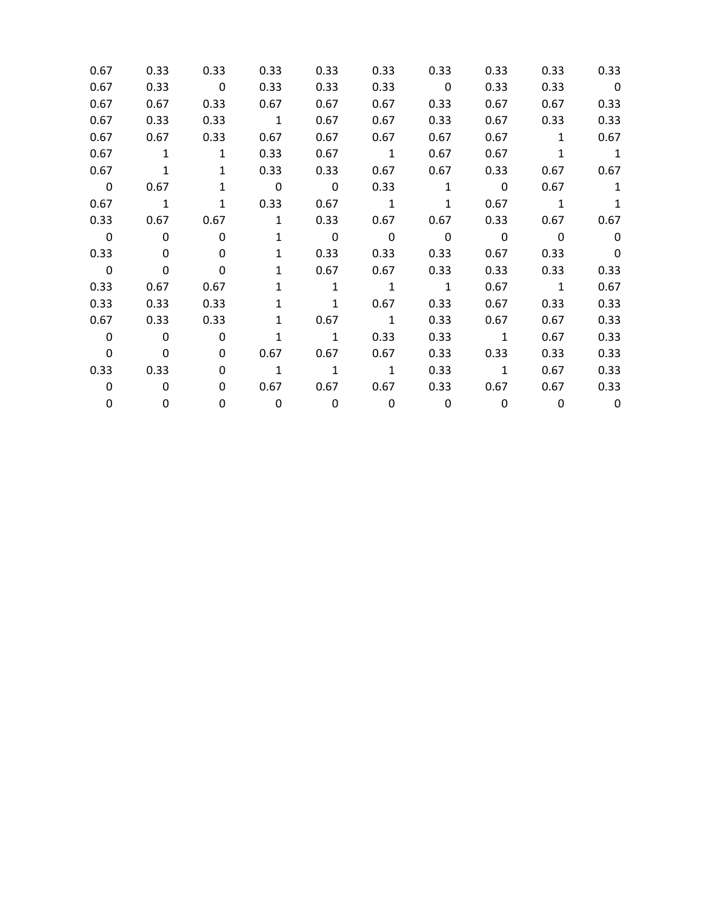| 0.67                    | 0.33                     | 0.33                    | 0.33                     | 0.33                    | 0.33                     | 0.33                     | 0.33                     | 0.33                     | 0.33                     |
|-------------------------|--------------------------|-------------------------|--------------------------|-------------------------|--------------------------|--------------------------|--------------------------|--------------------------|--------------------------|
| 0.67                    | 0.33                     | $\overline{\mathbf{0}}$ | 0.33                     | 0.33                    | 0.33                     | $\overline{\phantom{0}}$ | 0.33                     | 0.33                     | $\overline{\mathbf{0}}$  |
| 0.67                    | 0.67                     | 0.33                    | 0.67                     | 0.67                    | 0.67                     | 0.33                     | 0.67                     | 0.67                     | 0.33                     |
| 0.67                    | 0.33                     | 0.33                    | $\overline{\phantom{a}}$ | 0.67                    | 0.67                     | 0.33                     | 0.67                     | 0.33                     | 0.33                     |
| 0.67                    | 0.67                     | 0.33                    | 0.67                     | 0.67                    | 0.67                     | 0.67                     | 0.67                     | $\mathbf{1}$             | 0.67                     |
| 0.67                    | $\overline{1}$           | $\mathbf{1}$            | 0.33                     | 0.67                    | $\overline{1}$           | 0.67                     | 0.67                     | $\mathbf{1}$             | $\overline{\phantom{a}}$ |
| 0.67                    | $\overline{\mathbf{1}}$  | $\mathbf{1}$            | 0.33                     | 0.33                    | 0.67                     | 0.67                     | 0.33                     | 0.67                     | 0.67                     |
| $\overline{\mathbf{0}}$ | 0.67                     | $\mathbf{1}$            | $\overline{\mathbf{0}}$  | $\overline{\mathbf{0}}$ | 0.33                     | $\overline{1}$           | $\overline{\phantom{0}}$ | 0.67                     | $\mathbf{1}$             |
| 0.67                    | $\overline{\phantom{a}}$ | $\mathbf{1}$            | 0.33                     | 0.67                    | $\overline{\phantom{a}}$ | $\mathbf{1}$             | 0.67                     | $\overline{\phantom{a}}$ | 1                        |
| 0.33                    | 0.67                     | 0.67                    | $\overline{1}$           | 0.33                    | 0.67                     | 0.67                     | 0.33                     | 0.67                     | 0.67                     |
| $\overline{\mathbf{0}}$ | $\overline{\mathbf{0}}$  | $\mathbf{0}$            | $\mathbf{1}$             | $\overline{\mathbf{0}}$ | $\overline{\mathbf{0}}$  | $\overline{\mathbf{0}}$  | $\overline{\mathbf{0}}$  | $\overline{\phantom{0}}$ | $\overline{\phantom{0}}$ |
| 0.33                    | $\Omega$                 | 0                       | $\mathbf{1}$             | 0.33                    | 0.33                     | 0.33                     | 0.67                     | 0.33                     | $\overline{\mathbf{0}}$  |
| $\overline{\mathbf{0}}$ | $\mathbf{0}$             | 0                       | $\mathbf{1}$             | 0.67                    | 0.67                     | 0.33                     | 0.33                     | 0.33                     | 0.33                     |
| 0.33                    | 0.67                     | 0.67                    | $\mathbf{1}$             | $\mathbf{1}$            | $\overline{1}$           | $\overline{\phantom{1}}$ | 0.67                     | $\overline{\phantom{a}}$ | 0.67                     |
| 0.33                    | 0.33                     | 0.33                    | $\mathbf{1}$             | 1                       | 0.67                     | 0.33                     | 0.67                     | 0.33                     | 0.33                     |
| 0.67                    | 0.33                     | 0.33                    | $\mathbf{1}$             | 0.67                    | $\overline{\phantom{a}}$ | 0.33                     | 0.67                     | 0.67                     | 0.33                     |
| $\mathbf 0$             | $\overline{\phantom{0}}$ | $\Omega$                | $\mathbf{1}$             | $\overline{1}$          | 0.33                     | 0.33                     | $\overline{1}$           | 0.67                     | 0.33                     |
| $\mathbf 0$             | $\mathbf 0$              | 0                       | 0.67                     | 0.67                    | 0.67                     | 0.33                     | 0.33                     | 0.33                     | 0.33                     |
| 0.33                    | 0.33                     | 0                       | $\overline{1}$           | $\overline{1}$          | $\overline{1}$           | 0.33                     | $\overline{\phantom{a}}$ | 0.67                     | 0.33                     |
| 0                       | 0                        | $\Omega$                | 0.67                     | 0.67                    | 0.67                     | 0.33                     | 0.67                     | 0.67                     | 0.33                     |
| 0                       | 0                        | 0                       | $\overline{\mathbf{0}}$  | $\overline{\mathbf{0}}$ | $\overline{\mathbf{0}}$  | 0                        | 0                        | $\Omega$                 | $\overline{\phantom{0}}$ |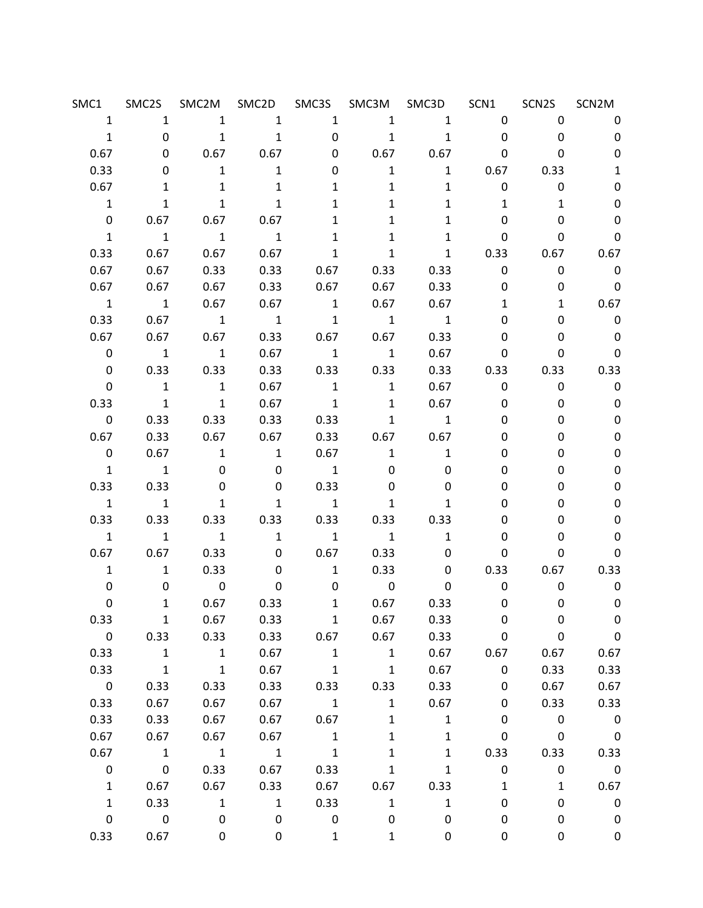| SMC1                    |                         |                          | SMC2S SMC2M SMC2D SMC3S SMC3M SMC3D SCN1 |                          |                          |                          |                                | SCN2S SCN2M  |                          |
|-------------------------|-------------------------|--------------------------|------------------------------------------|--------------------------|--------------------------|--------------------------|--------------------------------|--------------|--------------------------|
| $\mathbf{1}$            | 1                       |                          | $1 \quad \blacksquare$<br>$\overline{1}$ | 1                        |                          | $1 \qquad \qquad 1$      | $0 \qquad \qquad$              | $\mathbf{0}$ | 0                        |
| $\mathbf{1}$            | 0                       | $\overline{1}$           | $\overline{\phantom{a}}$                 | $\mathbf 0$              | $\overline{\phantom{a}}$ | $\overline{\phantom{a}}$ | $\mathbf 0$                    | 0            | $\mathbf 0$              |
| 0.67                    | 0                       | $0.67$ 0.67              |                                          | 0                        | 0.67                     | 0.67                     | 0                              | 0            | 0                        |
| 0.33                    | 0                       | $\mathbf{1}$             | $\overline{\phantom{a}}$ 1               | 0                        | $\mathbf{1}$             | $\overline{1}$           | 0.67                           | 0.33         | 1                        |
| 0.67                    | 1                       | 1                        | $\mathbf{1}$                             | 1                        | $\mathbf{1}$             | 1                        | $\mathbf 0$                    | 0            | 0                        |
| $\mathbf{1}$            | $\mathbf{1}$            | $\mathbf{1}$             | $\mathbf{1}$                             | $\mathbf{1}$             | $\mathbf{1}$             | $\mathbf{1}$             | $\mathbf{1}$                   | 1            | 0                        |
| $\mathbf 0$             |                         | $0.67$ 0.67 0.67         |                                          | $\mathbf{1}$             | $\mathbf{1}$             | $\mathbf{1}$             | 0                              | 0            | 0                        |
| $\mathbf{1}$            | $\overline{1}$          | $\overline{\phantom{a}}$ | $\overline{\phantom{1}}$ 1               | $\mathbf{1}$             | $\mathbf{1}$             | $\mathbf{1}$             | 0                              | 0            | $\mathbf 0$              |
| 0.33                    | 0.67                    | 0.67                     | 0.67                                     | $\mathbf{1}$             | $\mathbf{1}$             |                          | $1 \quad \blacksquare$<br>0.33 |              | $0.67$ 0.67              |
| 0.67                    | 0.67                    | 0.33                     | 0.33                                     |                          | $0.67$ 0.33              |                          | 0.33<br>$\mathbf 0$            | 0            | $\overline{\phantom{0}}$ |
| 0.67                    | 0.67                    | 0.67                     | 0.33                                     | 0.67                     | 0.67                     | 0.33                     | 0                              | 0            | $\overline{\phantom{0}}$ |
| $\overline{1}$          | $\overline{1}$          | 0.67                     | 0.67                                     | $\overline{1}$           | 0.67                     | 0.67                     | $\mathbf{1}$                   | $\mathbf{1}$ | 0.67                     |
| 0.33                    | 0.67                    | $\overline{\phantom{a}}$ | $\overline{\phantom{a}}$                 | $\overline{\phantom{a}}$ | $\overline{\phantom{a}}$ | $\overline{1}$           | 0                              | 0            | $\overline{\phantom{0}}$ |
| 0.67                    | 0.67                    | 0.67                     |                                          |                          | $0.33$ 0.67 0.67         | 0.33                     | 0                              | 0            | $\overline{\mathbf{0}}$  |
| $\mathsf{O}$            | $\overline{1}$          | $\overline{\phantom{a}}$ | 0.67                                     | $\overline{1}$           | $\mathbf{1}$             | 0.67                     | 0                              | 0            | $\mathbf 0$              |
| $\mathsf{O}$            | 0.33                    | 0.33                     | 0.33                                     |                          | $0.33$ $0.33$            | 0.33                     | 0.33                           |              | 0.33 0.33                |
| 0                       | $\overline{1}$          | $\overline{1}$           | 0.67                                     | $\overline{\mathbf{1}}$  | $\overline{\phantom{a}}$ | 0.67                     | $\mathbf 0$                    | 0            | $\mathbf 0$              |
| 0.33                    | $\mathbf{1}$            | $\mathbf{1}$             | 0.67                                     | $\overline{\mathbf{1}}$  | $\overline{\phantom{a}}$ | 0.67                     | 0                              | 0            | $\mathbf 0$              |
| $\mathsf{O}$            | 0.33                    | 0.33                     | 0.33                                     | 0.33                     | $\mathbf{1}$             | $\overline{\mathbf{1}}$  | 0                              | 0            | 0                        |
| 0.67                    | 0.33                    | 0.67                     | 0.67                                     |                          | $0.33$ $0.67$ $0.67$     |                          | 0                              | 0            | 0                        |
| $\mathbf 0$             | 0.67                    | $\overline{1}$           | $\overline{\mathbf{1}}$                  | 0.67                     | $\mathbf{1}$             | $\overline{1}$           | 0                              | 0            | 0                        |
| $\mathbf{1}$            | $\overline{1}$          | 0                        | 0                                        | $\overline{\phantom{a}}$ | 0                        | 0                        | 0                              | 0            | 0                        |
| 0.33                    | 0.33                    | 0                        | 0                                        | 0.33                     | $\mathbf{0}$             | 0                        | 0                              | 0            | 0                        |
| $\mathbf{1}$            | $\overline{1}$          | $\mathbf{1}$             | $\mathbf{1}$                             | $\overline{\phantom{a}}$ | $\mathbf{1}$             | $\mathbf{1}$             | 0                              | 0            | 0                        |
| 0.33                    | 0.33                    | 0.33                     | 0.33                                     | 0.33                     |                          | $0.33$ 0.33              | 0                              | 0            | 0                        |
| $\mathbf{1}$            | $\overline{1}$          | $\overline{1}$           | $\overline{1}$                           | $\overline{\phantom{a}}$ | $\overline{\phantom{a}}$ | $\mathbf{1}$             | 0                              | 0            | 0                        |
| 0.67                    | 0.67                    | 0.33                     | 0                                        |                          | $0.67$ 0.33              | 0                        | 0                              | 0            | $\mathbf 0$              |
| $\mathbf{1}$            | $\mathbf{1}$            | 0.33                     | $\mathbf 0$                              | $\overline{1}$           | 0.33                     |                          | 0.33<br>$\mathbf{0}$           |              | 0.67 0.33                |
| 0                       | 0                       | $\overline{\phantom{0}}$ | 0                                        | 0                        | $\overline{\mathbf{0}}$  | 0                        | 0                              | 0            | $\overline{\mathbf{0}}$  |
| 0                       |                         | 1 0.67 0.33              |                                          |                          | 1 0.67                   | 0.33                     | $\mathbf 0$                    | 0            | $\overline{\mathbf{0}}$  |
| 0.33                    | $1\,$                   | 0.67                     | 0.33                                     | $\mathbf{1}$             | 0.67                     | 0.33                     | 0                              | 0            | 0                        |
| $\pmb{0}$               | 0.33                    | 0.33                     | 0.33                                     | 0.67                     | 0.67                     | 0.33                     | $\pmb{0}$                      | 0            | $\pmb{0}$                |
| 0.33                    | $\mathbf{1}$            | $\mathbf{1}$             | 0.67                                     | $\mathbf{1}$             | $\mathbf{1}$             | 0.67                     | 0.67                           | 0.67         | 0.67                     |
| 0.33                    | $\mathbf{1}$            | $\mathbf 1$              | 0.67                                     | $\mathbf{1}$             | $\mathbf{1}$             | 0.67                     | $\pmb{0}$                      | 0.33         | 0.33                     |
| $\overline{\mathbf{0}}$ | 0.33                    | 0.33                     | 0.33                                     | 0.33                     | 0.33                     | 0.33                     | $\mathbf 0$                    | 0.67         | 0.67                     |
| 0.33                    | 0.67                    | 0.67                     | 0.67                                     | $\mathbf{1}$             | $\mathbf{1}$             | 0.67                     | 0                              | 0.33         | 0.33                     |
| 0.33                    | 0.33                    | 0.67                     | 0.67                                     | 0.67                     | $\mathbf{1}$             | $\mathbf{1}$             | 0                              | $\pmb{0}$    | $\mathbf 0$              |
| 0.67                    | 0.67                    | 0.67                     | 0.67                                     | $\mathbf{1}$             | $\mathbf{1}$             | $\mathbf 1$              | $\pmb{0}$                      | $\mathbf 0$  | $\mathbf 0$              |
| 0.67                    | $\mathbf{1}$            | $\mathbf{1}$             | $\mathbf{1}$                             | $\mathbf{1}$             | $\mathbf{1}$             | $\mathbf{1}$             | 0.33                           | 0.33         | 0.33                     |
| $\pmb{0}$               | $\pmb{0}$               | 0.33                     | 0.67                                     | 0.33                     | $\mathbf{1}$             | $\mathbf{1}$             | $\pmb{0}$                      | 0            | $\overline{\phantom{0}}$ |
| $\mathbf{1}$            | 0.67                    | 0.67                     | 0.33                                     | 0.67                     | 0.67                     | 0.33                     | $\mathbf{1}$                   | 1            | 0.67                     |
| $\mathbf{1}$            | 0.33                    | $\mathbf{1}$             | $1\,$                                    | 0.33                     | $\mathbf{1}$             | $\mathbf{1}$             | 0                              | 0            | $\pmb{0}$                |
| $\pmb{0}$               | $\overline{\mathbf{0}}$ | 0                        | 0                                        | 0                        | 0                        | 0                        | 0                              | 0            | 0                        |
| 0.33                    | 0.67                    | 0                        | 0                                        | $\mathbf{1}$             | $\mathbf 1$              | 0                        | 0                              | 0            | $\pmb{0}$                |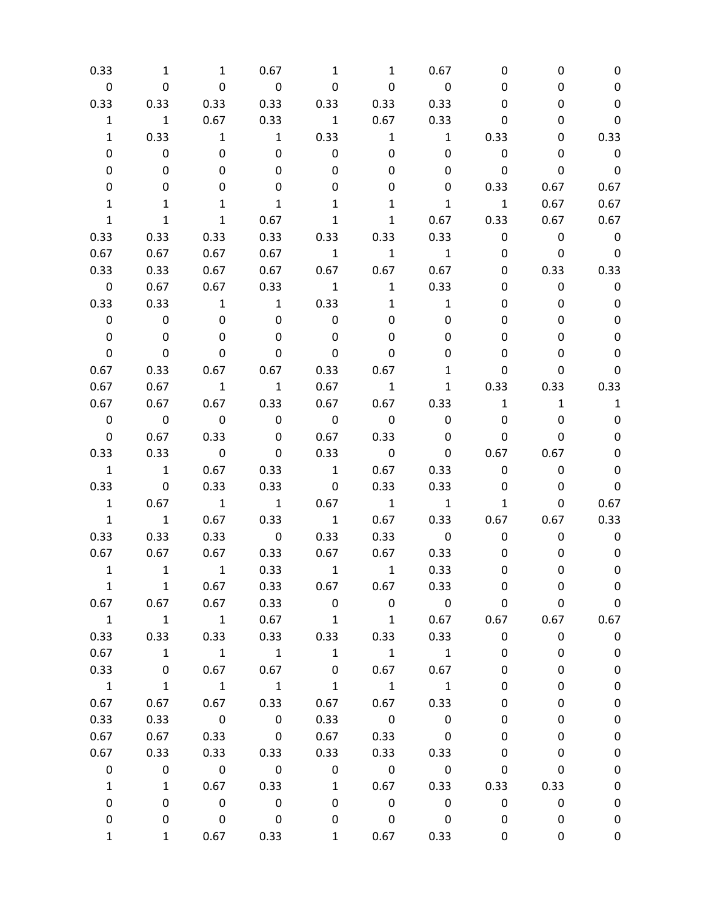| 0.33           | 1                        | 1                        | 0.67                     | 1                        | 1                        | 0.67                    | 0                       | 0            | 0                        |
|----------------|--------------------------|--------------------------|--------------------------|--------------------------|--------------------------|-------------------------|-------------------------|--------------|--------------------------|
| 0              | $\mathbf 0$              | $\mathbf 0$              | $\overline{\mathbf{0}}$  | 0                        | 0                        | $\mathbf 0$             | 0                       | 0            | 0                        |
| 0.33           | 0.33                     | 0.33                     | 0.33                     | 0.33                     | 0.33                     | 0.33                    | 0                       | 0            | 0                        |
| $\mathbf 1$    | $\mathbf{1}$             | 0.67                     | 0.33                     | $\overline{1}$           | 0.67                     | 0.33                    | 0                       | 0            | 0                        |
| $\mathbf{1}$   | 0.33                     | $\overline{\mathbf{1}}$  | $\overline{1}$           | 0.33                     | $\mathbf{1}$             | $\mathbf{1}$            | 0.33                    | 0            | 0.33                     |
| 0              | $\pmb{0}$                | 0                        | 0                        | $\mathbf 0$              | 0                        | 0                       | 0                       | 0            | $\overline{0}$           |
| 0              | 0                        | 0                        | 0                        | 0                        | 0                        | 0                       | 0                       | 0            | $\overline{\mathbf{0}}$  |
| 0              | 0                        | 0                        | 0                        | 0                        | 0                        | 0                       | 0.33                    | 0.67         | 0.67                     |
| 1              | 1                        | 1                        | 1                        | 1                        | 1                        | 1                       | $\overline{\mathbf{1}}$ | 0.67         | 0.67                     |
| $\mathbf{1}$   | $\mathbf{1}$             | $\mathbf{1}$             | 0.67                     | $\mathbf{1}$             | $\mathbf{1}$             | 0.67                    | 0.33                    | 0.67         | 0.67                     |
| 0.33           | 0.33                     | 0.33                     | 0.33                     | 0.33                     | 0.33                     | 0.33                    | $\mathbf 0$             | $\mathbf 0$  | $\mathbf 0$              |
| 0.67           | 0.67                     | 0.67                     | 0.67                     | $\overline{1}$           | $\mathbf{1}$             | $\mathbf{1}$            | 0                       | $\mathbf 0$  | $\overline{\phantom{0}}$ |
| 0.33           | 0.33                     | 0.67                     | 0.67                     | 0.67                     | 0.67                     | 0.67                    | 0                       | 0.33         | 0.33                     |
| $\mathbf 0$    | 0.67                     | 0.67                     | 0.33                     | $\overline{1}$           | $\mathbf{1}$             | 0.33                    | 0                       | 0            | $\mathbf 0$              |
| 0.33           | 0.33                     | $\overline{\mathbf{1}}$  | $\overline{1}$           | 0.33                     | $\mathbf{1}$             | $\mathbf{1}$            | 0                       | 0            | 0                        |
| 0              | $\mathbf 0$              | 0                        | 0                        | $\pmb{0}$                | 0                        | 0                       | 0                       | 0            | 0                        |
| 0              | $\mathbf 0$              | 0                        | 0                        | $\mathbf{0}$             | 0                        | 0                       | 0                       | 0            | 0                        |
| 0              | 0                        | 0                        | 0                        | 0                        | 0                        | 0                       | 0                       | 0            | 0                        |
| 0.67           | 0.33                     | 0.67                     | 0.67                     | 0.33                     | 0.67                     | 1                       | 0                       | 0            | 0                        |
| 0.67           | 0.67                     | $\overline{1}$           | $\overline{\phantom{a}}$ | 0.67                     | $\overline{1}$           | $\mathbf{1}$            | 0.33                    | 0.33         | 0.33                     |
| 0.67           | 0.67                     | 0.67                     | 0.33                     | 0.67                     | 0.67                     | 0.33                    | $\mathbf{1}$            | $\mathbf{1}$ | $\mathbf{1}$             |
| $\mathbf 0$    | $\overline{\phantom{0}}$ | $\overline{\phantom{0}}$ | $\overline{\mathbf{0}}$  | $\overline{\mathbf{0}}$  | $\overline{\mathbf{0}}$  | $\mathbf 0$             | 0                       | 0            | 0                        |
| 0              | 0.67                     | 0.33                     | 0                        | 0.67                     | 0.33                     | 0                       | 0                       | 0            | 0                        |
| 0.33           | 0.33                     | $\overline{\mathbf{0}}$  | 0                        | 0.33                     | $\overline{\mathbf{0}}$  | 0                       | 0.67                    | 0.67         | 0                        |
| $\mathbf{1}$   | $\overline{1}$           | 0.67                     | 0.33                     | $\overline{1}$           | 0.67                     | 0.33                    | 0                       | 0            | 0                        |
| 0.33           | $\overline{\mathbf{0}}$  | 0.33                     | 0.33                     | $\overline{\phantom{0}}$ | 0.33                     | 0.33                    | 0                       | 0            | $\mathbf 0$              |
| $\mathbf{1}$   | 0.67                     | $\overline{\phantom{a}}$ | $\overline{\phantom{1}}$ | 0.67                     | $\overline{\phantom{a}}$ | $\overline{1}$          | $\mathbf{1}$            | 0            | 0.67                     |
| $\mathbf{1}$   | $\mathbf{1}$             | 0.67                     | 0.33                     | $\overline{1}$           | 0.67                     | 0.33                    | 0.67                    | 0.67         | 0.33                     |
| 0.33           | 0.33                     | 0.33                     | $\overline{\mathbf{0}}$  | 0.33                     | 0.33                     | $\overline{\mathbf{0}}$ | 0                       | 0            | 0                        |
| 0.67           | 0.67                     | 0.67                     | 0.33                     | 0.67                     | 0.67                     | 0.33                    | 0                       | 0            | 0                        |
| $\mathbf{1}$   | $\overline{\phantom{a}}$ | $\overline{\mathbf{1}}$  | 0.33                     | $\overline{\mathbf{1}}$  | $\overline{\mathbf{1}}$  | 0.33                    | 0                       | 0            | 0                        |
| $\mathbf{1}$   | $\mathbf{1}$             | 0.67                     | 0.33                     | 0.67                     | 0.67                     | 0.33                    | 0                       | 0            | 0                        |
| 0.67           | 0.67                     | 0.67                     | 0.33                     | $\mathsf{O}$             | $\mathbf 0$              | $\overline{\mathbf{0}}$ | 0                       | 0            | $\boldsymbol{0}$         |
| $\mathbf{1}$   | $\overline{\phantom{a}}$ | $\overline{1}$           | 0.67                     | $\overline{1}$           | $\overline{1}$           | 0.67                    | 0.67                    | 0.67         | 0.67                     |
| 0.33           | 0.33                     | 0.33                     | 0.33                     | 0.33                     | 0.33                     | 0.33                    | $\pmb{0}$               | $\pmb{0}$    | $\boldsymbol{0}$         |
| 0.67           | $\overline{1}$           | $\overline{\phantom{a}}$ | $\overline{\phantom{a}}$ | $\mathbf{1}$             | $\overline{\phantom{a}}$ | $\mathbf{1}$            | 0                       | 0            | $\pmb{0}$                |
| 0.33           | $\boldsymbol{0}$         | 0.67                     | 0.67                     | 0                        | 0.67                     | 0.67                    | 0                       | 0            | $\pmb{0}$                |
| $\overline{1}$ | $\mathbf{1}$             | $\overline{1}$           | $\overline{\phantom{a}}$ | $\mathbf{1}$             | $\mathbf{1}$             | $\mathbf 1$             | 0                       | 0            | $\pmb{0}$                |
| 0.67           | 0.67                     | 0.67                     | 0.33                     | 0.67                     | 0.67                     | 0.33                    | 0                       | 0            | $\pmb{0}$                |
| 0.33           | 0.33                     | $\overline{\mathbf{0}}$  | $\overline{\mathbf{0}}$  | 0.33                     | $\mathbf 0$              | $\pmb{0}$               | 0                       | 0            | $\pmb{0}$                |
| 0.67           | 0.67                     | 0.33                     | $\overline{\mathbf{0}}$  | 0.67                     | 0.33                     | $\pmb{0}$               | 0                       | 0            | $\pmb{0}$                |
| 0.67           | 0.33                     | 0.33                     | 0.33                     | 0.33                     | 0.33                     | 0.33                    | 0                       | 0            | $\pmb{0}$                |
| 0              | $\pmb{0}$                | $\overline{\mathbf{0}}$  | $\overline{\mathbf{0}}$  | $\mathbf 0$              | $\overline{\phantom{0}}$ | $\overline{\mathbf{0}}$ | 0                       | 0            | $\pmb{0}$                |
| $\mathbf{1}$   | $\mathbf{1}$             | 0.67                     | 0.33                     | $\mathbf{1}$             | 0.67                     | 0.33                    | 0.33                    | 0.33         | $\pmb{0}$                |
| 0              | 0                        | $\overline{\phantom{0}}$ | $\overline{\mathbf{0}}$  | 0                        | $\pmb{0}$                | $\pmb{0}$               | $\pmb{0}$               | 0            | $\pmb{0}$                |
| 0              | 0                        | $\mathbf 0$              | $\overline{\mathbf{0}}$  | 0                        | $\mathbf 0$              | 0                       | 0                       | 0            | 0                        |
| $\mathbf{1}$   | $\mathbf{1}$             | 0.67                     | 0.33                     | 1                        | 0.67                     | 0.33                    | 0                       | 0            | 0                        |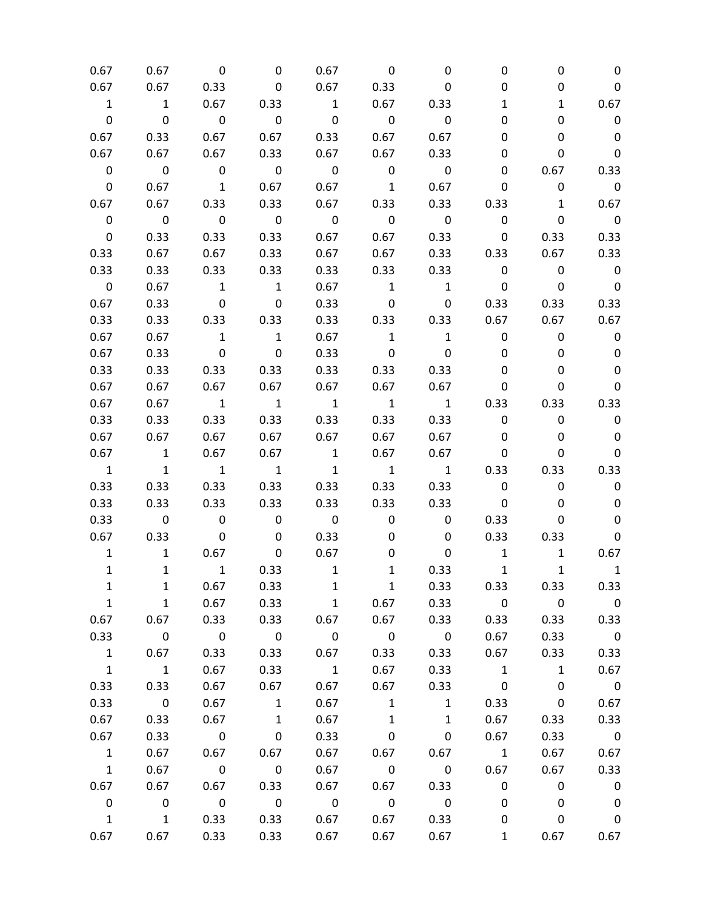| 0.67                     | 0.67                     | 0                        | 0                        | 0.67                    | 0                       | 0                        | 0                       | 0                       | 0                        |
|--------------------------|--------------------------|--------------------------|--------------------------|-------------------------|-------------------------|--------------------------|-------------------------|-------------------------|--------------------------|
| 0.67                     | 0.67                     | 0.33                     | 0                        | 0.67                    | 0.33                    | 0                        | 0                       | 0                       | 0                        |
| $\mathbf{1}$             | $\mathbf{1}$             | 0.67                     | 0.33                     | $\mathbf{1}$            | 0.67                    | 0.33                     | 1                       | $\mathbf{1}$            | 0.67                     |
| $\mathbf 0$              | $\mathbf 0$              | 0                        | $\mathbf 0$              | $\mathbf 0$             | $\mathbf 0$             | $\mathbf 0$              | 0                       | 0                       | $\mathbf 0$              |
| 0.67                     | 0.33                     | 0.67                     | 0.67                     | 0.33                    | 0.67                    | 0.67                     | 0                       | 0                       | $\mathbf 0$              |
| 0.67                     | 0.67                     | 0.67                     | 0.33                     | 0.67                    | 0.67                    | 0.33                     | 0                       | 0                       | $\mathbf 0$              |
| $\pmb{0}$                | $\mathbf 0$              | $\overline{\mathbf{0}}$  | $\overline{\mathbf{0}}$  | $\mathbf 0$             | $\mathbf 0$             | $\mathbf 0$              | 0                       | 0.67                    | 0.33                     |
| $\mathbf 0$              | 0.67                     | $\overline{1}$           | 0.67                     | 0.67                    | $\overline{1}$          | 0.67                     | 0                       | 0                       | $\overline{\phantom{0}}$ |
| 0.67                     | 0.67                     | 0.33                     | 0.33                     | 0.67                    | 0.33                    | 0.33                     | 0.33                    | $\mathbf{1}$            | 0.67                     |
| $\mathbf 0$              | $\overline{\phantom{0}}$ | $\overline{\phantom{0}}$ | $\overline{\mathbf{0}}$  | $\overline{\mathbf{0}}$ | $\pmb{0}$               | $\overline{\mathbf{0}}$  | 0                       | $\pmb{0}$               | $\overline{\phantom{0}}$ |
| $\mathbf 0$              | 0.33                     | 0.33                     | 0.33                     | 0.67                    | 0.67                    | 0.33                     | 0                       | 0.33                    | 0.33                     |
| 0.33                     | 0.67                     | 0.67                     | 0.33                     | 0.67                    | 0.67                    | 0.33                     | 0.33                    | 0.67                    | 0.33                     |
| 0.33                     | 0.33                     | 0.33                     | 0.33                     | 0.33                    | 0.33                    | 0.33                     | $\mathbf 0$             | 0                       | $\mathbf 0$              |
| $\pmb{0}$                | 0.67                     | $\overline{1}$           | $\overline{\phantom{a}}$ | 0.67                    | $\mathbf{1}$            | $\mathbf{1}$             | 0                       | 0                       | $\mathbf 0$              |
| 0.67                     | 0.33                     | $\overline{\mathbf{0}}$  | $\mathbf 0$              | 0.33                    | $\mathbf 0$             | $\mathbf 0$              | 0.33                    | 0.33                    | 0.33                     |
| 0.33                     | 0.33                     | 0.33                     | 0.33                     | 0.33                    | 0.33                    | 0.33                     | 0.67                    | 0.67                    | 0.67                     |
| 0.67                     | 0.67                     | $\overline{1}$           | $\mathbf{1}$             | 0.67                    | $\mathbf{1}$            | $\mathbf{1}$             | 0                       | 0                       | 0                        |
| 0.67                     | 0.33                     | $\overline{\mathbf{0}}$  | 0                        | 0.33                    | $\mathbf 0$             | $\mathbf 0$              | 0                       | 0                       | 0                        |
| 0.33                     | 0.33                     | 0.33                     | 0.33                     | 0.33                    | 0.33                    | 0.33                     | 0                       | 0                       | 0                        |
| 0.67                     | 0.67                     | 0.67                     | 0.67                     | 0.67                    | 0.67                    | 0.67                     | 0                       | 0                       | 0                        |
| 0.67                     | 0.67                     | $\overline{1}$           | $\overline{\mathbf{1}}$  | $\overline{\mathbf{1}}$ | $\mathbf{1}$            | $\mathbf{1}$             | 0.33                    | 0.33                    | 0.33                     |
| 0.33                     | 0.33                     | 0.33                     | 0.33                     | 0.33                    | 0.33                    | 0.33                     | $\mathbf 0$             | 0                       | 0                        |
| 0.67                     | 0.67                     | 0.67                     | 0.67                     | 0.67                    | 0.67                    | 0.67                     | 0                       | 0                       | $\mathbf 0$              |
| 0.67                     | $\overline{\mathbf{1}}$  | 0.67                     | 0.67                     | $\mathbf{1}$            | 0.67                    | 0.67                     | 0                       | 0                       | 0                        |
| $\mathbf{1}$             | $\mathbf{1}$             | $\mathbf{1}$             | $\mathbf{1}$             | $\mathbf{1}$            | $\mathbf{1}$            | $\mathbf{1}$             | 0.33                    | 0.33                    | 0.33                     |
| 0.33                     | 0.33                     | 0.33                     | 0.33                     | 0.33                    | 0.33                    | 0.33                     | $\mathbf 0$             | 0                       | 0                        |
| 0.33                     | 0.33                     | 0.33                     | 0.33                     | 0.33                    | 0.33                    | 0.33                     | 0                       | 0                       | 0                        |
| 0.33                     | $\mathbf 0$              | $\overline{\phantom{0}}$ | $\mathbf 0$              | 0                       | 0                       | 0                        | 0.33                    | 0                       | 0                        |
| 0.67                     | 0.33                     | $\mathbf 0$              | 0                        | 0.33                    | 0                       | 0                        | 0.33                    | 0.33                    | $\pmb{0}$                |
| $\mathbf{1}$             | $\mathbf{1}$             | 0.67                     | 0                        | 0.67                    | 0                       | 0                        | $\mathbf{1}$            | $\mathbf{1}$            | 0.67                     |
| $\mathbf{1}$             | $\mathbf{1}$             | $\mathbf{1}$             | 0.33                     | $\overline{\mathbf{1}}$ | $\mathbf{1}$            | 0.33                     | $\mathbf{1}$            | $\mathbf{1}$            | $\mathbf{1}$             |
| $\mathbf{1}$             | $\mathbf{1}$             | 0.67                     | 0.33                     | $\mathbf{1}$            | $\mathbf{1}$            | 0.33                     | 0.33                    | 0.33                    | 0.33                     |
| $\mathbf{1}$             | $\mathbf{1}$             | 0.67                     | 0.33                     | $\mathbf{1}$            | 0.67                    | 0.33                     | $\overline{\mathbf{0}}$ | $\overline{\mathbf{0}}$ | $\overline{\phantom{0}}$ |
| 0.67                     | 0.67                     | 0.33                     | 0.33                     | 0.67                    | 0.67                    | 0.33                     | 0.33                    | 0.33                    | 0.33                     |
| 0.33                     | $\overline{\mathbf{0}}$  | $\overline{\mathbf{0}}$  | $\overline{\mathbf{0}}$  | $\overline{\mathbf{0}}$ | $\overline{\mathbf{0}}$ | $\overline{\phantom{0}}$ | 0.67                    | 0.33                    | $\overline{\phantom{0}}$ |
| $\overline{\mathbf{1}}$  | 0.67                     | 0.33                     | 0.33                     | 0.67                    | 0.33                    | 0.33                     | 0.67                    | 0.33                    | 0.33                     |
| $\overline{\mathbf{1}}$  | $\overline{\phantom{a}}$ | 0.67                     | 0.33                     | $\overline{1}$          | 0.67                    | 0.33                     | $\mathbf{1}$            | $\mathbf{1}$            | 0.67                     |
| 0.33                     | 0.33                     | 0.67                     | 0.67                     | 0.67                    | 0.67                    | 0.33                     | $\mathsf 0$             | $\mathbf 0$             | $\overline{\mathbf{0}}$  |
| 0.33                     | $\overline{\mathbf{0}}$  | 0.67                     | $\mathbf{1}$             | 0.67                    | $\mathbf{1}$            | $\mathbf{1}$             | 0.33                    | $\mathbf 0$             | 0.67                     |
| 0.67                     | 0.33                     | 0.67                     | $\mathbf{1}$             | 0.67                    | $\mathbf{1}$            | $\mathbf{1}$             | 0.67                    | 0.33                    | 0.33                     |
| 0.67                     | 0.33                     | $\overline{\mathbf{0}}$  | $\mathsf{O}$             | 0.33                    | $\mathbf 0$             | $\mathsf 0$              | 0.67                    | 0.33                    | $\overline{\mathbf{0}}$  |
| $\mathbf{1}$             | 0.67                     | 0.67                     | 0.67                     | 0.67                    | 0.67                    | 0.67                     | $\mathbf{1}$            | 0.67                    | 0.67                     |
| $\overline{\phantom{a}}$ | 0.67                     | $\overline{\mathbf{0}}$  | $\overline{\mathbf{0}}$  | 0.67                    | $\overline{\mathbf{0}}$ | $\overline{\mathbf{0}}$  | 0.67                    | 0.67                    | 0.33                     |
| 0.67                     | 0.67                     | 0.67                     | 0.33                     | 0.67                    | 0.67                    | 0.33                     | $\mathbf 0$             | $\pmb{0}$               | $\mathbf 0$              |
| 0                        | $\overline{\mathbf{0}}$  | $\overline{\phantom{0}}$ | $\overline{\mathbf{0}}$  | $\overline{\mathbf{0}}$ | $\mathbf 0$             | $\overline{\mathbf{0}}$  | $\mathbf 0$             | $\mathbf 0$             | $\mathbf 0$              |
| $\overline{\mathbf{1}}$  | $\overline{\mathbf{1}}$  | 0.33                     | 0.33                     | 0.67                    | 0.67                    | 0.33                     | 0                       | $\mathbf 0$             | $\overline{\phantom{0}}$ |
| 0.67                     | 0.67                     | 0.33                     | 0.33                     | 0.67                    | 0.67                    | 0.67                     | $\mathbf{1}$            | 0.67                    | 0.67                     |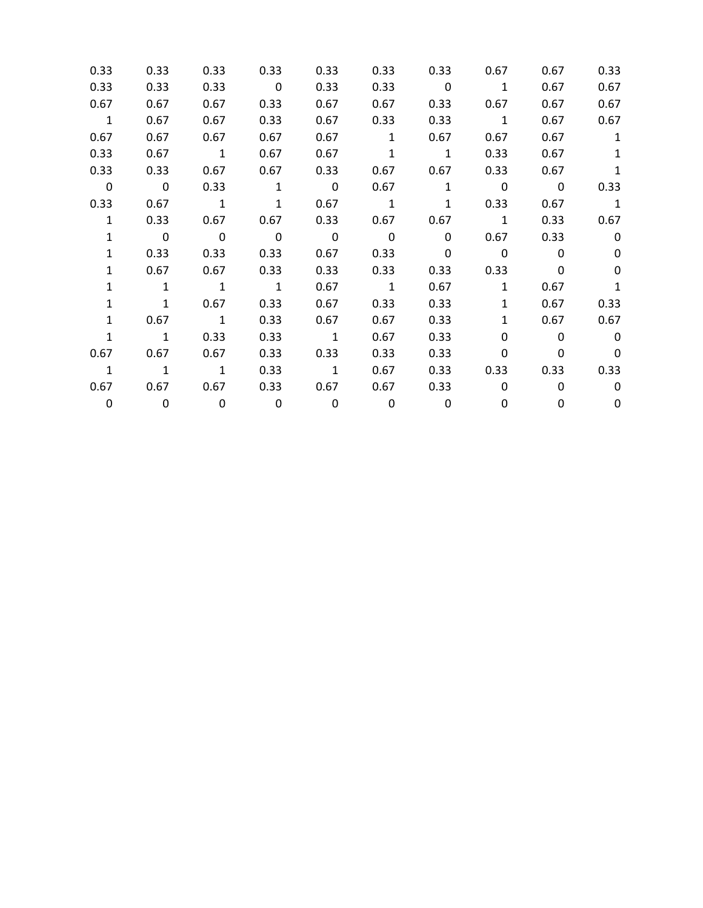| 0.33                    | 0.33                     | 0.33                    | 0.33                    | 0.33                    | 0.33                     | 0.33                     | 0.67                     | 0.67                    | 0.33                     |
|-------------------------|--------------------------|-------------------------|-------------------------|-------------------------|--------------------------|--------------------------|--------------------------|-------------------------|--------------------------|
| 0.33                    | 0.33                     | 0.33                    | $\overline{\mathbf{0}}$ | 0.33                    | 0.33                     | $\overline{\phantom{0}}$ | $\overline{1}$           | 0.67                    | 0.67                     |
| 0.67                    | 0.67                     | 0.67                    | 0.33                    | 0.67                    | 0.67                     | 0.33                     | 0.67                     | 0.67                    | 0.67                     |
| $\overline{\mathbf{1}}$ | 0.67                     | 0.67                    | 0.33                    | 0.67                    | 0.33                     | 0.33                     | $\overline{\phantom{a}}$ | 0.67                    | 0.67                     |
| 0.67                    | 0.67                     | 0.67                    | 0.67                    | 0.67                    | 1                        | 0.67                     | 0.67                     | 0.67                    | $\mathbf{1}$             |
| 0.33                    | 0.67                     | $\overline{\mathbf{1}}$ | 0.67                    | 0.67                    |                          | $1 \qquad \qquad 1$      | 0.33                     | 0.67                    | 1                        |
| 0.33                    | 0.33                     |                         | $0.67$ 0.67             | 0.33                    | 0.67                     | 0.67                     | 0.33                     | 0.67                    | 1                        |
| $\overline{\mathbf{0}}$ | $\overline{\mathbf{0}}$  | 0.33                    | $\overline{1}$          | $\overline{\mathbf{0}}$ | 0.67                     | $\mathbf{1}$             | $\overline{0}$           | $\overline{\mathbf{0}}$ | 0.33                     |
| 0.33                    | 0.67                     | $\overline{1}$          | $\mathbf{1}$            | 0.67                    | $\overline{1}$           | 1                        | 0.33                     | 0.67                    | $\overline{\phantom{0}}$ |
| $\mathbf{1}$            | 0.33                     | 0.67                    | 0.67                    | 0.33                    | 0.67                     | 0.67                     | $\overline{1}$           | 0.33                    | 0.67                     |
| $\mathbf{1}$            | $\overline{\mathbf{0}}$  | $\overline{\mathbf{0}}$ | $\overline{\mathbf{0}}$ | $\overline{\mathbf{0}}$ | $\overline{\phantom{0}}$ | $\mathbf 0$              | 0.67                     | 0.33                    | $\mathbf 0$              |
| $\mathbf{1}$            | 0.33                     | 0.33                    | 0.33                    | 0.67                    | 0.33                     | $\overline{\mathbf{0}}$  | $\sim$ 0                 | $\mathbf{0}$            | $\Omega$                 |
| $\mathbf{1}$            | 0.67                     | 0.67                    | 0.33                    | 0.33                    | 0.33                     | 0.33                     | 0.33                     | 0                       | 0                        |
| $\mathbf{1}$            | $\overline{1}$           | $\overline{1}$          | $\overline{1}$          | 0.67                    | $\overline{1}$           | 0.67                     | $\mathbf{1}$             | 0.67                    | 1                        |
| $\mathbf{1}$            | $\overline{1}$           | 0.67                    | 0.33                    | 0.67                    | 0.33                     | 0.33                     | $\mathbf{1}$             | 0.67                    | 0.33                     |
| $\mathbf{1}$            | 0.67                     | $\overline{\mathbf{1}}$ | 0.33                    | 0.67                    | 0.67                     | 0.33                     | $\mathbf{1}$             | 0.67                    | 0.67                     |
| $\mathbf{1}$            | $\overline{1}$           | 0.33                    | 0.33                    | $\overline{1}$          | 0.67                     | 0.33                     | $\Omega$                 | $\Omega$                | $\mathbf{0}$             |
| 0.67                    | 0.67                     | 0.67                    | 0.33                    | 0.33                    | 0.33                     | 0.33                     | 0                        | 0                       | 0                        |
| $\overline{1}$          | $\overline{\phantom{a}}$ | $\overline{1}$          | 0.33                    | $\overline{\mathbf{1}}$ | 0.67                     | 0.33                     | 0.33                     | 0.33                    | 0.33                     |
|                         | $0.67$ 0.67              | 0.67                    | 0.33                    | 0.67                    | 0.67                     |                          | $0.33$ 0                 | $\Omega$                | $\mathbf 0$              |
| $\mathbf 0$             | $\overline{\mathbf{0}}$  | $\overline{\mathbf{0}}$ | $\overline{\mathbf{0}}$ | $\overline{\mathbf{0}}$ | $\overline{\mathbf{0}}$  | 0                        | 0                        | 0                       | $\mathbf 0$              |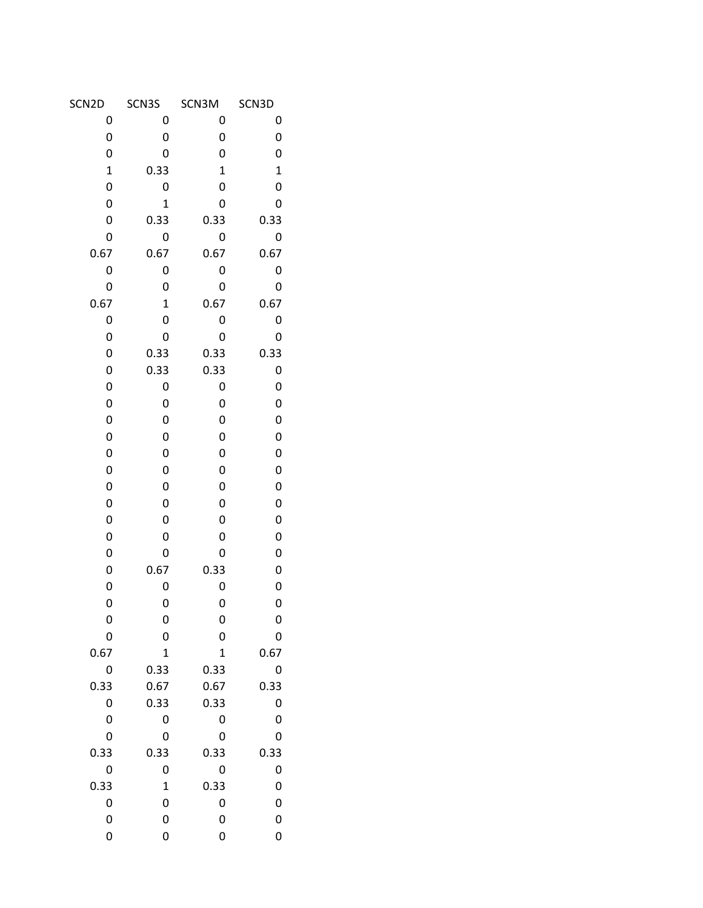| SCN2D       | SCN3S        | SCN3M          | SCN3D       |
|-------------|--------------|----------------|-------------|
| 0           | 0            | 0              | 0           |
| 0           | 0            | 0              | 0           |
| 0           | 0            | 0              | 0           |
| $\mathbf 1$ | 0.33         | $\mathbf 1$    | $\mathbf 1$ |
| 0           | 0            | 0              | 0           |
| 0           | $\mathbf{1}$ | 0              | 0           |
| 0           | 0.33         | 0.33           | 0.33        |
| 0           | 0            | 0              | 0           |
| 0.67        | 0.67         | 0.67           | 0.67        |
| 0           | 0            | 0              | 0           |
| 0           | 0            | 0              | 0           |
| 0.67        | $\mathbf 1$  | 0.67           | 0.67        |
| 0           | 0            | 0              | 0           |
| 0           | 0            | 0              | 0           |
| 0           | 0.33         | 0.33           | 0.33        |
| 0           | 0.33         | 0.33           | 0           |
| 0           | 0            | 0              | 0           |
| 0           | 0            | 0              | 0           |
| 0           | 0            | 0              | 0           |
| 0           | 0            | 0              | 0           |
| 0           | 0            | 0              | 0           |
| 0           | 0            | 0              | 0           |
| 0           | 0            | 0              | 0           |
| 0           | 0            | 0              | 0           |
| 0           | 0            | 0              | 0           |
| 0           | 0            | 0              | 0           |
| 0           | 0            | 0              | 0           |
| 0           | 0.67         | 0.33           | 0           |
| 0           | 0            | 0              | 0           |
| 0           | 0            | 0              | 0           |
| 0           | 0            | 0              | 0           |
| 0           | 0            | 0              | 0           |
| 0.67        | $\mathbf 1$  | $\overline{1}$ | 0.67        |
| 0           | 0.33         | 0.33           | 0           |
| 0.33        | 0.67         | 0.67           | 0.33        |
| 0           | 0.33         | 0.33           | 0           |
| 0           | 0            | 0              | 0           |
| 0           | 0            | 0              | 0           |
| 0.33        | 0.33         | 0.33           | 0.33        |
| 0           | 0            | 0              | 0           |
| 0.33        | $\mathbf 1$  | 0.33           | 0           |
| 0           | 0            | 0              | 0           |
| 0           | 0            | 0              | 0           |
| 0           | 0            | 0              | 0           |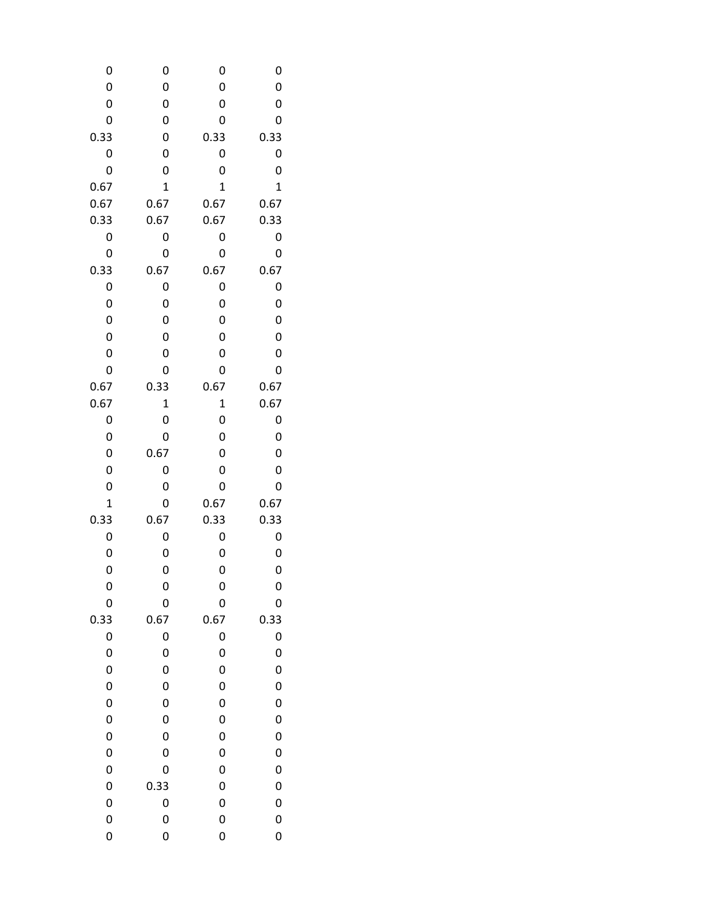| 0            | 0            | 0              | 0            |
|--------------|--------------|----------------|--------------|
| 0            | 0            | 0              | 0            |
| 0            | 0            | 0              | 0            |
| 0            | 0            | 0              | 0            |
| 0.33         | 0            | 0.33           | 0.33         |
| 0            | 0            | 0              | 0            |
| 0            | 0            | 0              | 0            |
| 0.67         | $\mathbf{1}$ | $\overline{1}$ | $\mathbf{1}$ |
| 0.67         | 0.67         | 0.67           | 0.67         |
| 0.33         | 0.67         | 0.67           | 0.33         |
| 0            | 0            | 0              | 0            |
| 0            | 0            | 0              | 0            |
| 0.33         | 0.67         | 0.67           | 0.67         |
| 0            | 0            | 0              | 0            |
| 0            | 0            | 0              | 0            |
| 0            | 0            | 0              | 0            |
| 0            | 0            | 0              | 0            |
| 0            | 0            | 0              | 0            |
| 0            | 0            | 0              | 0            |
| 0.67         | 0.33         | 0.67           | 0.67         |
| 0.67         | $\mathbf 1$  | 1              | 0.67         |
| 0            | 0            | 0              | 0            |
| 0            | 0            | 0              | 0            |
| 0            | 0.67         | 0              | 0            |
| 0            | 0            | 0              | 0            |
| 0            | 0            | 0              | 0            |
| $\mathbf{1}$ | 0            | 0.67           | 0.67         |
| 0.33         | 0.67         | 0.33           | 0.33         |
| 0            | 0            | 0              | 0            |
| 0            | 0            | 0              | 0            |
| 0            | 0            | 0              | 0            |
| 0            | 0            | 0              | 0            |
| 0            | 0            | 0              | 0            |
| 0.33         | 0.67         | 0.67           | 0.33         |
| 0            | 0            | 0              | 0            |
| 0            | 0            | 0              | 0            |
| 0<br>0       | 0            | 0              | 0            |
| 0            | 0<br>0       | 0<br>0         | 0            |
| 0            | 0            |                | 0            |
| 0            | 0            | 0<br>0         | 0<br>0       |
| 0            | 0            | 0              | 0            |
| 0            | 0            |                |              |
| 0            | 0.33         | 0<br>0         | 0<br>0       |
| 0            | 0            | 0              | 0            |
| 0            | 0            | 0              | 0            |
| 0            | 0            | 0              | 0            |
|              |              |                |              |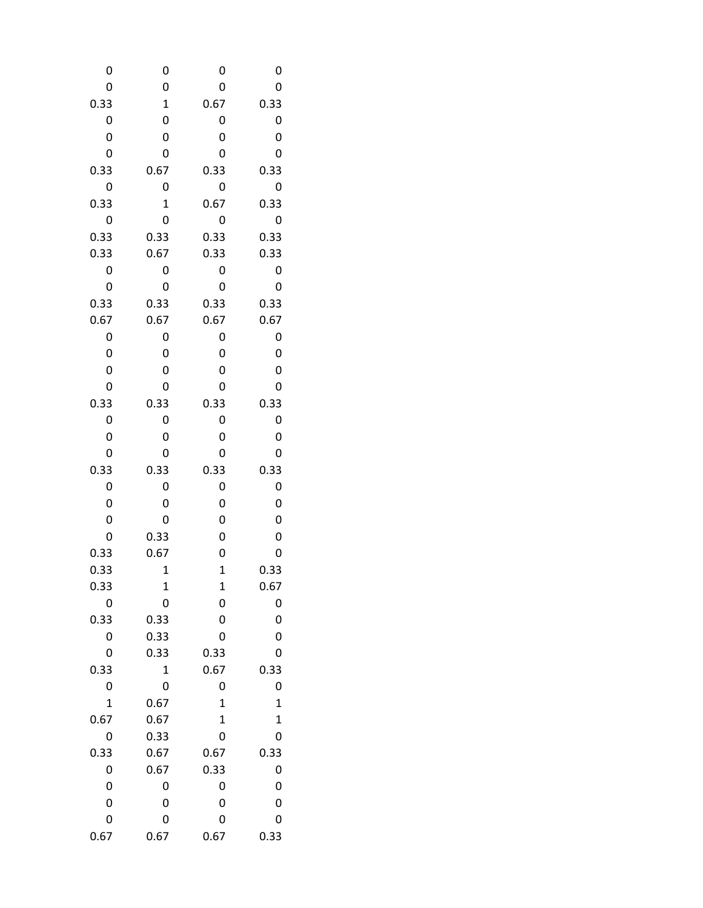| 0              | 0            | 0                | 0                |
|----------------|--------------|------------------|------------------|
| 0              | 0            | 0                | 0                |
| 0.33           | $\mathbf 1$  | 0.67             | 0.33             |
| 0              | 0            | 0                | 0                |
| 0              | 0            | 0                | 0                |
| 0              | 0            | 0                | 0                |
| 0.33           | 0.67         | 0.33             | 0.33             |
| 0              | 0            | 0                | 0                |
| 0.33           | $\mathbf{1}$ | 0.67             | 0.33             |
| 0              | 0            | 0                | 0                |
|                |              |                  |                  |
| 0.33           | 0.33         | 0.33             | 0.33             |
| 0.33           | 0.67         | 0.33             | 0.33             |
| 0              | 0            | 0                | 0                |
| 0              | 0            | 0                | 0                |
| 0.33           | 0.33         | 0.33             | 0.33             |
| 0.67           | 0.67         | 0.67             | 0.67             |
| 0              | 0            | 0                | 0                |
| 0              | 0            | 0                | 0                |
| 0              | 0            | 0                | 0                |
| 0              | 0            | 0                | 0                |
| 0.33           | 0.33         | 0.33             | 0.33             |
| 0              | 0            | 0                | 0                |
| 0              | 0            | 0                | 0                |
| 0              | 0            | 0                | 0                |
| 0.33           | 0.33         | 0.33             | 0.33             |
| 0              | 0            | 0                | 0                |
| 0              | 0            | 0                | 0                |
| 0              | 0            | 0                | 0                |
| 0              | 0.33         | 0                | 0                |
| 0.33           | 0.67         | 0                | 0                |
| 0.33           | $\mathbf 1$  | $\mathbf 1$      | 0.33             |
| 0.33           | 1            | $\mathbf 1$      | 0.67             |
| 0              | 0            | 0                | 0                |
| 0.33           | 0.33         | 0                | 0                |
| 0              | 0.33         | 0                | 0                |
| 0              | 0.33         | 0.33             | 0                |
| 0.33           | $\mathbf 1$  | 0.67             | 0.33             |
| 0              | 0            | 0                | 0                |
| $\overline{1}$ | 0.67         | $\mathbf 1$      | $\mathbf{1}$     |
| 0.67           |              |                  |                  |
|                | 0.67         | $\mathbf 1$<br>0 | $\mathbf 1$<br>0 |
| 0              | 0.33         |                  |                  |
| 0.33           | 0.67         | 0.67             | 0.33             |
| 0              | 0.67         | 0.33             | 0                |
| 0              | 0            | 0                | 0                |
| 0              | 0            | 0                | 0                |
| 0              | 0            | 0                | 0                |
| 0.67           | 0.67         | 0.67             | 0.33             |